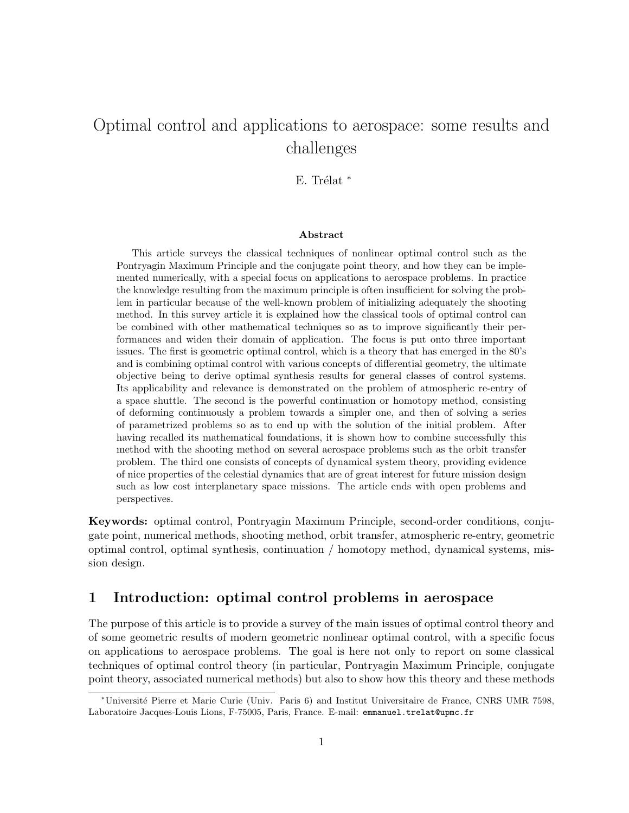# Optimal control and applications to aerospace: some results and challenges

E. Trélat $^{\ast}$ 

#### Abstract

This article surveys the classical techniques of nonlinear optimal control such as the Pontryagin Maximum Principle and the conjugate point theory, and how they can be implemented numerically, with a special focus on applications to aerospace problems. In practice the knowledge resulting from the maximum principle is often insufficient for solving the problem in particular because of the well-known problem of initializing adequately the shooting method. In this survey article it is explained how the classical tools of optimal control can be combined with other mathematical techniques so as to improve significantly their performances and widen their domain of application. The focus is put onto three important issues. The first is geometric optimal control, which is a theory that has emerged in the 80's and is combining optimal control with various concepts of differential geometry, the ultimate objective being to derive optimal synthesis results for general classes of control systems. Its applicability and relevance is demonstrated on the problem of atmospheric re-entry of a space shuttle. The second is the powerful continuation or homotopy method, consisting of deforming continuously a problem towards a simpler one, and then of solving a series of parametrized problems so as to end up with the solution of the initial problem. After having recalled its mathematical foundations, it is shown how to combine successfully this method with the shooting method on several aerospace problems such as the orbit transfer problem. The third one consists of concepts of dynamical system theory, providing evidence of nice properties of the celestial dynamics that are of great interest for future mission design such as low cost interplanetary space missions. The article ends with open problems and perspectives.

Keywords: optimal control, Pontryagin Maximum Principle, second-order conditions, conjugate point, numerical methods, shooting method, orbit transfer, atmospheric re-entry, geometric optimal control, optimal synthesis, continuation / homotopy method, dynamical systems, mission design.

# 1 Introduction: optimal control problems in aerospace

The purpose of this article is to provide a survey of the main issues of optimal control theory and of some geometric results of modern geometric nonlinear optimal control, with a specific focus on applications to aerospace problems. The goal is here not only to report on some classical techniques of optimal control theory (in particular, Pontryagin Maximum Principle, conjugate point theory, associated numerical methods) but also to show how this theory and these methods

<sup>∗</sup>Universit´e Pierre et Marie Curie (Univ. Paris 6) and Institut Universitaire de France, CNRS UMR 7598, Laboratoire Jacques-Louis Lions, F-75005, Paris, France. E-mail: emmanuel.trelat@upmc.fr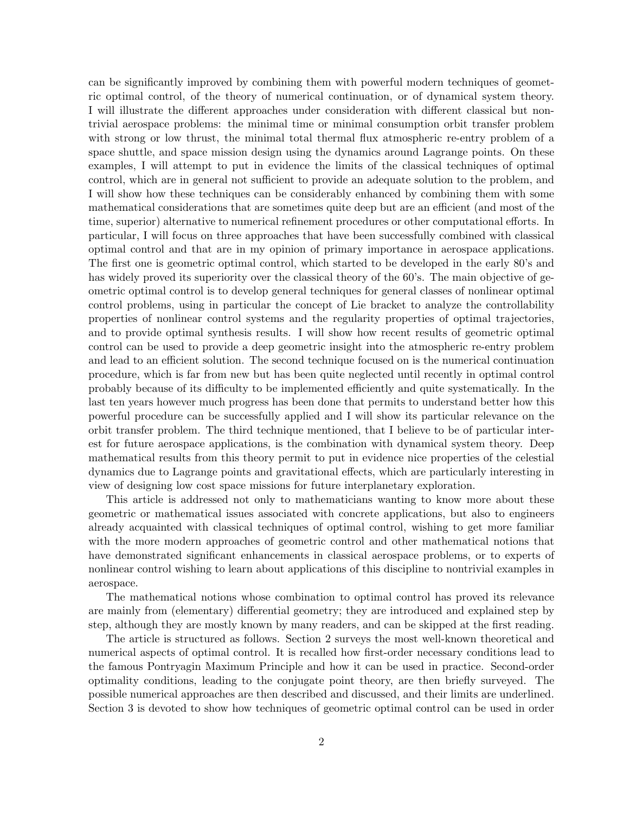can be significantly improved by combining them with powerful modern techniques of geometric optimal control, of the theory of numerical continuation, or of dynamical system theory. I will illustrate the different approaches under consideration with different classical but nontrivial aerospace problems: the minimal time or minimal consumption orbit transfer problem with strong or low thrust, the minimal total thermal flux atmospheric re-entry problem of a space shuttle, and space mission design using the dynamics around Lagrange points. On these examples, I will attempt to put in evidence the limits of the classical techniques of optimal control, which are in general not sufficient to provide an adequate solution to the problem, and I will show how these techniques can be considerably enhanced by combining them with some mathematical considerations that are sometimes quite deep but are an efficient (and most of the time, superior) alternative to numerical refinement procedures or other computational efforts. In particular, I will focus on three approaches that have been successfully combined with classical optimal control and that are in my opinion of primary importance in aerospace applications. The first one is geometric optimal control, which started to be developed in the early 80's and has widely proved its superiority over the classical theory of the 60's. The main objective of geometric optimal control is to develop general techniques for general classes of nonlinear optimal control problems, using in particular the concept of Lie bracket to analyze the controllability properties of nonlinear control systems and the regularity properties of optimal trajectories, and to provide optimal synthesis results. I will show how recent results of geometric optimal control can be used to provide a deep geometric insight into the atmospheric re-entry problem and lead to an efficient solution. The second technique focused on is the numerical continuation procedure, which is far from new but has been quite neglected until recently in optimal control probably because of its difficulty to be implemented efficiently and quite systematically. In the last ten years however much progress has been done that permits to understand better how this powerful procedure can be successfully applied and I will show its particular relevance on the orbit transfer problem. The third technique mentioned, that I believe to be of particular interest for future aerospace applications, is the combination with dynamical system theory. Deep mathematical results from this theory permit to put in evidence nice properties of the celestial dynamics due to Lagrange points and gravitational effects, which are particularly interesting in view of designing low cost space missions for future interplanetary exploration.

This article is addressed not only to mathematicians wanting to know more about these geometric or mathematical issues associated with concrete applications, but also to engineers already acquainted with classical techniques of optimal control, wishing to get more familiar with the more modern approaches of geometric control and other mathematical notions that have demonstrated significant enhancements in classical aerospace problems, or to experts of nonlinear control wishing to learn about applications of this discipline to nontrivial examples in aerospace.

The mathematical notions whose combination to optimal control has proved its relevance are mainly from (elementary) differential geometry; they are introduced and explained step by step, although they are mostly known by many readers, and can be skipped at the first reading.

The article is structured as follows. Section 2 surveys the most well-known theoretical and numerical aspects of optimal control. It is recalled how first-order necessary conditions lead to the famous Pontryagin Maximum Principle and how it can be used in practice. Second-order optimality conditions, leading to the conjugate point theory, are then briefly surveyed. The possible numerical approaches are then described and discussed, and their limits are underlined. Section 3 is devoted to show how techniques of geometric optimal control can be used in order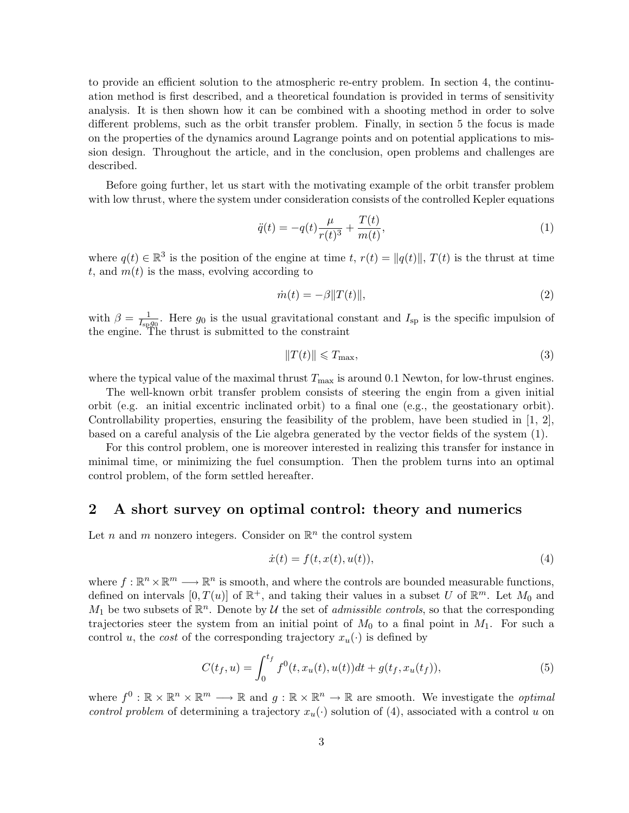to provide an efficient solution to the atmospheric re-entry problem. In section 4, the continuation method is first described, and a theoretical foundation is provided in terms of sensitivity analysis. It is then shown how it can be combined with a shooting method in order to solve different problems, such as the orbit transfer problem. Finally, in section 5 the focus is made on the properties of the dynamics around Lagrange points and on potential applications to mission design. Throughout the article, and in the conclusion, open problems and challenges are described.

Before going further, let us start with the motivating example of the orbit transfer problem with low thrust, where the system under consideration consists of the controlled Kepler equations

$$
\ddot{q}(t) = -q(t)\frac{\mu}{r(t)^3} + \frac{T(t)}{m(t)},
$$
\n(1)

where  $q(t) \in \mathbb{R}^3$  is the position of the engine at time t,  $r(t) = ||q(t)||$ ,  $T(t)$  is the thrust at time t, and  $m(t)$  is the mass, evolving according to

$$
\dot{m}(t) = -\beta \|T(t)\|,\tag{2}
$$

with  $\beta = \frac{1}{L}$  $\frac{1}{I_{sp}g_0}$ . Here  $g_0$  is the usual gravitational constant and  $I_{sp}$  is the specific impulsion of the engine. The thrust is submitted to the constraint

$$
||T(t)|| \le T_{\text{max}},\tag{3}
$$

where the typical value of the maximal thrust  $T_{\text{max}}$  is around 0.1 Newton, for low-thrust engines.

The well-known orbit transfer problem consists of steering the engin from a given initial orbit (e.g. an initial excentric inclinated orbit) to a final one (e.g., the geostationary orbit). Controllability properties, ensuring the feasibility of the problem, have been studied in [1, 2], based on a careful analysis of the Lie algebra generated by the vector fields of the system (1).

For this control problem, one is moreover interested in realizing this transfer for instance in minimal time, or minimizing the fuel consumption. Then the problem turns into an optimal control problem, of the form settled hereafter.

# 2 A short survey on optimal control: theory and numerics

Let *n* and *m* nonzero integers. Consider on  $\mathbb{R}^n$  the control system

$$
\dot{x}(t) = f(t, x(t), u(t)),\tag{4}
$$

where  $f: \mathbb{R}^n \times \mathbb{R}^m \longrightarrow \mathbb{R}^n$  is smooth, and where the controls are bounded measurable functions, defined on intervals  $[0,T(u)]$  of  $\mathbb{R}^+$ , and taking their values in a subset U of  $\mathbb{R}^m$ . Let  $M_0$  and  $M_1$  be two subsets of  $\mathbb{R}^n$ . Denote by U the set of *admissible controls*, so that the corresponding trajectories steer the system from an initial point of  $M_0$  to a final point in  $M_1$ . For such a control u, the *cost* of the corresponding trajectory  $x_u(\cdot)$  is defined by

$$
C(t_f, u) = \int_0^{t_f} f^0(t, x_u(t), u(t))dt + g(t_f, x_u(t_f)),
$$
\n(5)

where  $f^0 : \mathbb{R} \times \mathbb{R}^n \times \mathbb{R}^m \longrightarrow \mathbb{R}$  and  $g : \mathbb{R} \times \mathbb{R}^n \to \mathbb{R}$  are smooth. We investigate the *optimal* control problem of determining a trajectory  $x_u(\cdot)$  solution of (4), associated with a control u on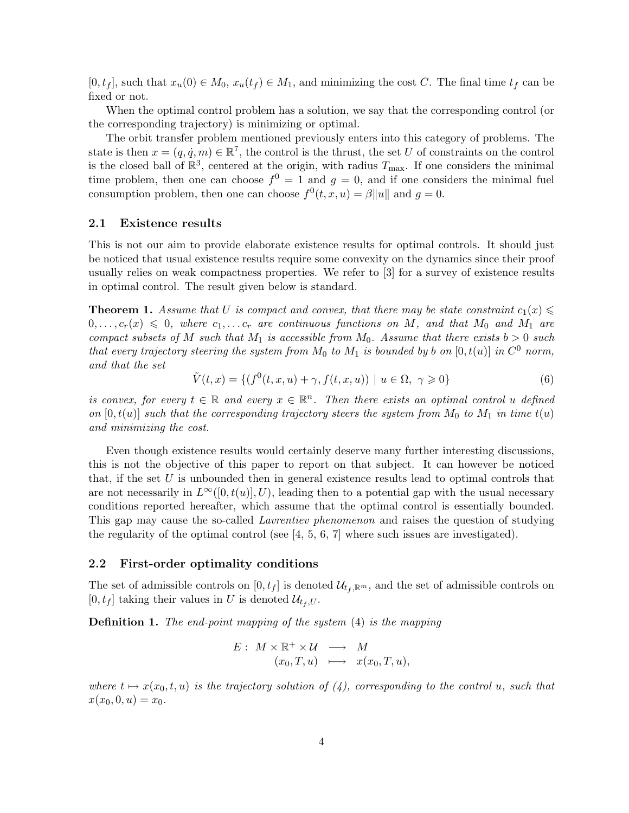$[0, t_f]$ , such that  $x_u(0) \in M_0$ ,  $x_u(t_f) \in M_1$ , and minimizing the cost C. The final time  $t_f$  can be fixed or not.

When the optimal control problem has a solution, we say that the corresponding control (or the corresponding trajectory) is minimizing or optimal.

The orbit transfer problem mentioned previously enters into this category of problems. The state is then  $x = (q, \dot{q}, m) \in \mathbb{R}^7$ , the control is the thrust, the set U of constraints on the control is the closed ball of  $\mathbb{R}^3$ , centered at the origin, with radius  $T_{\text{max}}$ . If one considers the minimal time problem, then one can choose  $f^0 = 1$  and  $g = 0$ , and if one considers the minimal fuel consumption problem, then one can choose  $f^{0}(t, x, u) = \beta ||u||$  and  $g = 0$ .

#### 2.1 Existence results

This is not our aim to provide elaborate existence results for optimal controls. It should just be noticed that usual existence results require some convexity on the dynamics since their proof usually relies on weak compactness properties. We refer to [3] for a survey of existence results in optimal control. The result given below is standard.

**Theorem 1.** Assume that U is compact and convex, that there may be state constraint  $c_1(x) \leq$  $0, \ldots, c_r(x) \leq 0$ , where  $c_1, \ldots c_r$  are continuous functions on M, and that  $M_0$  and  $M_1$  are compact subsets of M such that  $M_1$  is accessible from  $M_0$ . Assume that there exists  $b > 0$  such that every trajectory steering the system from  $M_0$  to  $M_1$  is bounded by b on  $[0, t(u)]$  in  $C^0$  norm, and that the set

$$
\tilde{V}(t,x) = \{ (f^{0}(t,x,u) + \gamma, f(t,x,u)) \mid u \in \Omega, \ \gamma \geq 0 \}
$$
\n(6)

is convex, for every  $t \in \mathbb{R}$  and every  $x \in \mathbb{R}^n$ . Then there exists an optimal control u defined on  $[0, t(u)]$  such that the corresponding trajectory steers the system from  $M_0$  to  $M_1$  in time  $t(u)$ and minimizing the cost.

Even though existence results would certainly deserve many further interesting discussions, this is not the objective of this paper to report on that subject. It can however be noticed that, if the set  $U$  is unbounded then in general existence results lead to optimal controls that are not necessarily in  $L^{\infty}([0, t(u)], U)$ , leading then to a potential gap with the usual necessary conditions reported hereafter, which assume that the optimal control is essentially bounded. This gap may cause the so-called Lavrentiev phenomenon and raises the question of studying the regularity of the optimal control (see  $[4, 5, 6, 7]$  where such issues are investigated).

### 2.2 First-order optimality conditions

The set of admissible controls on  $[0, t_f]$  is denoted  $\mathcal{U}_{t_f, \mathbb{R}^m}$ , and the set of admissible controls on  $[0, t_f]$  taking their values in U is denoted  $\mathcal{U}_{t_f, U}$ .

Definition 1. The end-point mapping of the system (4) is the mapping

$$
E: M \times \mathbb{R}^+ \times \mathcal{U} \longrightarrow M
$$
  
 $(x_0, T, u) \longmapsto x(x_0, T, u),$ 

where  $t \mapsto x(x_0, t, u)$  is the trajectory solution of (4), corresponding to the control u, such that  $x(x_0, 0, u) = x_0.$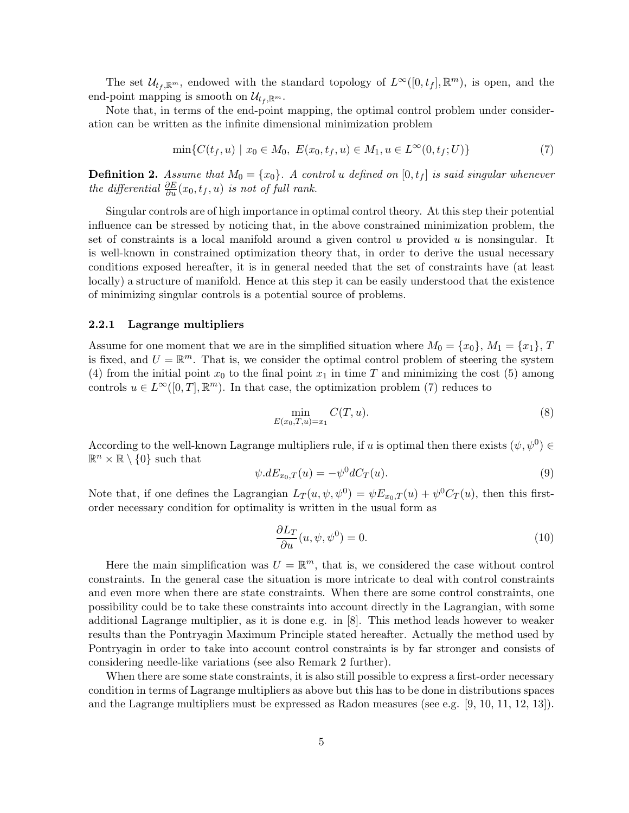The set  $\mathcal{U}_{t_f, \mathbb{R}^m}$ , endowed with the standard topology of  $L^{\infty}([0, t_f], \mathbb{R}^m)$ , is open, and the end-point mapping is smooth on  $\mathcal{U}_{t_f, \mathbb{R}^m}$ .

Note that, in terms of the end-point mapping, the optimal control problem under consideration can be written as the infinite dimensional minimization problem

$$
\min\{C(t_f, u) \mid x_0 \in M_0, \ E(x_0, t_f, u) \in M_1, u \in L^\infty(0, t_f; U)\}\tag{7}
$$

**Definition 2.** Assume that  $M_0 = \{x_0\}$ . A control u defined on  $[0, t_f]$  is said singular whenever the differential  $\frac{\partial E}{\partial u}(x_0, t_f, u)$  is not of full rank.

Singular controls are of high importance in optimal control theory. At this step their potential influence can be stressed by noticing that, in the above constrained minimization problem, the set of constraints is a local manifold around a given control  $u$  provided  $u$  is nonsingular. It is well-known in constrained optimization theory that, in order to derive the usual necessary conditions exposed hereafter, it is in general needed that the set of constraints have (at least locally) a structure of manifold. Hence at this step it can be easily understood that the existence of minimizing singular controls is a potential source of problems.

#### 2.2.1 Lagrange multipliers

Assume for one moment that we are in the simplified situation where  $M_0 = \{x_0\}, M_1 = \{x_1\}, T$ is fixed, and  $U = \mathbb{R}^m$ . That is, we consider the optimal control problem of steering the system (4) from the initial point  $x_0$  to the final point  $x_1$  in time T and minimizing the cost (5) among controls  $u \in L^{\infty}([0,T], \mathbb{R}^m)$ . In that case, the optimization problem (7) reduces to

$$
\min_{E(x_0,T,u)=x_1} C(T,u). \tag{8}
$$

According to the well-known Lagrange multipliers rule, if u is optimal then there exists  $(\psi, \psi^0) \in$  $\mathbb{R}^n \times \mathbb{R} \setminus \{0\}$  such that

$$
\psi. dE_{x_0,T}(u) = -\psi^0 dC_T(u). \tag{9}
$$

Note that, if one defines the Lagrangian  $L_T(u, \psi, \psi^0) = \psi E_{x_0,T}(u) + \psi^0 C_T(u)$ , then this firstorder necessary condition for optimality is written in the usual form as

$$
\frac{\partial L_T}{\partial u}(u, \psi, \psi^0) = 0. \tag{10}
$$

Here the main simplification was  $U = \mathbb{R}^m$ , that is, we considered the case without control constraints. In the general case the situation is more intricate to deal with control constraints and even more when there are state constraints. When there are some control constraints, one possibility could be to take these constraints into account directly in the Lagrangian, with some additional Lagrange multiplier, as it is done e.g. in [8]. This method leads however to weaker results than the Pontryagin Maximum Principle stated hereafter. Actually the method used by Pontryagin in order to take into account control constraints is by far stronger and consists of considering needle-like variations (see also Remark 2 further).

When there are some state constraints, it is also still possible to express a first-order necessary condition in terms of Lagrange multipliers as above but this has to be done in distributions spaces and the Lagrange multipliers must be expressed as Radon measures (see e.g. [9, 10, 11, 12, 13]).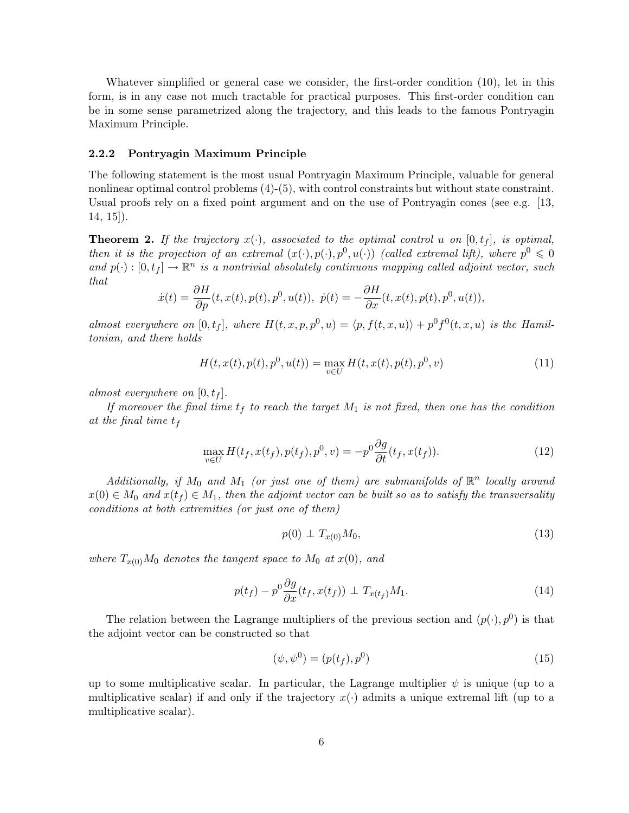Whatever simplified or general case we consider, the first-order condition (10), let in this form, is in any case not much tractable for practical purposes. This first-order condition can be in some sense parametrized along the trajectory, and this leads to the famous Pontryagin Maximum Principle.

#### 2.2.2 Pontryagin Maximum Principle

The following statement is the most usual Pontryagin Maximum Principle, valuable for general nonlinear optimal control problems (4)-(5), with control constraints but without state constraint. Usual proofs rely on a fixed point argument and on the use of Pontryagin cones (see e.g. [13, 14, 15]).

**Theorem 2.** If the trajectory  $x(\cdot)$ , associated to the optimal control u on  $[0, t_f]$ , is optimal, then it is the projection of an extremal  $(x(\cdot), p(\cdot), p^0, u(\cdot))$  (called extremal lift), where  $p^0 \leq 0$ and  $p(\cdot): [0, t_f] \to \mathbb{R}^n$  is a nontrivial absolutely continuous mapping called adjoint vector, such that

$$
\dot{x}(t) = \frac{\partial H}{\partial p}(t, x(t), p(t), p^0, u(t)), \quad \dot{p}(t) = -\frac{\partial H}{\partial x}(t, x(t), p(t), p^0, u(t)),
$$

almost everywhere on  $[0, t_f]$ , where  $H(t, x, p, p^0, u) = \langle p, f(t, x, u) \rangle + p^0 f^0(t, x, u)$  is the Hamiltonian, and there holds

$$
H(t, x(t), p(t), p^{0}, u(t)) = \max_{v \in U} H(t, x(t), p(t), p^{0}, v)
$$
\n(11)

almost everywhere on  $[0, t_f]$ .

If moreover the final time  $t_f$  to reach the target  $M_1$  is not fixed, then one has the condition at the final time  $t_f$ 

$$
\max_{v \in U} H(t_f, x(t_f), p(t_f), p^0, v) = -p^0 \frac{\partial g}{\partial t}(t_f, x(t_f)).\tag{12}
$$

Additionally, if  $M_0$  and  $M_1$  (or just one of them) are submanifolds of  $\mathbb{R}^n$  locally around  $x(0) \in M_0$  and  $x(t_f) \in M_1$ , then the adjoint vector can be built so as to satisfy the transversality conditions at both extremities (or just one of them)

$$
p(0) \perp T_{x(0)}M_0, \tag{13}
$$

where  $T_{x(0)}M_0$  denotes the tangent space to  $M_0$  at  $x(0)$ , and

$$
p(t_f) - p^0 \frac{\partial g}{\partial x}(t_f, x(t_f)) \perp T_{x(t_f)} M_1.
$$
\n(14)

The relation between the Lagrange multipliers of the previous section and  $(p(\cdot), p^0)$  is that the adjoint vector can be constructed so that

$$
(\psi, \psi^0) = (p(t_f), p^0)
$$
\n(15)

up to some multiplicative scalar. In particular, the Lagrange multiplier  $\psi$  is unique (up to a multiplicative scalar) if and only if the trajectory  $x(\cdot)$  admits a unique extremal lift (up to a multiplicative scalar).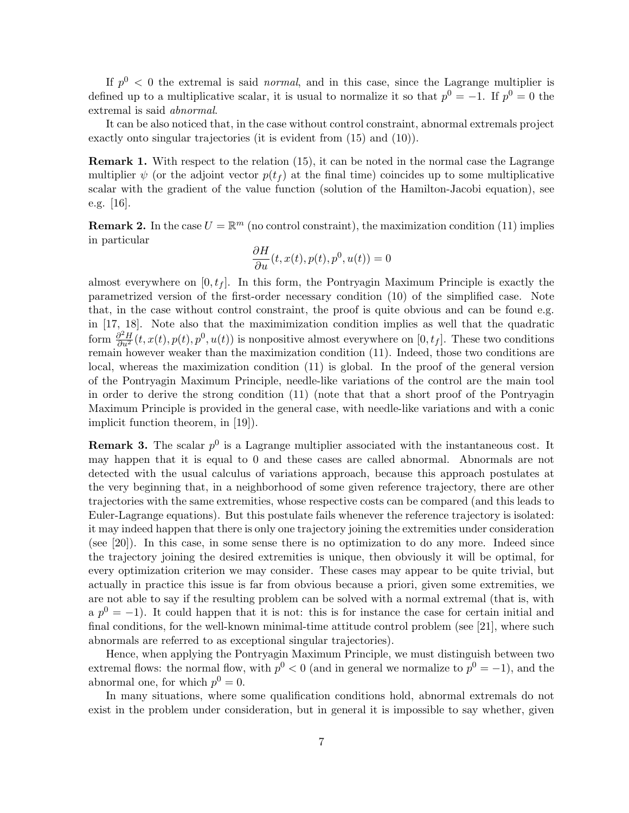If  $p^0$  < 0 the extremal is said *normal*, and in this case, since the Lagrange multiplier is defined up to a multiplicative scalar, it is usual to normalize it so that  $p^0 = -1$ . If  $p^0 = 0$  the extremal is said abnormal.

It can be also noticed that, in the case without control constraint, abnormal extremals project exactly onto singular trajectories (it is evident from (15) and (10)).

Remark 1. With respect to the relation (15), it can be noted in the normal case the Lagrange multiplier  $\psi$  (or the adjoint vector  $p(t_f)$  at the final time) coincides up to some multiplicative scalar with the gradient of the value function (solution of the Hamilton-Jacobi equation), see e.g. [16].

**Remark 2.** In the case  $U = \mathbb{R}^m$  (no control constraint), the maximization condition (11) implies in particular

$$
\frac{\partial H}{\partial u}(t, x(t), p(t), p^0, u(t)) = 0
$$

almost everywhere on  $[0, t_f]$ . In this form, the Pontryagin Maximum Principle is exactly the parametrized version of the first-order necessary condition (10) of the simplified case. Note that, in the case without control constraint, the proof is quite obvious and can be found e.g. in [17, 18]. Note also that the maximimization condition implies as well that the quadratic form  $\frac{\partial^2 H}{\partial u^2}(t, x(t), p(t), p^0, u(t))$  is nonpositive almost everywhere on  $[0, t_f]$ . These two conditions remain however weaker than the maximization condition (11). Indeed, those two conditions are local, whereas the maximization condition (11) is global. In the proof of the general version of the Pontryagin Maximum Principle, needle-like variations of the control are the main tool in order to derive the strong condition (11) (note that that a short proof of the Pontryagin Maximum Principle is provided in the general case, with needle-like variations and with a conic implicit function theorem, in [19]).

**Remark 3.** The scalar  $p^0$  is a Lagrange multiplier associated with the instantaneous cost. It may happen that it is equal to 0 and these cases are called abnormal. Abnormals are not detected with the usual calculus of variations approach, because this approach postulates at the very beginning that, in a neighborhood of some given reference trajectory, there are other trajectories with the same extremities, whose respective costs can be compared (and this leads to Euler-Lagrange equations). But this postulate fails whenever the reference trajectory is isolated: it may indeed happen that there is only one trajectory joining the extremities under consideration (see [20]). In this case, in some sense there is no optimization to do any more. Indeed since the trajectory joining the desired extremities is unique, then obviously it will be optimal, for every optimization criterion we may consider. These cases may appear to be quite trivial, but actually in practice this issue is far from obvious because a priori, given some extremities, we are not able to say if the resulting problem can be solved with a normal extremal (that is, with a  $p^{0} = -1$ ). It could happen that it is not: this is for instance the case for certain initial and final conditions, for the well-known minimal-time attitude control problem (see [21], where such abnormals are referred to as exceptional singular trajectories).

Hence, when applying the Pontryagin Maximum Principle, we must distinguish between two extremal flows: the normal flow, with  $p^0 < 0$  (and in general we normalize to  $p^0 = -1$ ), and the abnormal one, for which  $p^0 = 0$ .

In many situations, where some qualification conditions hold, abnormal extremals do not exist in the problem under consideration, but in general it is impossible to say whether, given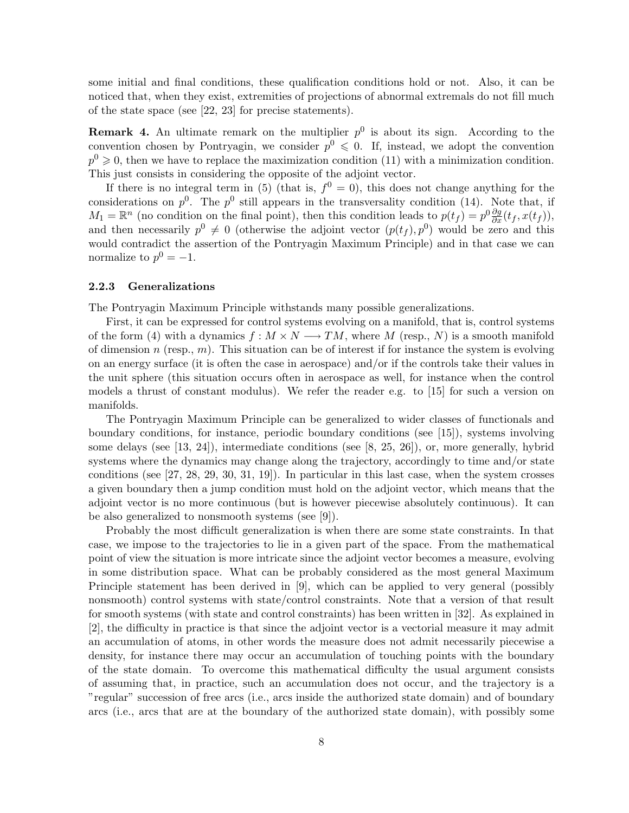some initial and final conditions, these qualification conditions hold or not. Also, it can be noticed that, when they exist, extremities of projections of abnormal extremals do not fill much of the state space (see [22, 23] for precise statements).

**Remark 4.** An ultimate remark on the multiplier  $p^0$  is about its sign. According to the convention chosen by Pontryagin, we consider  $p^0 \leq 0$ . If, instead, we adopt the convention  $p^0 \geq 0$ , then we have to replace the maximization condition (11) with a minimization condition. This just consists in considering the opposite of the adjoint vector.

If there is no integral term in (5) (that is,  $f^0 = 0$ ), this does not change anything for the considerations on  $p^0$ . The  $p^0$  still appears in the transversality condition (14). Note that, if  $M_1 = \mathbb{R}^n$  (no condition on the final point), then this condition leads to  $p(t_f) = p^0 \frac{\partial g}{\partial x}(t_f, x(t_f)),$ and then necessarily  $p^0 \neq 0$  (otherwise the adjoint vector  $(p(t_f), p^0)$  would be zero and this would contradict the assertion of the Pontryagin Maximum Principle) and in that case we can normalize to  $p^0 = -1$ .

#### 2.2.3 Generalizations

The Pontryagin Maximum Principle withstands many possible generalizations.

First, it can be expressed for control systems evolving on a manifold, that is, control systems of the form (4) with a dynamics  $f : M \times N \longrightarrow TM$ , where M (resp., N) is a smooth manifold of dimension  $n$  (resp.,  $m$ ). This situation can be of interest if for instance the system is evolving on an energy surface (it is often the case in aerospace) and/or if the controls take their values in the unit sphere (this situation occurs often in aerospace as well, for instance when the control models a thrust of constant modulus). We refer the reader e.g. to [15] for such a version on manifolds.

The Pontryagin Maximum Principle can be generalized to wider classes of functionals and boundary conditions, for instance, periodic boundary conditions (see [15]), systems involving some delays (see [13, 24]), intermediate conditions (see [8, 25, 26]), or, more generally, hybrid systems where the dynamics may change along the trajectory, accordingly to time and/or state conditions (see [27, 28, 29, 30, 31, 19]). In particular in this last case, when the system crosses a given boundary then a jump condition must hold on the adjoint vector, which means that the adjoint vector is no more continuous (but is however piecewise absolutely continuous). It can be also generalized to nonsmooth systems (see [9]).

Probably the most difficult generalization is when there are some state constraints. In that case, we impose to the trajectories to lie in a given part of the space. From the mathematical point of view the situation is more intricate since the adjoint vector becomes a measure, evolving in some distribution space. What can be probably considered as the most general Maximum Principle statement has been derived in [9], which can be applied to very general (possibly nonsmooth) control systems with state/control constraints. Note that a version of that result for smooth systems (with state and control constraints) has been written in [32]. As explained in [2], the difficulty in practice is that since the adjoint vector is a vectorial measure it may admit an accumulation of atoms, in other words the measure does not admit necessarily piecewise a density, for instance there may occur an accumulation of touching points with the boundary of the state domain. To overcome this mathematical difficulty the usual argument consists of assuming that, in practice, such an accumulation does not occur, and the trajectory is a "regular" succession of free arcs (i.e., arcs inside the authorized state domain) and of boundary arcs (i.e., arcs that are at the boundary of the authorized state domain), with possibly some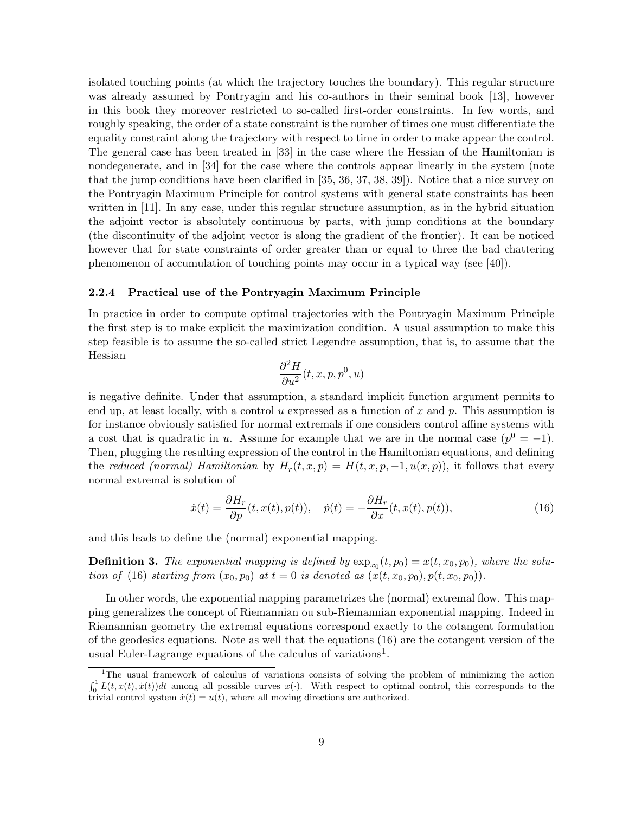isolated touching points (at which the trajectory touches the boundary). This regular structure was already assumed by Pontryagin and his co-authors in their seminal book [13], however in this book they moreover restricted to so-called first-order constraints. In few words, and roughly speaking, the order of a state constraint is the number of times one must differentiate the equality constraint along the trajectory with respect to time in order to make appear the control. The general case has been treated in [33] in the case where the Hessian of the Hamiltonian is nondegenerate, and in [34] for the case where the controls appear linearly in the system (note that the jump conditions have been clarified in [35, 36, 37, 38, 39]). Notice that a nice survey on the Pontryagin Maximum Principle for control systems with general state constraints has been written in [11]. In any case, under this regular structure assumption, as in the hybrid situation the adjoint vector is absolutely continuous by parts, with jump conditions at the boundary (the discontinuity of the adjoint vector is along the gradient of the frontier). It can be noticed however that for state constraints of order greater than or equal to three the bad chattering phenomenon of accumulation of touching points may occur in a typical way (see [40]).

## 2.2.4 Practical use of the Pontryagin Maximum Principle

In practice in order to compute optimal trajectories with the Pontryagin Maximum Principle the first step is to make explicit the maximization condition. A usual assumption to make this step feasible is to assume the so-called strict Legendre assumption, that is, to assume that the Hessian

$$
\frac{\partial^2 H}{\partial u^2}(t,x,p,p^0,u)
$$

is negative definite. Under that assumption, a standard implicit function argument permits to end up, at least locally, with a control u expressed as a function of x and p. This assumption is for instance obviously satisfied for normal extremals if one considers control affine systems with a cost that is quadratic in u. Assume for example that we are in the normal case  $(p^0 = -1)$ . Then, plugging the resulting expression of the control in the Hamiltonian equations, and defining the reduced (normal) Hamiltonian by  $H_r(t, x, p) = H(t, x, p, -1, u(x, p))$ , it follows that every normal extremal is solution of

$$
\dot{x}(t) = \frac{\partial H_r}{\partial p}(t, x(t), p(t)), \quad \dot{p}(t) = -\frac{\partial H_r}{\partial x}(t, x(t), p(t)),\tag{16}
$$

and this leads to define the (normal) exponential mapping.

**Definition 3.** The exponential mapping is defined by  $\exp_{x_0}(t, p_0) = x(t, x_0, p_0)$ , where the solution of (16) starting from  $(x_0, p_0)$  at  $t = 0$  is denoted as  $(x(t, x_0, p_0), p(t, x_0, p_0))$ .

In other words, the exponential mapping parametrizes the (normal) extremal flow. This mapping generalizes the concept of Riemannian ou sub-Riemannian exponential mapping. Indeed in Riemannian geometry the extremal equations correspond exactly to the cotangent formulation of the geodesics equations. Note as well that the equations (16) are the cotangent version of the usual Euler-Lagrange equations of the calculus of variations<sup>1</sup>.

<sup>&</sup>lt;sup>1</sup>The usual framework of calculus of variations consists of solving the problem of minimizing the action  $\int_0^1 L(t, x(t), \dot{x}(t))dt$  among all possible curves  $x(\cdot)$ . With respect to optimal control, this corresponds to the trivial control system  $\dot{x}(t) = u(t)$ , where all moving directions are authorized.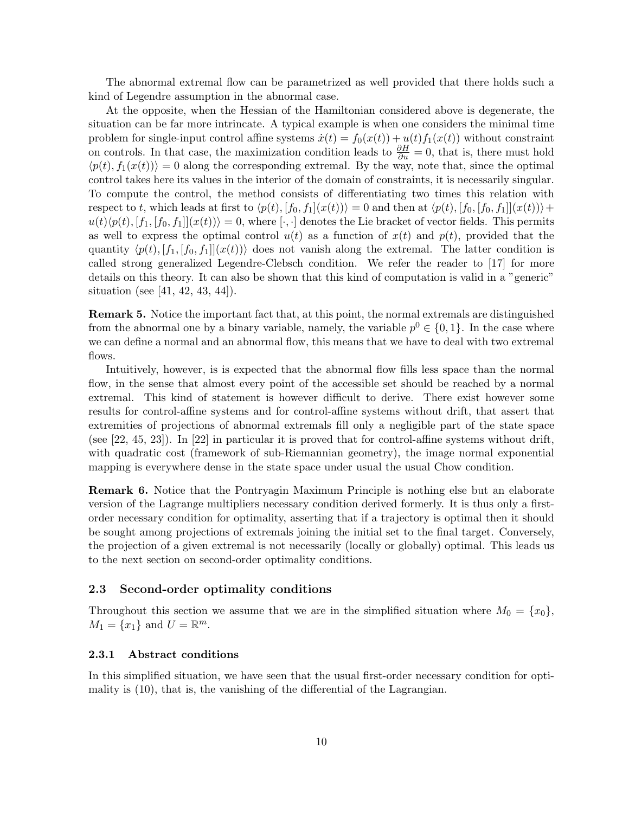The abnormal extremal flow can be parametrized as well provided that there holds such a kind of Legendre assumption in the abnormal case.

At the opposite, when the Hessian of the Hamiltonian considered above is degenerate, the situation can be far more intrincate. A typical example is when one considers the minimal time problem for single-input control affine systems  $\dot{x}(t) = f_0(x(t)) + u(t)f_1(x(t))$  without constraint on controls. In that case, the maximization condition leads to  $\frac{\partial H}{\partial u} = 0$ , that is, there must hold  $\langle p(t), f_1(x(t)) \rangle = 0$  along the corresponding extremal. By the way, note that, since the optimal control takes here its values in the interior of the domain of constraints, it is necessarily singular. To compute the control, the method consists of differentiating two times this relation with respect to t, which leads at first to  $\langle p(t), [f_0, f_1](x(t))\rangle = 0$  and then at  $\langle p(t), [f_0, f_1]](x(t))\rangle +$  $u(t)\langle p(t), [f_1, [f_0, f_1]](x(t))\rangle = 0$ , where  $[\cdot, \cdot]$  denotes the Lie bracket of vector fields. This permits as well to express the optimal control  $u(t)$  as a function of  $x(t)$  and  $p(t)$ , provided that the quantity  $\langle p(t), [f_1, [f_0, f_1]](x(t))\rangle$  does not vanish along the extremal. The latter condition is called strong generalized Legendre-Clebsch condition. We refer the reader to [17] for more details on this theory. It can also be shown that this kind of computation is valid in a "generic" situation (see [41, 42, 43, 44]).

Remark 5. Notice the important fact that, at this point, the normal extremals are distinguished from the abnormal one by a binary variable, namely, the variable  $p^0 \in \{0,1\}$ . In the case where we can define a normal and an abnormal flow, this means that we have to deal with two extremal flows.

Intuitively, however, is is expected that the abnormal flow fills less space than the normal flow, in the sense that almost every point of the accessible set should be reached by a normal extremal. This kind of statement is however difficult to derive. There exist however some results for control-affine systems and for control-affine systems without drift, that assert that extremities of projections of abnormal extremals fill only a negligible part of the state space (see [22, 45, 23]). In [22] in particular it is proved that for control-affine systems without drift, with quadratic cost (framework of sub-Riemannian geometry), the image normal exponential mapping is everywhere dense in the state space under usual the usual Chow condition.

Remark 6. Notice that the Pontryagin Maximum Principle is nothing else but an elaborate version of the Lagrange multipliers necessary condition derived formerly. It is thus only a firstorder necessary condition for optimality, asserting that if a trajectory is optimal then it should be sought among projections of extremals joining the initial set to the final target. Conversely, the projection of a given extremal is not necessarily (locally or globally) optimal. This leads us to the next section on second-order optimality conditions.

### 2.3 Second-order optimality conditions

Throughout this section we assume that we are in the simplified situation where  $M_0 = \{x_0\}$ ,  $M_1 = \{x_1\}$  and  $U = \mathbb{R}^m$ .

#### 2.3.1 Abstract conditions

In this simplified situation, we have seen that the usual first-order necessary condition for optimality is (10), that is, the vanishing of the differential of the Lagrangian.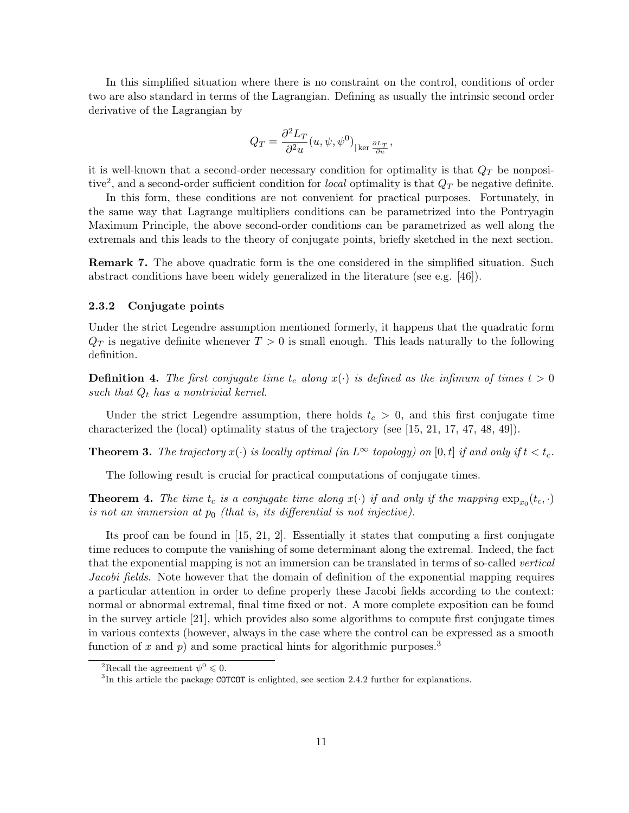In this simplified situation where there is no constraint on the control, conditions of order two are also standard in terms of the Lagrangian. Defining as usually the intrinsic second order derivative of the Lagrangian by

$$
Q_T = \frac{\partial^2 L_T}{\partial^2 u}(u, \psi, \psi^0)_{|\ker \frac{\partial L_T}{\partial u}},
$$

it is well-known that a second-order necessary condition for optimality is that  $Q_T$  be nonpositive<sup>2</sup>, and a second-order sufficient condition for *local* optimality is that  $Q_T$  be negative definite.

In this form, these conditions are not convenient for practical purposes. Fortunately, in the same way that Lagrange multipliers conditions can be parametrized into the Pontryagin Maximum Principle, the above second-order conditions can be parametrized as well along the extremals and this leads to the theory of conjugate points, briefly sketched in the next section.

Remark 7. The above quadratic form is the one considered in the simplified situation. Such abstract conditions have been widely generalized in the literature (see e.g. [46]).

#### 2.3.2 Conjugate points

Under the strict Legendre assumption mentioned formerly, it happens that the quadratic form  $Q_T$  is negative definite whenever  $T > 0$  is small enough. This leads naturally to the following definition.

**Definition 4.** The first conjugate time  $t_c$  along  $x(\cdot)$  is defined as the infimum of times  $t > 0$ such that  $Q_t$  has a nontrivial kernel.

Under the strict Legendre assumption, there holds  $t_c > 0$ , and this first conjugate time characterized the (local) optimality status of the trajectory (see [15, 21, 17, 47, 48, 49]).

**Theorem 3.** The trajectory  $x(\cdot)$  is locally optimal (in  $L^{\infty}$  topology) on [0, t] if and only if  $t < t_c$ .

The following result is crucial for practical computations of conjugate times.

**Theorem 4.** The time  $t_c$  is a conjugate time along  $x(\cdot)$  if and only if the mapping  $\exp_{x_0}(t_c, \cdot)$ is not an immersion at  $p_0$  (that is, its differential is not injective).

Its proof can be found in [15, 21, 2]. Essentially it states that computing a first conjugate time reduces to compute the vanishing of some determinant along the extremal. Indeed, the fact that the exponential mapping is not an immersion can be translated in terms of so-called vertical Jacobi fields. Note however that the domain of definition of the exponential mapping requires a particular attention in order to define properly these Jacobi fields according to the context: normal or abnormal extremal, final time fixed or not. A more complete exposition can be found in the survey article [21], which provides also some algorithms to compute first conjugate times in various contexts (however, always in the case where the control can be expressed as a smooth function of x and p) and some practical hints for algorithmic purposes.<sup>3</sup>

<sup>&</sup>lt;sup>2</sup>Recall the agreement  $\psi^0 \leq 0$ .

<sup>&</sup>lt;sup>3</sup>In this article the package COTCOT is enlighted, see section 2.4.2 further for explanations.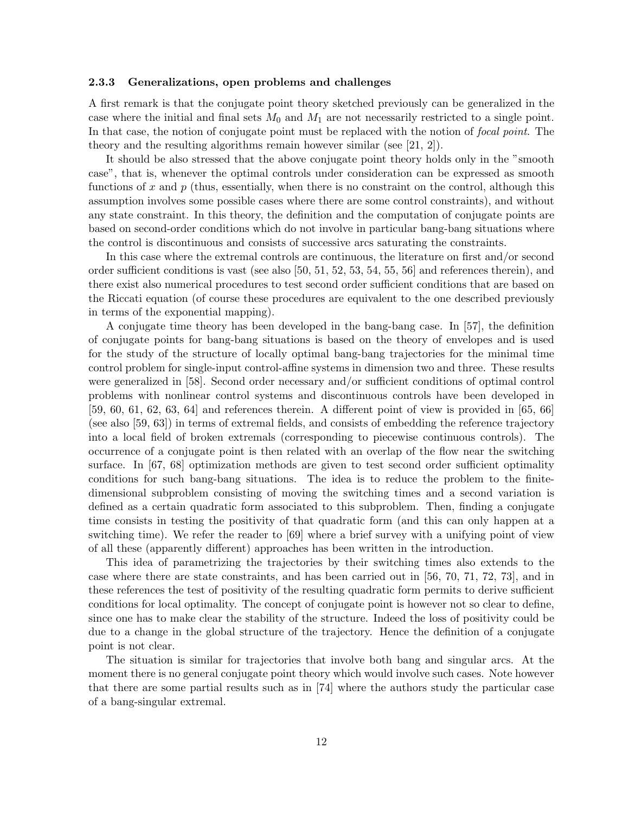#### 2.3.3 Generalizations, open problems and challenges

A first remark is that the conjugate point theory sketched previously can be generalized in the case where the initial and final sets  $M_0$  and  $M_1$  are not necessarily restricted to a single point. In that case, the notion of conjugate point must be replaced with the notion of *focal point*. The theory and the resulting algorithms remain however similar (see [21, 2]).

It should be also stressed that the above conjugate point theory holds only in the "smooth case", that is, whenever the optimal controls under consideration can be expressed as smooth functions of x and p (thus, essentially, when there is no constraint on the control, although this assumption involves some possible cases where there are some control constraints), and without any state constraint. In this theory, the definition and the computation of conjugate points are based on second-order conditions which do not involve in particular bang-bang situations where the control is discontinuous and consists of successive arcs saturating the constraints.

In this case where the extremal controls are continuous, the literature on first and/or second order sufficient conditions is vast (see also [50, 51, 52, 53, 54, 55, 56] and references therein), and there exist also numerical procedures to test second order sufficient conditions that are based on the Riccati equation (of course these procedures are equivalent to the one described previously in terms of the exponential mapping).

A conjugate time theory has been developed in the bang-bang case. In [57], the definition of conjugate points for bang-bang situations is based on the theory of envelopes and is used for the study of the structure of locally optimal bang-bang trajectories for the minimal time control problem for single-input control-affine systems in dimension two and three. These results were generalized in [58]. Second order necessary and/or sufficient conditions of optimal control problems with nonlinear control systems and discontinuous controls have been developed in [59, 60, 61, 62, 63, 64] and references therein. A different point of view is provided in [65, 66] (see also [59, 63]) in terms of extremal fields, and consists of embedding the reference trajectory into a local field of broken extremals (corresponding to piecewise continuous controls). The occurrence of a conjugate point is then related with an overlap of the flow near the switching surface. In [67, 68] optimization methods are given to test second order sufficient optimality conditions for such bang-bang situations. The idea is to reduce the problem to the finitedimensional subproblem consisting of moving the switching times and a second variation is defined as a certain quadratic form associated to this subproblem. Then, finding a conjugate time consists in testing the positivity of that quadratic form (and this can only happen at a switching time). We refer the reader to [69] where a brief survey with a unifying point of view of all these (apparently different) approaches has been written in the introduction.

This idea of parametrizing the trajectories by their switching times also extends to the case where there are state constraints, and has been carried out in [56, 70, 71, 72, 73], and in these references the test of positivity of the resulting quadratic form permits to derive sufficient conditions for local optimality. The concept of conjugate point is however not so clear to define, since one has to make clear the stability of the structure. Indeed the loss of positivity could be due to a change in the global structure of the trajectory. Hence the definition of a conjugate point is not clear.

The situation is similar for trajectories that involve both bang and singular arcs. At the moment there is no general conjugate point theory which would involve such cases. Note however that there are some partial results such as in [74] where the authors study the particular case of a bang-singular extremal.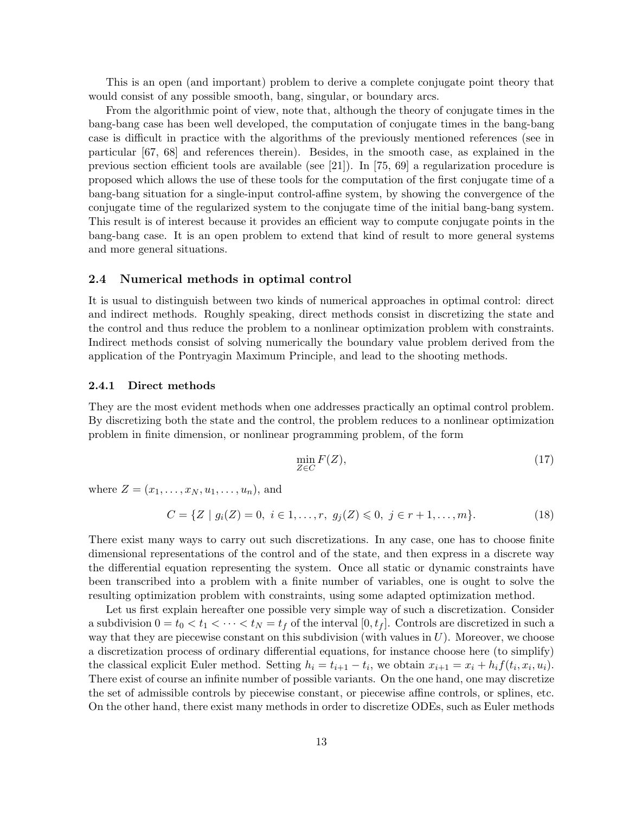This is an open (and important) problem to derive a complete conjugate point theory that would consist of any possible smooth, bang, singular, or boundary arcs.

From the algorithmic point of view, note that, although the theory of conjugate times in the bang-bang case has been well developed, the computation of conjugate times in the bang-bang case is difficult in practice with the algorithms of the previously mentioned references (see in particular [67, 68] and references therein). Besides, in the smooth case, as explained in the previous section efficient tools are available (see [21]). In [75, 69] a regularization procedure is proposed which allows the use of these tools for the computation of the first conjugate time of a bang-bang situation for a single-input control-affine system, by showing the convergence of the conjugate time of the regularized system to the conjugate time of the initial bang-bang system. This result is of interest because it provides an efficient way to compute conjugate points in the bang-bang case. It is an open problem to extend that kind of result to more general systems and more general situations.

#### 2.4 Numerical methods in optimal control

It is usual to distinguish between two kinds of numerical approaches in optimal control: direct and indirect methods. Roughly speaking, direct methods consist in discretizing the state and the control and thus reduce the problem to a nonlinear optimization problem with constraints. Indirect methods consist of solving numerically the boundary value problem derived from the application of the Pontryagin Maximum Principle, and lead to the shooting methods.

#### 2.4.1 Direct methods

They are the most evident methods when one addresses practically an optimal control problem. By discretizing both the state and the control, the problem reduces to a nonlinear optimization problem in finite dimension, or nonlinear programming problem, of the form

$$
\min_{Z \in C} F(Z),\tag{17}
$$

where  $Z = (x_1, ..., x_N, u_1, ..., u_n)$ , and

$$
C = \{ Z \mid g_i(Z) = 0, \ i \in 1, \dots, r, \ g_j(Z) \leq 0, \ j \in r+1, \dots, m \}. \tag{18}
$$

There exist many ways to carry out such discretizations. In any case, one has to choose finite dimensional representations of the control and of the state, and then express in a discrete way the differential equation representing the system. Once all static or dynamic constraints have been transcribed into a problem with a finite number of variables, one is ought to solve the resulting optimization problem with constraints, using some adapted optimization method.

Let us first explain hereafter one possible very simple way of such a discretization. Consider a subdivision  $0 = t_0 < t_1 < \cdots < t_N = t_f$  of the interval  $[0, t_f]$ . Controls are discretized in such a way that they are piecewise constant on this subdivision (with values in  $U$ ). Moreover, we choose a discretization process of ordinary differential equations, for instance choose here (to simplify) the classical explicit Euler method. Setting  $h_i = t_{i+1} - t_i$ , we obtain  $x_{i+1} = x_i + h_i f(t_i, x_i, u_i)$ . There exist of course an infinite number of possible variants. On the one hand, one may discretize the set of admissible controls by piecewise constant, or piecewise affine controls, or splines, etc. On the other hand, there exist many methods in order to discretize ODEs, such as Euler methods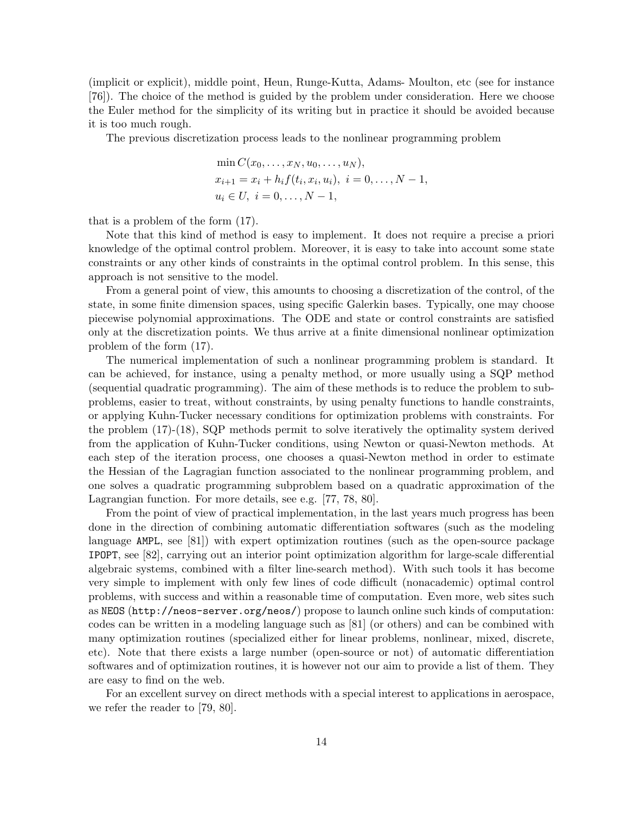(implicit or explicit), middle point, Heun, Runge-Kutta, Adams- Moulton, etc (see for instance [76]). The choice of the method is guided by the problem under consideration. Here we choose the Euler method for the simplicity of its writing but in practice it should be avoided because it is too much rough.

The previous discretization process leads to the nonlinear programming problem

$$
\min C(x_0, \dots, x_N, u_0, \dots, u_N),
$$
  
\n
$$
x_{i+1} = x_i + h_i f(t_i, x_i, u_i), \quad i = 0, \dots, N-1,
$$
  
\n
$$
u_i \in U, \quad i = 0, \dots, N-1,
$$

that is a problem of the form (17).

Note that this kind of method is easy to implement. It does not require a precise a priori knowledge of the optimal control problem. Moreover, it is easy to take into account some state constraints or any other kinds of constraints in the optimal control problem. In this sense, this approach is not sensitive to the model.

From a general point of view, this amounts to choosing a discretization of the control, of the state, in some finite dimension spaces, using specific Galerkin bases. Typically, one may choose piecewise polynomial approximations. The ODE and state or control constraints are satisfied only at the discretization points. We thus arrive at a finite dimensional nonlinear optimization problem of the form (17).

The numerical implementation of such a nonlinear programming problem is standard. It can be achieved, for instance, using a penalty method, or more usually using a SQP method (sequential quadratic programming). The aim of these methods is to reduce the problem to subproblems, easier to treat, without constraints, by using penalty functions to handle constraints, or applying Kuhn-Tucker necessary conditions for optimization problems with constraints. For the problem (17)-(18), SQP methods permit to solve iteratively the optimality system derived from the application of Kuhn-Tucker conditions, using Newton or quasi-Newton methods. At each step of the iteration process, one chooses a quasi-Newton method in order to estimate the Hessian of the Lagragian function associated to the nonlinear programming problem, and one solves a quadratic programming subproblem based on a quadratic approximation of the Lagrangian function. For more details, see e.g. [77, 78, 80].

From the point of view of practical implementation, in the last years much progress has been done in the direction of combining automatic differentiation softwares (such as the modeling language AMPL, see [81]) with expert optimization routines (such as the open-source package IPOPT, see [82], carrying out an interior point optimization algorithm for large-scale differential algebraic systems, combined with a filter line-search method). With such tools it has become very simple to implement with only few lines of code difficult (nonacademic) optimal control problems, with success and within a reasonable time of computation. Even more, web sites such as NEOS (http://neos-server.org/neos/) propose to launch online such kinds of computation: codes can be written in a modeling language such as [81] (or others) and can be combined with many optimization routines (specialized either for linear problems, nonlinear, mixed, discrete, etc). Note that there exists a large number (open-source or not) of automatic differentiation softwares and of optimization routines, it is however not our aim to provide a list of them. They are easy to find on the web.

For an excellent survey on direct methods with a special interest to applications in aerospace, we refer the reader to [79, 80].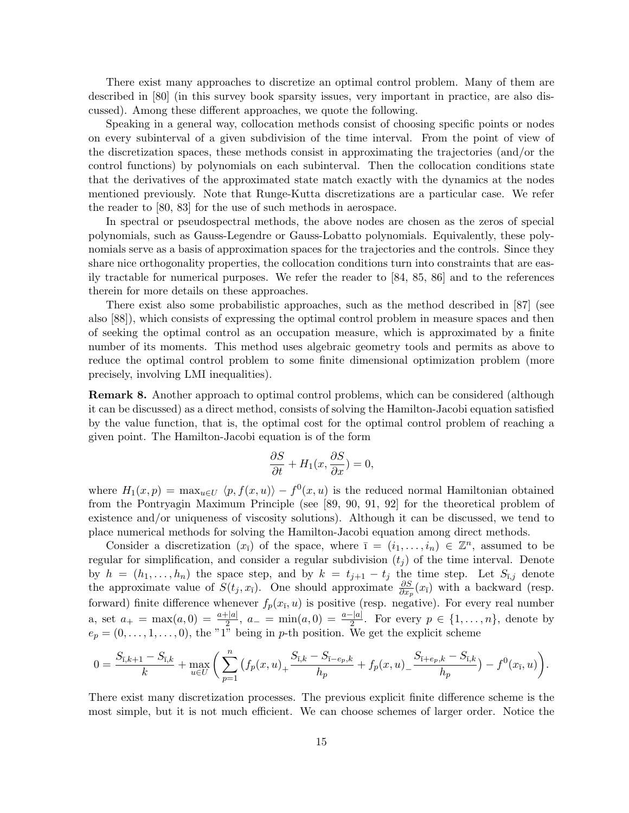There exist many approaches to discretize an optimal control problem. Many of them are described in [80] (in this survey book sparsity issues, very important in practice, are also discussed). Among these different approaches, we quote the following.

Speaking in a general way, collocation methods consist of choosing specific points or nodes on every subinterval of a given subdivision of the time interval. From the point of view of the discretization spaces, these methods consist in approximating the trajectories (and/or the control functions) by polynomials on each subinterval. Then the collocation conditions state that the derivatives of the approximated state match exactly with the dynamics at the nodes mentioned previously. Note that Runge-Kutta discretizations are a particular case. We refer the reader to [80, 83] for the use of such methods in aerospace.

In spectral or pseudospectral methods, the above nodes are chosen as the zeros of special polynomials, such as Gauss-Legendre or Gauss-Lobatto polynomials. Equivalently, these polynomials serve as a basis of approximation spaces for the trajectories and the controls. Since they share nice orthogonality properties, the collocation conditions turn into constraints that are easily tractable for numerical purposes. We refer the reader to [84, 85, 86] and to the references therein for more details on these approaches.

There exist also some probabilistic approaches, such as the method described in [87] (see also [88]), which consists of expressing the optimal control problem in measure spaces and then of seeking the optimal control as an occupation measure, which is approximated by a finite number of its moments. This method uses algebraic geometry tools and permits as above to reduce the optimal control problem to some finite dimensional optimization problem (more precisely, involving LMI inequalities).

Remark 8. Another approach to optimal control problems, which can be considered (although it can be discussed) as a direct method, consists of solving the Hamilton-Jacobi equation satisfied by the value function, that is, the optimal cost for the optimal control problem of reaching a given point. The Hamilton-Jacobi equation is of the form

$$
\frac{\partial S}{\partial t} + H_1(x, \frac{\partial S}{\partial x}) = 0,
$$

where  $H_1(x,p) = \max_{u \in U} \langle p, f(x, u) \rangle - f^0(x, u)$  is the reduced normal Hamiltonian obtained from the Pontryagin Maximum Principle (see [89, 90, 91, 92] for the theoretical problem of existence and/or uniqueness of viscosity solutions). Although it can be discussed, we tend to place numerical methods for solving the Hamilton-Jacobi equation among direct methods.

Consider a discretization  $(x_{\overline{i}})$  of the space, where  $\overline{i} = (i_1, \ldots, i_n) \in \mathbb{Z}^n$ , assumed to be regular for simplification, and consider a regular subdivision  $(t<sub>i</sub>)$  of the time interval. Denote by  $h = (h_1, \ldots, h_n)$  the space step, and by  $k = t_{j+1} - t_j$  the time step. Let  $S_{\bar{1},j}$  denote the approximate value of  $S(t_j, x_{\bar{1}})$ . One should approximate  $\frac{\partial S}{\partial x_p}(x_{\bar{1}})$  with a backward (resp. forward) finite difference whenever  $f_p(x_{\overline{1}}, u)$  is positive (resp. negative). For every real number a, set  $a_+ = \max(a, 0) = \frac{a+|a|}{2}, a_- = \min(a, 0) = \frac{a-|a|}{2}$ . For every  $p \in \{1, ..., n\}$ , denote by  $e_p = (0, \ldots, 1, \ldots, 0)$ , the "1" being in p-th position. We get the explicit scheme

$$
0 = \frac{S_{\bar{1},k+1} - S_{\bar{1},k}}{k} + \max_{u \in U} \left( \sum_{p=1}^{n} \left( f_p(x, u) + \frac{S_{\bar{1},k} - S_{\bar{1}-e_p,k}}{h_p} + f_p(x, u) - \frac{S_{\bar{1}+e_p,k} - S_{\bar{1},k}}{h_p} \right) - f^0(x_{\bar{1}}, u) \right).
$$

There exist many discretization processes. The previous explicit finite difference scheme is the most simple, but it is not much efficient. We can choose schemes of larger order. Notice the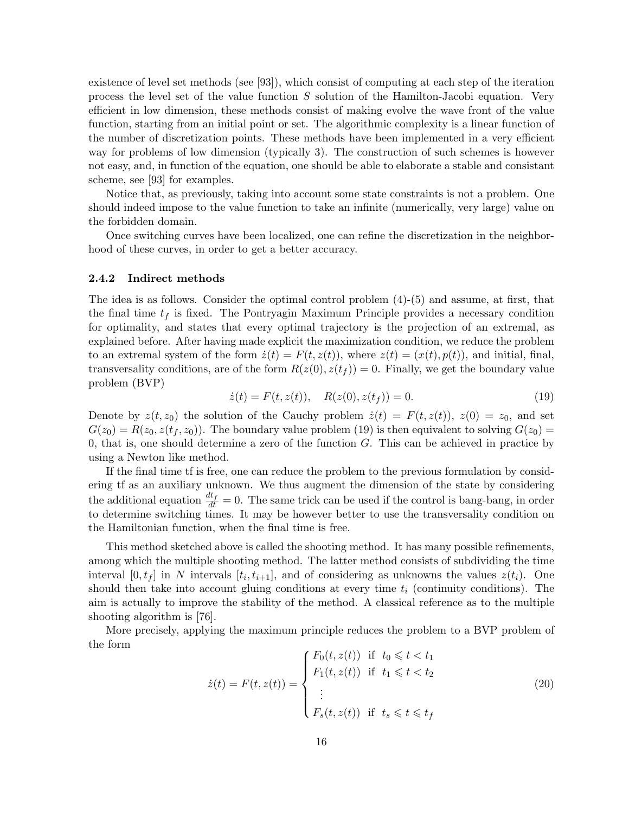existence of level set methods (see [93]), which consist of computing at each step of the iteration process the level set of the value function S solution of the Hamilton-Jacobi equation. Very efficient in low dimension, these methods consist of making evolve the wave front of the value function, starting from an initial point or set. The algorithmic complexity is a linear function of the number of discretization points. These methods have been implemented in a very efficient way for problems of low dimension (typically 3). The construction of such schemes is however not easy, and, in function of the equation, one should be able to elaborate a stable and consistant scheme, see [93] for examples.

Notice that, as previously, taking into account some state constraints is not a problem. One should indeed impose to the value function to take an infinite (numerically, very large) value on the forbidden domain.

Once switching curves have been localized, one can refine the discretization in the neighborhood of these curves, in order to get a better accuracy.

#### 2.4.2 Indirect methods

The idea is as follows. Consider the optimal control problem (4)-(5) and assume, at first, that the final time  $t_f$  is fixed. The Pontryagin Maximum Principle provides a necessary condition for optimality, and states that every optimal trajectory is the projection of an extremal, as explained before. After having made explicit the maximization condition, we reduce the problem to an extremal system of the form  $\dot{z}(t) = F(t, z(t))$ , where  $z(t) = (x(t), p(t))$ , and initial, final, transversality conditions, are of the form  $R(z(0), z(t_f)) = 0$ . Finally, we get the boundary value problem (BVP)

$$
\dot{z}(t) = F(t, z(t)), \quad R(z(0), z(t_f)) = 0.
$$
\n(19)

Denote by  $z(t, z_0)$  the solution of the Cauchy problem  $\dot{z}(t) = F(t, z(t))$ ,  $z(0) = z_0$ , and set  $G(z_0) = R(z_0, z(t_f, z_0))$ . The boundary value problem (19) is then equivalent to solving  $G(z_0)$ 0, that is, one should determine a zero of the function G. This can be achieved in practice by using a Newton like method.

If the final time tf is free, one can reduce the problem to the previous formulation by considering tf as an auxiliary unknown. We thus augment the dimension of the state by considering the additional equation  $\frac{dt_f}{dt} = 0$ . The same trick can be used if the control is bang-bang, in order to determine switching times. It may be however better to use the transversality condition on the Hamiltonian function, when the final time is free.

This method sketched above is called the shooting method. It has many possible refinements, among which the multiple shooting method. The latter method consists of subdividing the time interval  $[0, t_f]$  in N intervals  $[t_i, t_{i+1}]$ , and of considering as unknowns the values  $z(t_i)$ . One should then take into account gluing conditions at every time  $t_i$  (continuity conditions). The aim is actually to improve the stability of the method. A classical reference as to the multiple shooting algorithm is [76].

More precisely, applying the maximum principle reduces the problem to a BVP problem of the form

$$
\dot{z}(t) = F(t, z(t)) = \begin{cases} F_0(t, z(t)) & \text{if } t_0 \leq t < t_1 \\ F_1(t, z(t)) & \text{if } t_1 \leq t < t_2 \\ \vdots \\ F_s(t, z(t)) & \text{if } t_s \leq t \leq t_f \end{cases} \tag{20}
$$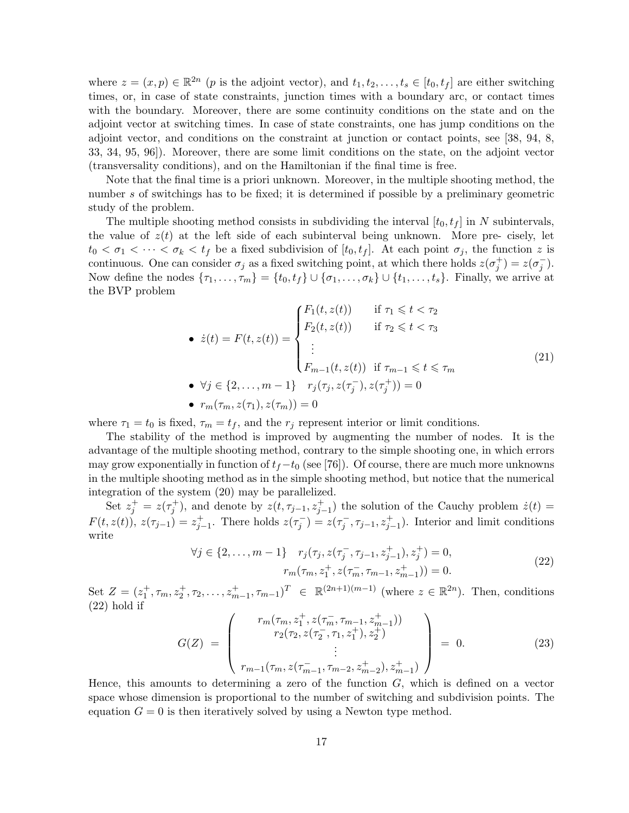where  $z = (x, p) \in \mathbb{R}^{2n}$  (p is the adjoint vector), and  $t_1, t_2, \ldots, t_s \in [t_0, t_f]$  are either switching times, or, in case of state constraints, junction times with a boundary arc, or contact times with the boundary. Moreover, there are some continuity conditions on the state and on the adjoint vector at switching times. In case of state constraints, one has jump conditions on the adjoint vector, and conditions on the constraint at junction or contact points, see [38, 94, 8, 33, 34, 95, 96]). Moreover, there are some limit conditions on the state, on the adjoint vector (transversality conditions), and on the Hamiltonian if the final time is free.

Note that the final time is a priori unknown. Moreover, in the multiple shooting method, the number s of switchings has to be fixed; it is determined if possible by a preliminary geometric study of the problem.

The multiple shooting method consists in subdividing the interval  $[t_0, t_f]$  in N subintervals, the value of  $z(t)$  at the left side of each subinterval being unknown. More pre- cisely, let  $t_0 < \sigma_1 < \cdots < \sigma_k < t_f$  be a fixed subdivision of  $[t_0, t_f]$ . At each point  $\sigma_j$ , the function z is continuous. One can consider  $\sigma_j$  as a fixed switching point, at which there holds  $z(\sigma_j^+) = z(\sigma_j^-)$ . Now define the nodes  $\{\tau_1,\ldots,\tau_m\} = \{t_0,t_f\} \cup \{\sigma_1,\ldots,\sigma_k\} \cup \{t_1,\ldots,t_s\}$ . Finally, we arrive at the BVP problem

$$
\bullet \ \dot{z}(t) = F(t, z(t)) = \begin{cases} F_1(t, z(t)) & \text{if } \tau_1 \leq t < \tau_2 \\ F_2(t, z(t)) & \text{if } \tau_2 \leq t < \tau_3 \\ \vdots & \vdots \\ F_{m-1}(t, z(t)) & \text{if } \tau_{m-1} \leq t \leq \tau_m \end{cases} \tag{21}
$$
\n
$$
\bullet \ \forall j \in \{2, \dots, m-1\} \quad r_j(\tau_j, z(\tau_j^-), z(\tau_j^+)) = 0
$$
\n
$$
\bullet \quad r_m(\tau_m, z(\tau_1), z(\tau_m)) = 0
$$

where  $\tau_1 = t_0$  is fixed,  $\tau_m = t_f$ , and the  $r_j$  represent interior or limit conditions.

The stability of the method is improved by augmenting the number of nodes. It is the advantage of the multiple shooting method, contrary to the simple shooting one, in which errors may grow exponentially in function of  $t_f-t_0$  (see [76]). Of course, there are much more unknowns in the multiple shooting method as in the simple shooting method, but notice that the numerical integration of the system (20) may be parallelized.

Set  $z_j^+ = z(\tau_j^+)$ , and denote by  $z(t, \tau_{j-1}, z_{j-1}^+)$  the solution of the Cauchy problem  $\dot{z}(t) =$  $F(t, z(t)), z(\tau_{j-1}) = z_{j-1}^+$ . There holds  $z(\tau_j^-) = z(\tau_j^- , \tau_{j-1}, z_{j-1}^+ )$ . Interior and limit conditions write

$$
\forall j \in \{2, \dots, m-1\} \quad r_j(\tau_j, z(\tau_j^-, \tau_{j-1}, z_{j-1}^+), z_j^+) = 0,
$$
  

$$
r_m(\tau_m, z_1^+, z(\tau_m^-, \tau_{m-1}, z_{m-1}^+)) = 0.
$$
 (22)

Set  $Z = (z_1^+, \tau_m, z_2^+, \tau_2, \dots, z_{m-1}^+, \tau_{m-1})^T \in \mathbb{R}^{(2n+1)(m-1)}$  (where  $z \in \mathbb{R}^{2n}$ ). Then, conditions (22) hold if

$$
G(Z) = \begin{pmatrix} r_m(\tau_m, z_1^+, z(\tau_m^-, \tau_{m-1}, z_{m-1}^+)) \\ r_2(\tau_2, z(\tau_2^-, \tau_1, z_1^+), z_2^+) \\ \vdots \\ r_{m-1}(\tau_m, z(\tau_{m-1}^-, \tau_{m-2}, z_{m-2}^+), z_{m-1}^+) \end{pmatrix} = 0.
$$
 (23)

Hence, this amounts to determining a zero of the function G, which is defined on a vector space whose dimension is proportional to the number of switching and subdivision points. The equation  $G = 0$  is then iteratively solved by using a Newton type method.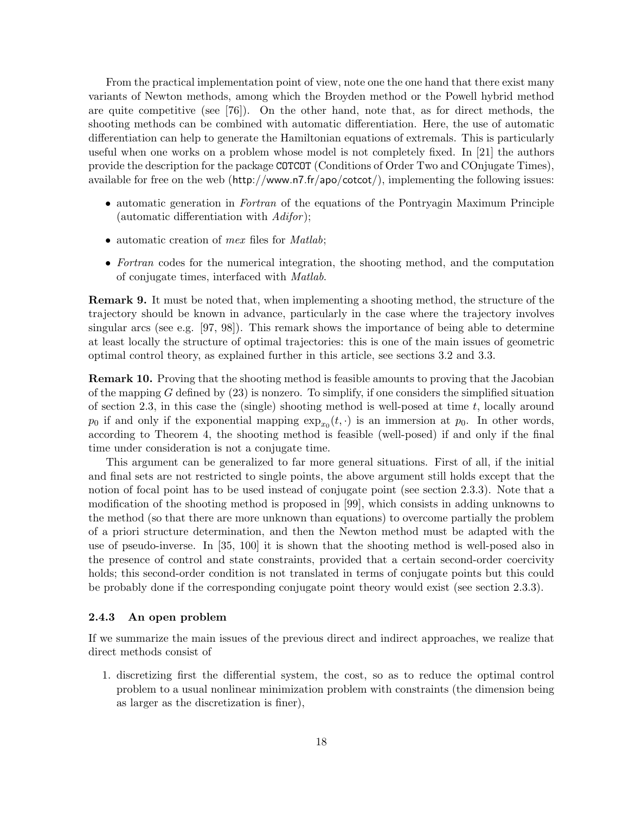From the practical implementation point of view, note one the one hand that there exist many variants of Newton methods, among which the Broyden method or the Powell hybrid method are quite competitive (see [76]). On the other hand, note that, as for direct methods, the shooting methods can be combined with automatic differentiation. Here, the use of automatic differentiation can help to generate the Hamiltonian equations of extremals. This is particularly useful when one works on a problem whose model is not completely fixed. In [21] the authors provide the description for the package COTCOT (Conditions of Order Two and COnjugate Times), available for free on the web (http://www.n7.fr/apo/cotcot/), implementing the following issues:

- automatic generation in *Fortran* of the equations of the Pontryagin Maximum Principle (automatic differentiation with  $Adifor$ );
- automatic creation of *mex* files for *Matlab*;
- Fortran codes for the numerical integration, the shooting method, and the computation of conjugate times, interfaced with Matlab.

Remark 9. It must be noted that, when implementing a shooting method, the structure of the trajectory should be known in advance, particularly in the case where the trajectory involves singular arcs (see e.g. [97, 98]). This remark shows the importance of being able to determine at least locally the structure of optimal trajectories: this is one of the main issues of geometric optimal control theory, as explained further in this article, see sections 3.2 and 3.3.

Remark 10. Proving that the shooting method is feasible amounts to proving that the Jacobian of the mapping  $G$  defined by  $(23)$  is nonzero. To simplify, if one considers the simplified situation of section 2.3, in this case the (single) shooting method is well-posed at time  $t$ , locally around  $p_0$  if and only if the exponential mapping  $\exp_{x_0}(t, \cdot)$  is an immersion at  $p_0$ . In other words, according to Theorem 4, the shooting method is feasible (well-posed) if and only if the final time under consideration is not a conjugate time.

This argument can be generalized to far more general situations. First of all, if the initial and final sets are not restricted to single points, the above argument still holds except that the notion of focal point has to be used instead of conjugate point (see section 2.3.3). Note that a modification of the shooting method is proposed in [99], which consists in adding unknowns to the method (so that there are more unknown than equations) to overcome partially the problem of a priori structure determination, and then the Newton method must be adapted with the use of pseudo-inverse. In [35, 100] it is shown that the shooting method is well-posed also in the presence of control and state constraints, provided that a certain second-order coercivity holds; this second-order condition is not translated in terms of conjugate points but this could be probably done if the corresponding conjugate point theory would exist (see section 2.3.3).

#### 2.4.3 An open problem

If we summarize the main issues of the previous direct and indirect approaches, we realize that direct methods consist of

1. discretizing first the differential system, the cost, so as to reduce the optimal control problem to a usual nonlinear minimization problem with constraints (the dimension being as larger as the discretization is finer),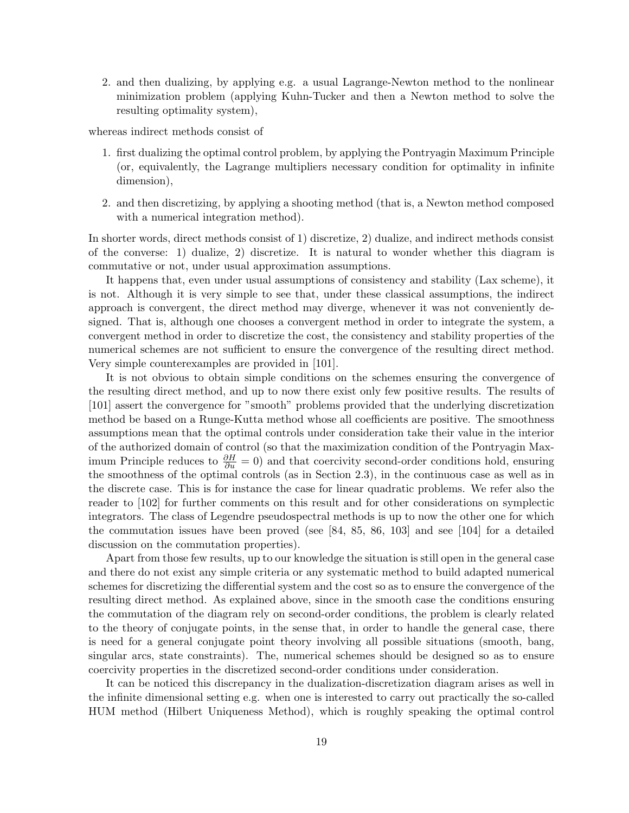2. and then dualizing, by applying e.g. a usual Lagrange-Newton method to the nonlinear minimization problem (applying Kuhn-Tucker and then a Newton method to solve the resulting optimality system),

whereas indirect methods consist of

- 1. first dualizing the optimal control problem, by applying the Pontryagin Maximum Principle (or, equivalently, the Lagrange multipliers necessary condition for optimality in infinite dimension),
- 2. and then discretizing, by applying a shooting method (that is, a Newton method composed with a numerical integration method).

In shorter words, direct methods consist of 1) discretize, 2) dualize, and indirect methods consist of the converse: 1) dualize, 2) discretize. It is natural to wonder whether this diagram is commutative or not, under usual approximation assumptions.

It happens that, even under usual assumptions of consistency and stability (Lax scheme), it is not. Although it is very simple to see that, under these classical assumptions, the indirect approach is convergent, the direct method may diverge, whenever it was not conveniently designed. That is, although one chooses a convergent method in order to integrate the system, a convergent method in order to discretize the cost, the consistency and stability properties of the numerical schemes are not sufficient to ensure the convergence of the resulting direct method. Very simple counterexamples are provided in [101].

It is not obvious to obtain simple conditions on the schemes ensuring the convergence of the resulting direct method, and up to now there exist only few positive results. The results of [101] assert the convergence for "smooth" problems provided that the underlying discretization method be based on a Runge-Kutta method whose all coefficients are positive. The smoothness assumptions mean that the optimal controls under consideration take their value in the interior of the authorized domain of control (so that the maximization condition of the Pontryagin Maximum Principle reduces to  $\frac{\partial H}{\partial u} = 0$  and that coercivity second-order conditions hold, ensuring the smoothness of the optimal controls (as in Section 2.3), in the continuous case as well as in the discrete case. This is for instance the case for linear quadratic problems. We refer also the reader to [102] for further comments on this result and for other considerations on symplectic integrators. The class of Legendre pseudospectral methods is up to now the other one for which the commutation issues have been proved (see [84, 85, 86, 103] and see [104] for a detailed discussion on the commutation properties).

Apart from those few results, up to our knowledge the situation is still open in the general case and there do not exist any simple criteria or any systematic method to build adapted numerical schemes for discretizing the differential system and the cost so as to ensure the convergence of the resulting direct method. As explained above, since in the smooth case the conditions ensuring the commutation of the diagram rely on second-order conditions, the problem is clearly related to the theory of conjugate points, in the sense that, in order to handle the general case, there is need for a general conjugate point theory involving all possible situations (smooth, bang, singular arcs, state constraints). The, numerical schemes should be designed so as to ensure coercivity properties in the discretized second-order conditions under consideration.

It can be noticed this discrepancy in the dualization-discretization diagram arises as well in the infinite dimensional setting e.g. when one is interested to carry out practically the so-called HUM method (Hilbert Uniqueness Method), which is roughly speaking the optimal control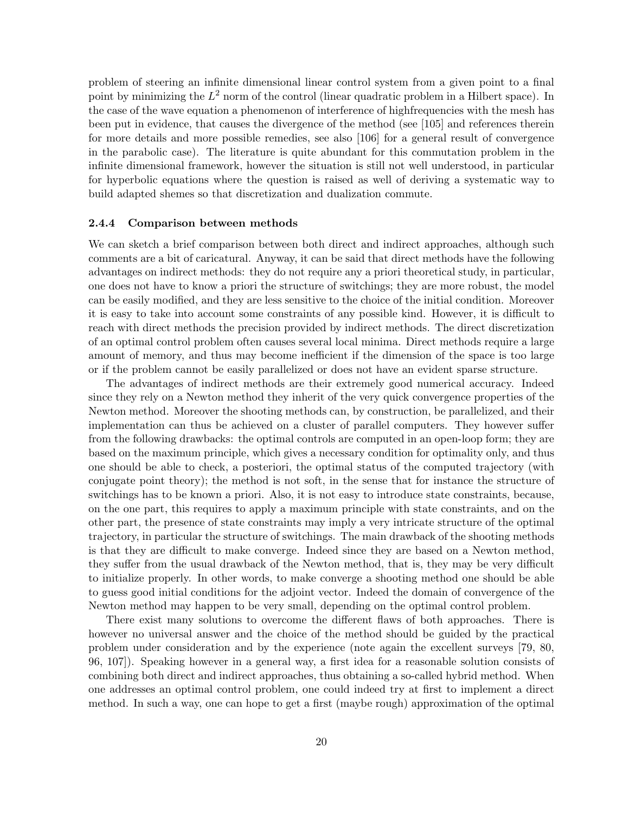problem of steering an infinite dimensional linear control system from a given point to a final point by minimizing the  $L^2$  norm of the control (linear quadratic problem in a Hilbert space). In the case of the wave equation a phenomenon of interference of highfrequencies with the mesh has been put in evidence, that causes the divergence of the method (see [105] and references therein for more details and more possible remedies, see also [106] for a general result of convergence in the parabolic case). The literature is quite abundant for this commutation problem in the infinite dimensional framework, however the situation is still not well understood, in particular for hyperbolic equations where the question is raised as well of deriving a systematic way to build adapted shemes so that discretization and dualization commute.

#### 2.4.4 Comparison between methods

We can sketch a brief comparison between both direct and indirect approaches, although such comments are a bit of caricatural. Anyway, it can be said that direct methods have the following advantages on indirect methods: they do not require any a priori theoretical study, in particular, one does not have to know a priori the structure of switchings; they are more robust, the model can be easily modified, and they are less sensitive to the choice of the initial condition. Moreover it is easy to take into account some constraints of any possible kind. However, it is difficult to reach with direct methods the precision provided by indirect methods. The direct discretization of an optimal control problem often causes several local minima. Direct methods require a large amount of memory, and thus may become inefficient if the dimension of the space is too large or if the problem cannot be easily parallelized or does not have an evident sparse structure.

The advantages of indirect methods are their extremely good numerical accuracy. Indeed since they rely on a Newton method they inherit of the very quick convergence properties of the Newton method. Moreover the shooting methods can, by construction, be parallelized, and their implementation can thus be achieved on a cluster of parallel computers. They however suffer from the following drawbacks: the optimal controls are computed in an open-loop form; they are based on the maximum principle, which gives a necessary condition for optimality only, and thus one should be able to check, a posteriori, the optimal status of the computed trajectory (with conjugate point theory); the method is not soft, in the sense that for instance the structure of switchings has to be known a priori. Also, it is not easy to introduce state constraints, because, on the one part, this requires to apply a maximum principle with state constraints, and on the other part, the presence of state constraints may imply a very intricate structure of the optimal trajectory, in particular the structure of switchings. The main drawback of the shooting methods is that they are difficult to make converge. Indeed since they are based on a Newton method, they suffer from the usual drawback of the Newton method, that is, they may be very difficult to initialize properly. In other words, to make converge a shooting method one should be able to guess good initial conditions for the adjoint vector. Indeed the domain of convergence of the Newton method may happen to be very small, depending on the optimal control problem.

There exist many solutions to overcome the different flaws of both approaches. There is however no universal answer and the choice of the method should be guided by the practical problem under consideration and by the experience (note again the excellent surveys [79, 80, 96, 107]). Speaking however in a general way, a first idea for a reasonable solution consists of combining both direct and indirect approaches, thus obtaining a so-called hybrid method. When one addresses an optimal control problem, one could indeed try at first to implement a direct method. In such a way, one can hope to get a first (maybe rough) approximation of the optimal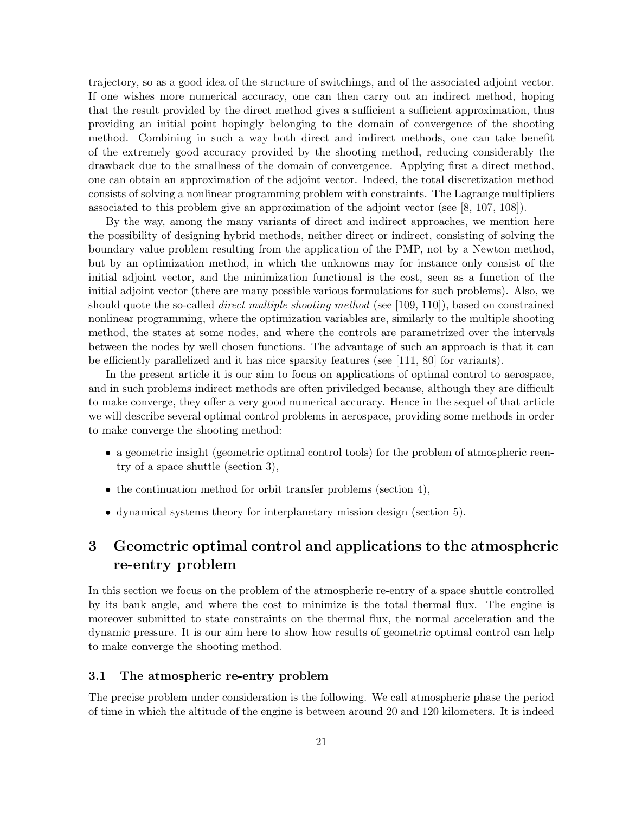trajectory, so as a good idea of the structure of switchings, and of the associated adjoint vector. If one wishes more numerical accuracy, one can then carry out an indirect method, hoping that the result provided by the direct method gives a sufficient a sufficient approximation, thus providing an initial point hopingly belonging to the domain of convergence of the shooting method. Combining in such a way both direct and indirect methods, one can take benefit of the extremely good accuracy provided by the shooting method, reducing considerably the drawback due to the smallness of the domain of convergence. Applying first a direct method, one can obtain an approximation of the adjoint vector. Indeed, the total discretization method consists of solving a nonlinear programming problem with constraints. The Lagrange multipliers associated to this problem give an approximation of the adjoint vector (see [8, 107, 108]).

By the way, among the many variants of direct and indirect approaches, we mention here the possibility of designing hybrid methods, neither direct or indirect, consisting of solving the boundary value problem resulting from the application of the PMP, not by a Newton method, but by an optimization method, in which the unknowns may for instance only consist of the initial adjoint vector, and the minimization functional is the cost, seen as a function of the initial adjoint vector (there are many possible various formulations for such problems). Also, we should quote the so-called direct multiple shooting method (see [109, 110]), based on constrained nonlinear programming, where the optimization variables are, similarly to the multiple shooting method, the states at some nodes, and where the controls are parametrized over the intervals between the nodes by well chosen functions. The advantage of such an approach is that it can be efficiently parallelized and it has nice sparsity features (see [111, 80] for variants).

In the present article it is our aim to focus on applications of optimal control to aerospace, and in such problems indirect methods are often priviledged because, although they are difficult to make converge, they offer a very good numerical accuracy. Hence in the sequel of that article we will describe several optimal control problems in aerospace, providing some methods in order to make converge the shooting method:

- a geometric insight (geometric optimal control tools) for the problem of atmospheric reentry of a space shuttle (section 3),
- the continuation method for orbit transfer problems (section 4),
- dynamical systems theory for interplanetary mission design (section 5).

# 3 Geometric optimal control and applications to the atmospheric re-entry problem

In this section we focus on the problem of the atmospheric re-entry of a space shuttle controlled by its bank angle, and where the cost to minimize is the total thermal flux. The engine is moreover submitted to state constraints on the thermal flux, the normal acceleration and the dynamic pressure. It is our aim here to show how results of geometric optimal control can help to make converge the shooting method.

### 3.1 The atmospheric re-entry problem

The precise problem under consideration is the following. We call atmospheric phase the period of time in which the altitude of the engine is between around 20 and 120 kilometers. It is indeed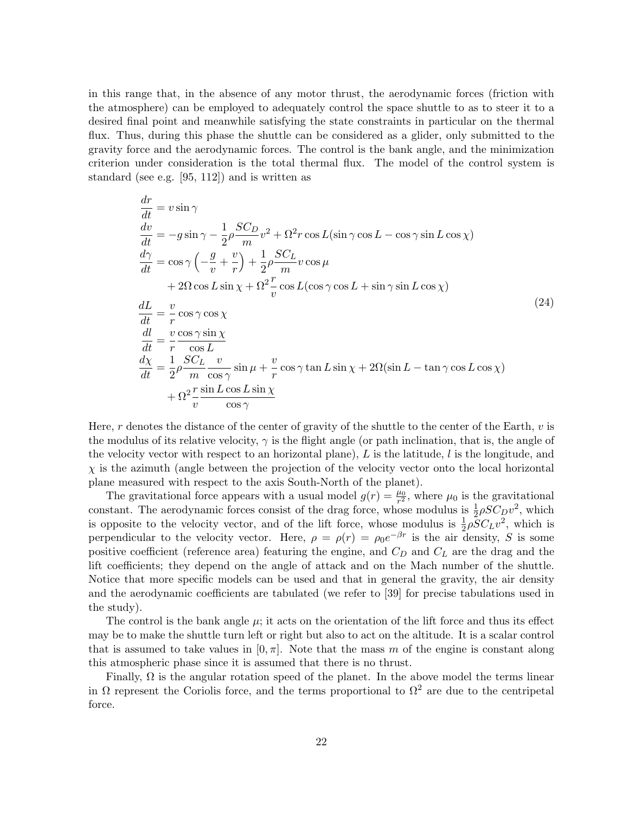in this range that, in the absence of any motor thrust, the aerodynamic forces (friction with the atmosphere) can be employed to adequately control the space shuttle to as to steer it to a desired final point and meanwhile satisfying the state constraints in particular on the thermal flux. Thus, during this phase the shuttle can be considered as a glider, only submitted to the gravity force and the aerodynamic forces. The control is the bank angle, and the minimization criterion under consideration is the total thermal flux. The model of the control system is standard (see e.g. [95, 112]) and is written as

$$
\begin{aligned}\n\frac{dr}{dt} &= v \sin \gamma \\
\frac{dv}{dt} &= -g \sin \gamma - \frac{1}{2} \rho \frac{SC_D}{m} v^2 + \Omega^2 r \cos L (\sin \gamma \cos L - \cos \gamma \sin L \cos \chi) \\
\frac{d\gamma}{dt} &= \cos \gamma \left( -\frac{g}{v} + \frac{v}{r} \right) + \frac{1}{2} \rho \frac{SC_L}{m} v \cos \mu \\
&+ 2\Omega \cos L \sin \chi + \Omega^2 \frac{r}{v} \cos L (\cos \gamma \cos L + \sin \gamma \sin L \cos \chi) \\
\frac{dL}{dt} &= \frac{v}{r} \cos \gamma \cos \chi \\
\frac{dl}{dt} &= \frac{v}{r} \frac{\cos \gamma \sin \chi}{\cos L} \\
\frac{d\chi}{dt} &= \frac{1}{2} \rho \frac{SC_L}{m} \frac{v}{\cos \gamma} \sin \mu + \frac{v}{r} \cos \gamma \tan L \sin \chi + 2\Omega (\sin L - \tan \gamma \cos L \cos \chi) \\
&+ \Omega^2 \frac{r}{v} \frac{\sin L \cos L \sin \chi}{\cos \gamma}\n\end{aligned}
$$
\n(24)

Here, r denotes the distance of the center of gravity of the shuttle to the center of the Earth,  $v$  is the modulus of its relative velocity,  $\gamma$  is the flight angle (or path inclination, that is, the angle of the velocity vector with respect to an horizontal plane),  $L$  is the latitude,  $l$  is the longitude, and  $\chi$  is the azimuth (angle between the projection of the velocity vector onto the local horizontal plane measured with respect to the axis South-North of the planet).

The gravitational force appears with a usual model  $g(r) = \frac{\mu_0}{r^2}$ , where  $\mu_0$  is the gravitational constant. The aerodynamic forces consist of the drag force, whose modulus is  $\frac{1}{2} \rho SC_D v^2$ , which is opposite to the velocity vector, and of the lift force, whose modulus is  $\frac{1}{2}\rho \overline{S} C_L v^2$ , which is perpendicular to the velocity vector. Here,  $\rho = \rho(r) = \rho_0 e^{-\beta r}$  is the air density, S is some positive coefficient (reference area) featuring the engine, and  $C_D$  and  $C_L$  are the drag and the lift coefficients; they depend on the angle of attack and on the Mach number of the shuttle. Notice that more specific models can be used and that in general the gravity, the air density and the aerodynamic coefficients are tabulated (we refer to [39] for precise tabulations used in the study).

The control is the bank angle  $\mu$ ; it acts on the orientation of the lift force and thus its effect may be to make the shuttle turn left or right but also to act on the altitude. It is a scalar control that is assumed to take values in  $[0, \pi]$ . Note that the mass m of the engine is constant along this atmospheric phase since it is assumed that there is no thrust.

Finally,  $\Omega$  is the angular rotation speed of the planet. In the above model the terms linear in  $\Omega$  represent the Coriolis force, and the terms proportional to  $\Omega^2$  are due to the centripetal force.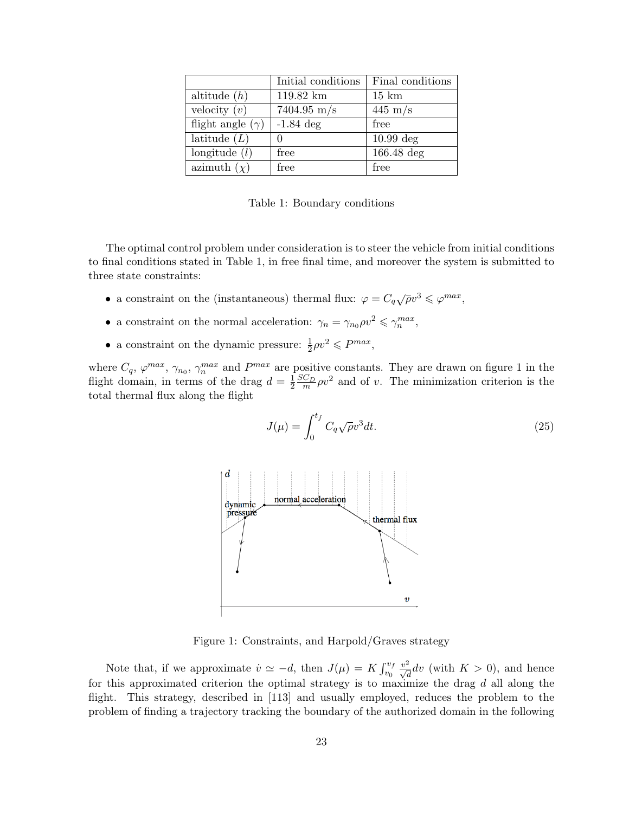|                         | Initial conditions | Final conditions    |
|-------------------------|--------------------|---------------------|
| altitude $(h)$          | 119.82 km          | $15 \; \mathrm{km}$ |
| velocity $(v)$          | 7404.95 m/s        | $445 \text{ m/s}$   |
| flight angle $(\gamma)$ | $-1.84$ deg        | free                |
| latitude $(L)$          |                    | $10.99$ deg         |
| longitude $(l)$         | free               | $166.48$ deg        |
| azimuth $(\chi)$        | free               | free                |

Table 1: Boundary conditions

The optimal control problem under consideration is to steer the vehicle from initial conditions to final conditions stated in Table 1, in free final time, and moreover the system is submitted to three state constraints:

- a constraint on the (instantaneous) thermal flux:  $\varphi = C_q \sqrt{\rho} v^3 \leq \varphi^{max}$ ,
- a constraint on the normal acceleration:  $\gamma_n = \gamma_{n_0} \rho v^2 \leq \gamma_n^{max}$ ,
- a constraint on the dynamic pressure:  $\frac{1}{2}\rho v^2 \leq P^{max}$ ,

where  $C_q$ ,  $\varphi^{max}$ ,  $\gamma_{n_0}$ ,  $\gamma_n^{max}$  and  $P^{max}$  are positive constants. They are drawn on figure 1 in the flight domain, in terms of the drag  $d = \frac{1}{2}$  $\frac{1}{2} \frac{SC_D}{m} \rho v^2$  and of v. The minimization criterion is the total thermal flux along the flight

$$
J(\mu) = \int_0^{t_f} C_q \sqrt{\rho} v^3 dt. \tag{25}
$$



Figure 1: Constraints, and Harpold/Graves strategy

Note that, if we approximate  $\dot{v} \simeq -d$ , then  $J(\mu) = K \int_{v_0}^{v_f}$  $\frac{v^2}{\sqrt{d}}dv$  (with  $K > 0$ ), and hence for this approximated criterion the optimal strategy is to maximize the drag  $d$  all along the flight. This strategy, described in [113] and usually employed, reduces the problem to the problem of finding a trajectory tracking the boundary of the authorized domain in the following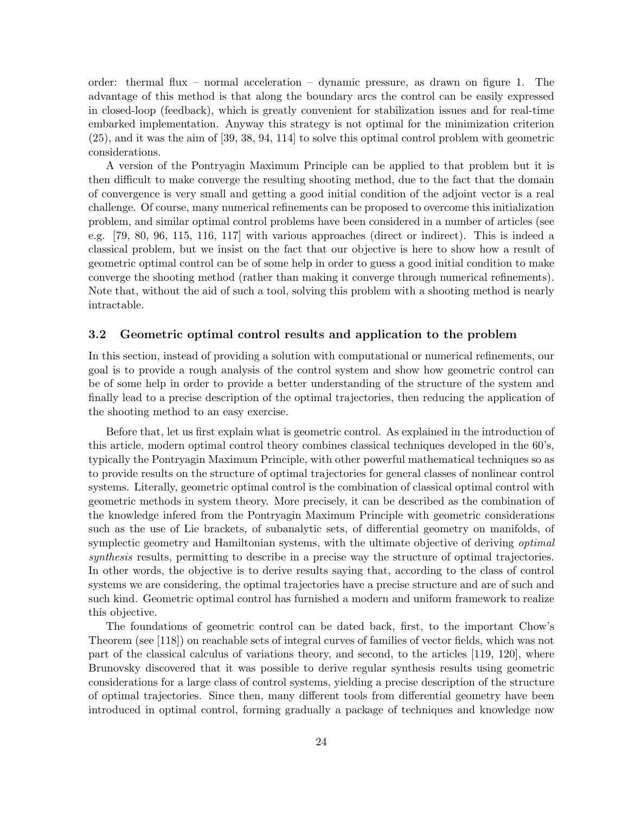order: thermal flux – normal acceleration – dynamic pressure, as drawn on figure 1. The advantage of this method is that along the boundary arcs the control can be easily expressed in closed-loop (feedback), which is greatly convenient for stabilization issues and for real-time embarked implementation. Anyway this strategy is not optimal for the minimization criterion (25), and it was the aim of [39, 38, 94, 114] to solve this optimal control problem with geometric considerations.

A version of the Pontryagin Maximum Principle can be applied to that problem but it is then difficult to make converge the resulting shooting method, due to the fact that the domain of convergence is very small and getting a good initial condition of the adjoint vector is a real challenge. Of course, many numerical refinements can be proposed to overcome this initialization problem, and similar optimal control problems have been considered in a number of articles (see e.g. [79, 80, 96, 115, 116, 117] with various approaches (direct or indirect). This is indeed a classical problem, but we insist on the fact that our objective is here to show how a result of geometric optimal control can be of some help in order to guess a good initial condition to make converge the shooting method (rather than making it converge through numerical refinements). Note that, without the aid of such a tool, solving this problem with a shooting method is nearly intractable.

### 3.2 Geometric optimal control results and application to the problem

In this section, instead of providing a solution with computational or numerical refinements, our goal is to provide a rough analysis of the control system and show how geometric control can be of some help in order to provide a better understanding of the structure of the system and finally lead to a precise description of the optimal trajectories, then reducing the application of the shooting method to an easy exercise.

Before that, let us first explain what is geometric control. As explained in the introduction of this article, modern optimal control theory combines classical techniques developed in the 60's, typically the Pontryagin Maximum Principle, with other powerful mathematical techniques so as to provide results on the structure of optimal trajectories for general classes of nonlinear control systems. Literally, geometric optimal control is the combination of classical optimal control with geometric methods in system theory. More precisely, it can be described as the combination of the knowledge infered from the Pontryagin Maximum Principle with geometric considerations such as the use of Lie brackets, of subanalytic sets, of differential geometry on manifolds, of symplectic geometry and Hamiltonian systems, with the ultimate objective of deriving *optimal* synthesis results, permitting to describe in a precise way the structure of optimal trajectories. In other words, the objective is to derive results saying that, according to the class of control systems we are considering, the optimal trajectories have a precise structure and are of such and such kind. Geometric optimal control has furnished a modern and uniform framework to realize this objective.

The foundations of geometric control can be dated back, first, to the important Chow's Theorem (see [118]) on reachable sets of integral curves of families of vector fields, which was not part of the classical calculus of variations theory, and second, to the articles [119, 120], where Brunovsky discovered that it was possible to derive regular synthesis results using geometric considerations for a large class of control systems, yielding a precise description of the structure of optimal trajectories. Since then, many different tools from differential geometry have been introduced in optimal control, forming gradually a package of techniques and knowledge now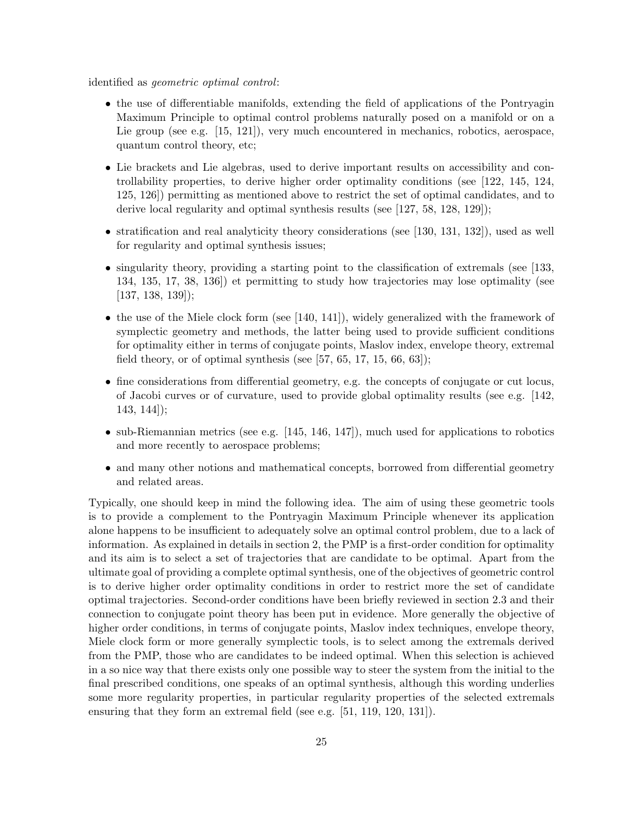identified as geometric optimal control:

- the use of differentiable manifolds, extending the field of applications of the Pontryagin Maximum Principle to optimal control problems naturally posed on a manifold or on a Lie group (see e.g. [15, 121]), very much encountered in mechanics, robotics, aerospace, quantum control theory, etc;
- Lie brackets and Lie algebras, used to derive important results on accessibility and controllability properties, to derive higher order optimality conditions (see [122, 145, 124, 125, 126]) permitting as mentioned above to restrict the set of optimal candidates, and to derive local regularity and optimal synthesis results (see [127, 58, 128, 129]);
- stratification and real analyticity theory considerations (see [130, 131, 132]), used as well for regularity and optimal synthesis issues;
- singularity theory, providing a starting point to the classification of extremals (see [133, 134, 135, 17, 38, 136]) et permitting to study how trajectories may lose optimality (see [137, 138, 139]);
- the use of the Miele clock form (see  $[140, 141]$ ), widely generalized with the framework of symplectic geometry and methods, the latter being used to provide sufficient conditions for optimality either in terms of conjugate points, Maslov index, envelope theory, extremal field theory, or of optimal synthesis (see  $[57, 65, 17, 15, 66, 63]$ );
- fine considerations from differential geometry, e.g. the concepts of conjugate or cut locus, of Jacobi curves or of curvature, used to provide global optimality results (see e.g. [142, 143, 144]);
- sub-Riemannian metrics (see e.g.  $[145, 146, 147]$ ), much used for applications to robotics and more recently to aerospace problems;
- and many other notions and mathematical concepts, borrowed from differential geometry and related areas.

Typically, one should keep in mind the following idea. The aim of using these geometric tools is to provide a complement to the Pontryagin Maximum Principle whenever its application alone happens to be insufficient to adequately solve an optimal control problem, due to a lack of information. As explained in details in section 2, the PMP is a first-order condition for optimality and its aim is to select a set of trajectories that are candidate to be optimal. Apart from the ultimate goal of providing a complete optimal synthesis, one of the objectives of geometric control is to derive higher order optimality conditions in order to restrict more the set of candidate optimal trajectories. Second-order conditions have been briefly reviewed in section 2.3 and their connection to conjugate point theory has been put in evidence. More generally the objective of higher order conditions, in terms of conjugate points, Maslov index techniques, envelope theory, Miele clock form or more generally symplectic tools, is to select among the extremals derived from the PMP, those who are candidates to be indeed optimal. When this selection is achieved in a so nice way that there exists only one possible way to steer the system from the initial to the final prescribed conditions, one speaks of an optimal synthesis, although this wording underlies some more regularity properties, in particular regularity properties of the selected extremals ensuring that they form an extremal field (see e.g. [51, 119, 120, 131]).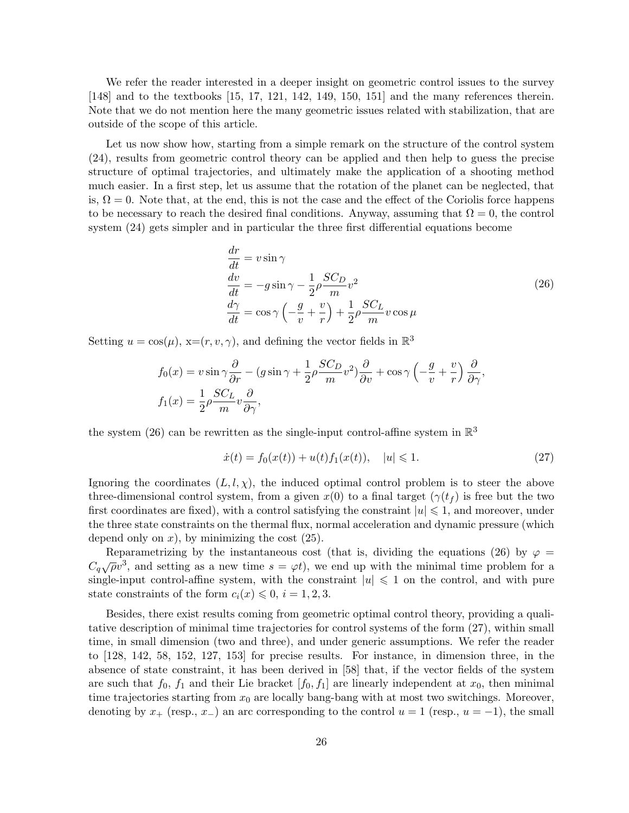We refer the reader interested in a deeper insight on geometric control issues to the survey [148] and to the textbooks [15, 17, 121, 142, 149, 150, 151] and the many references therein. Note that we do not mention here the many geometric issues related with stabilization, that are outside of the scope of this article.

Let us now show how, starting from a simple remark on the structure of the control system (24), results from geometric control theory can be applied and then help to guess the precise structure of optimal trajectories, and ultimately make the application of a shooting method much easier. In a first step, let us assume that the rotation of the planet can be neglected, that is,  $\Omega = 0$ . Note that, at the end, this is not the case and the effect of the Coriolis force happens to be necessary to reach the desired final conditions. Anyway, assuming that  $\Omega = 0$ , the control system (24) gets simpler and in particular the three first differential equations become

$$
\begin{aligned}\n\frac{dr}{dt} &= v \sin \gamma \\
\frac{dv}{dt} &= -g \sin \gamma - \frac{1}{2} \rho \frac{SC_D}{m} v^2 \\
\frac{d\gamma}{dt} &= \cos \gamma \left( -\frac{g}{v} + \frac{v}{r} \right) + \frac{1}{2} \rho \frac{SC_L}{m} v \cos \mu\n\end{aligned} \tag{26}
$$

Setting  $u = \cos(\mu)$ ,  $x=(r, v, \gamma)$ , and defining the vector fields in  $\mathbb{R}^3$ 

$$
f_0(x) = v \sin \gamma \frac{\partial}{\partial r} - (g \sin \gamma + \frac{1}{2} \rho \frac{SC_D}{m} v^2) \frac{\partial}{\partial v} + \cos \gamma \left(-\frac{g}{v} + \frac{v}{r}\right) \frac{\partial}{\partial \gamma},
$$
  

$$
f_1(x) = \frac{1}{2} \rho \frac{SC_L}{m} v \frac{\partial}{\partial \gamma},
$$

the system (26) can be rewritten as the single-input control-affine system in  $\mathbb{R}^3$ 

$$
\dot{x}(t) = f_0(x(t)) + u(t)f_1(x(t)), \quad |u| \leq 1.
$$
\n(27)

Ignoring the coordinates  $(L, l, \chi)$ , the induced optimal control problem is to steer the above three-dimensional control system, from a given  $x(0)$  to a final target  $(\gamma(t_f))$  is free but the two first coordinates are fixed), with a control satisfying the constraint  $|u| \leq 1$ , and moreover, under the three state constraints on the thermal flux, normal acceleration and dynamic pressure (which depend only on x, by minimizing the cost  $(25)$ .

Reparametrizing by the instantaneous cost (that is, dividing the equations (26) by  $\varphi =$  $C_q\sqrt{\rho}v^3$ , and setting as a new time  $s = \varphi t$ ), we end up with the minimal time problem for a single-input control-affine system, with the constraint  $|u| \leq 1$  on the control, and with pure state constraints of the form  $c_i(x) \leq 0, i = 1, 2, 3$ .

Besides, there exist results coming from geometric optimal control theory, providing a qualitative description of minimal time trajectories for control systems of the form (27), within small time, in small dimension (two and three), and under generic assumptions. We refer the reader to [128, 142, 58, 152, 127, 153] for precise results. For instance, in dimension three, in the absence of state constraint, it has been derived in [58] that, if the vector fields of the system are such that  $f_0, f_1$  and their Lie bracket  $[f_0, f_1]$  are linearly independent at  $x_0$ , then minimal time trajectories starting from  $x_0$  are locally bang-bang with at most two switchings. Moreover, denoting by  $x_+$  (resp.,  $x_-$ ) an arc corresponding to the control  $u = 1$  (resp.,  $u = -1$ ), the small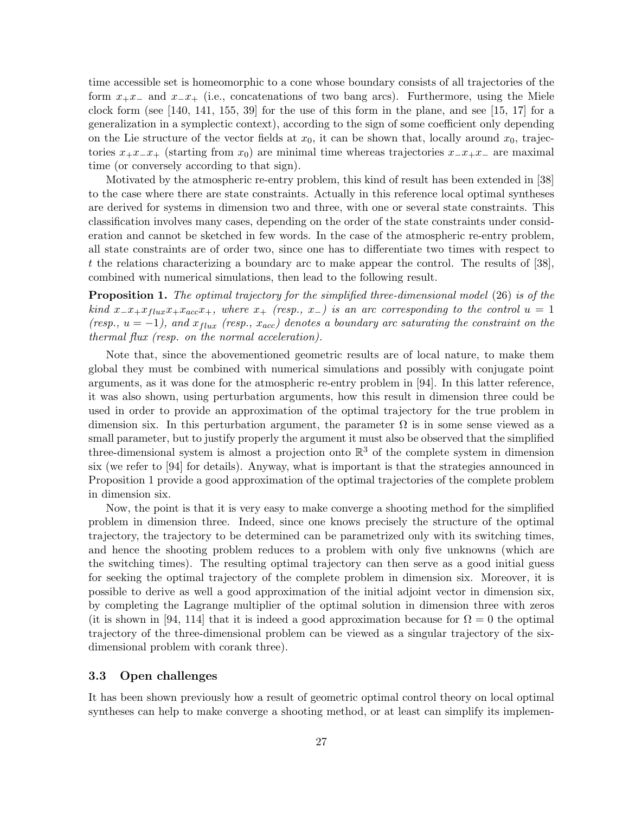time accessible set is homeomorphic to a cone whose boundary consists of all trajectories of the form  $x_+x_-$  and  $x_-x_+$  (i.e., concatenations of two bang arcs). Furthermore, using the Miele clock form (see  $\vert 140, 141, 155, 39 \vert$  for the use of this form in the plane, and see  $\vert 15, 17 \vert$  for a generalization in a symplectic context), according to the sign of some coefficient only depending on the Lie structure of the vector fields at  $x_0$ , it can be shown that, locally around  $x_0$ , trajectories  $x_+x_-x_+$  (starting from  $x_0$ ) are minimal time whereas trajectories  $x_-x_+x_-\,$  are maximal time (or conversely according to that sign).

Motivated by the atmospheric re-entry problem, this kind of result has been extended in [38] to the case where there are state constraints. Actually in this reference local optimal syntheses are derived for systems in dimension two and three, with one or several state constraints. This classification involves many cases, depending on the order of the state constraints under consideration and cannot be sketched in few words. In the case of the atmospheric re-entry problem, all state constraints are of order two, since one has to differentiate two times with respect to t the relations characterizing a boundary arc to make appear the control. The results of [38], combined with numerical simulations, then lead to the following result.

**Proposition 1.** The optimal trajectory for the simplified three-dimensional model (26) is of the kind  $x=x+x_{flux}x+x_{acc}x_+$ , where  $x_+(resp., x_-)$  is an arc corresponding to the control  $u=1$ (resp.,  $u = -1$ ), and  $x_{flux}$  (resp.,  $x_{acc}$ ) denotes a boundary arc saturating the constraint on the thermal flux (resp. on the normal acceleration).

Note that, since the abovementioned geometric results are of local nature, to make them global they must be combined with numerical simulations and possibly with conjugate point arguments, as it was done for the atmospheric re-entry problem in [94]. In this latter reference, it was also shown, using perturbation arguments, how this result in dimension three could be used in order to provide an approximation of the optimal trajectory for the true problem in dimension six. In this perturbation argument, the parameter  $\Omega$  is in some sense viewed as a small parameter, but to justify properly the argument it must also be observed that the simplified three-dimensional system is almost a projection onto  $\mathbb{R}^3$  of the complete system in dimension six (we refer to [94] for details). Anyway, what is important is that the strategies announced in Proposition 1 provide a good approximation of the optimal trajectories of the complete problem in dimension six.

Now, the point is that it is very easy to make converge a shooting method for the simplified problem in dimension three. Indeed, since one knows precisely the structure of the optimal trajectory, the trajectory to be determined can be parametrized only with its switching times, and hence the shooting problem reduces to a problem with only five unknowns (which are the switching times). The resulting optimal trajectory can then serve as a good initial guess for seeking the optimal trajectory of the complete problem in dimension six. Moreover, it is possible to derive as well a good approximation of the initial adjoint vector in dimension six, by completing the Lagrange multiplier of the optimal solution in dimension three with zeros (it is shown in [94, 114] that it is indeed a good approximation because for  $\Omega = 0$  the optimal trajectory of the three-dimensional problem can be viewed as a singular trajectory of the sixdimensional problem with corank three).

#### 3.3 Open challenges

It has been shown previously how a result of geometric optimal control theory on local optimal syntheses can help to make converge a shooting method, or at least can simplify its implemen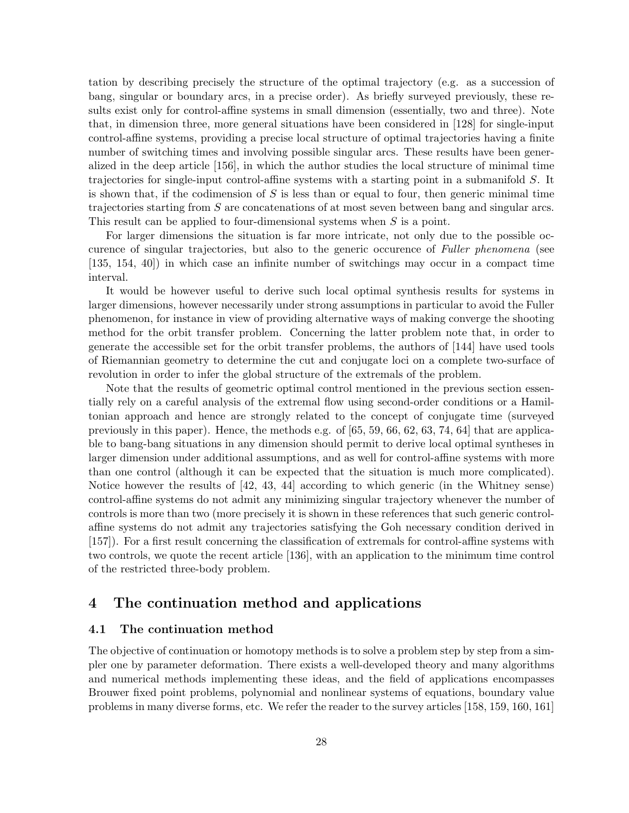tation by describing precisely the structure of the optimal trajectory (e.g. as a succession of bang, singular or boundary arcs, in a precise order). As briefly surveyed previously, these results exist only for control-affine systems in small dimension (essentially, two and three). Note that, in dimension three, more general situations have been considered in [128] for single-input control-affine systems, providing a precise local structure of optimal trajectories having a finite number of switching times and involving possible singular arcs. These results have been generalized in the deep article [156], in which the author studies the local structure of minimal time trajectories for single-input control-affine systems with a starting point in a submanifold S. It is shown that, if the codimension of  $S$  is less than or equal to four, then generic minimal time trajectories starting from S are concatenations of at most seven between bang and singular arcs. This result can be applied to four-dimensional systems when S is a point.

For larger dimensions the situation is far more intricate, not only due to the possible occurence of singular trajectories, but also to the generic occurence of Fuller phenomena (see [135, 154, 40]) in which case an infinite number of switchings may occur in a compact time interval.

It would be however useful to derive such local optimal synthesis results for systems in larger dimensions, however necessarily under strong assumptions in particular to avoid the Fuller phenomenon, for instance in view of providing alternative ways of making converge the shooting method for the orbit transfer problem. Concerning the latter problem note that, in order to generate the accessible set for the orbit transfer problems, the authors of [144] have used tools of Riemannian geometry to determine the cut and conjugate loci on a complete two-surface of revolution in order to infer the global structure of the extremals of the problem.

Note that the results of geometric optimal control mentioned in the previous section essentially rely on a careful analysis of the extremal flow using second-order conditions or a Hamiltonian approach and hence are strongly related to the concept of conjugate time (surveyed previously in this paper). Hence, the methods e.g. of [65, 59, 66, 62, 63, 74, 64] that are applicable to bang-bang situations in any dimension should permit to derive local optimal syntheses in larger dimension under additional assumptions, and as well for control-affine systems with more than one control (although it can be expected that the situation is much more complicated). Notice however the results of [42, 43, 44] according to which generic (in the Whitney sense) control-affine systems do not admit any minimizing singular trajectory whenever the number of controls is more than two (more precisely it is shown in these references that such generic controlaffine systems do not admit any trajectories satisfying the Goh necessary condition derived in [157]). For a first result concerning the classification of extremals for control-affine systems with two controls, we quote the recent article [136], with an application to the minimum time control of the restricted three-body problem.

# 4 The continuation method and applications

# 4.1 The continuation method

The objective of continuation or homotopy methods is to solve a problem step by step from a simpler one by parameter deformation. There exists a well-developed theory and many algorithms and numerical methods implementing these ideas, and the field of applications encompasses Brouwer fixed point problems, polynomial and nonlinear systems of equations, boundary value problems in many diverse forms, etc. We refer the reader to the survey articles [158, 159, 160, 161]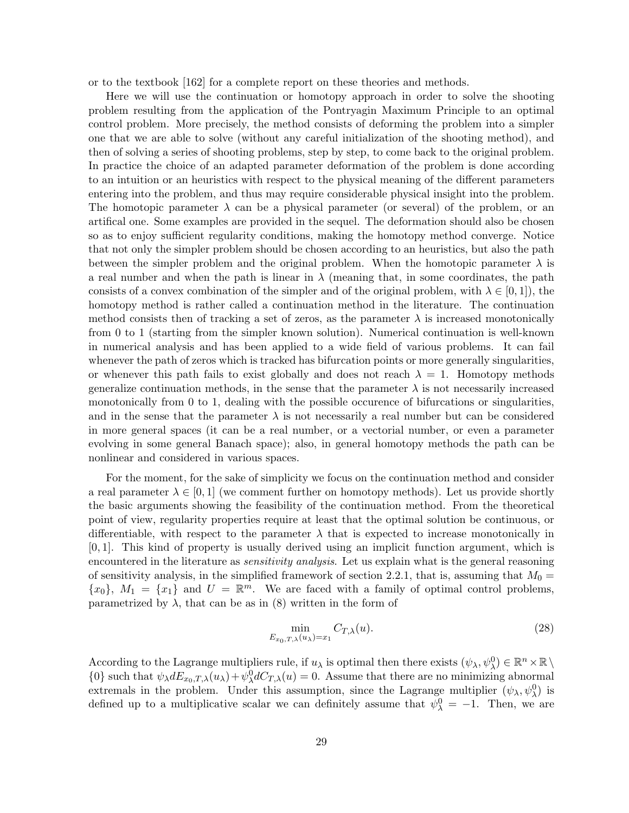or to the textbook [162] for a complete report on these theories and methods.

Here we will use the continuation or homotopy approach in order to solve the shooting problem resulting from the application of the Pontryagin Maximum Principle to an optimal control problem. More precisely, the method consists of deforming the problem into a simpler one that we are able to solve (without any careful initialization of the shooting method), and then of solving a series of shooting problems, step by step, to come back to the original problem. In practice the choice of an adapted parameter deformation of the problem is done according to an intuition or an heuristics with respect to the physical meaning of the different parameters entering into the problem, and thus may require considerable physical insight into the problem. The homotopic parameter  $\lambda$  can be a physical parameter (or several) of the problem, or an artifical one. Some examples are provided in the sequel. The deformation should also be chosen so as to enjoy sufficient regularity conditions, making the homotopy method converge. Notice that not only the simpler problem should be chosen according to an heuristics, but also the path between the simpler problem and the original problem. When the homotopic parameter  $\lambda$  is a real number and when the path is linear in  $\lambda$  (meaning that, in some coordinates, the path consists of a convex combination of the simpler and of the original problem, with  $\lambda \in [0,1]$ , the homotopy method is rather called a continuation method in the literature. The continuation method consists then of tracking a set of zeros, as the parameter  $\lambda$  is increased monotonically from 0 to 1 (starting from the simpler known solution). Numerical continuation is well-known in numerical analysis and has been applied to a wide field of various problems. It can fail whenever the path of zeros which is tracked has bifurcation points or more generally singularities, or whenever this path fails to exist globally and does not reach  $\lambda = 1$ . Homotopy methods generalize continuation methods, in the sense that the parameter  $\lambda$  is not necessarily increased monotonically from 0 to 1, dealing with the possible occurence of bifurcations or singularities, and in the sense that the parameter  $\lambda$  is not necessarily a real number but can be considered in more general spaces (it can be a real number, or a vectorial number, or even a parameter evolving in some general Banach space); also, in general homotopy methods the path can be nonlinear and considered in various spaces.

For the moment, for the sake of simplicity we focus on the continuation method and consider a real parameter  $\lambda \in [0,1]$  (we comment further on homotopy methods). Let us provide shortly the basic arguments showing the feasibility of the continuation method. From the theoretical point of view, regularity properties require at least that the optimal solution be continuous, or differentiable, with respect to the parameter  $\lambda$  that is expected to increase monotonically in [0, 1]. This kind of property is usually derived using an implicit function argument, which is encountered in the literature as *sensitivity analysis*. Let us explain what is the general reasoning of sensitivity analysis, in the simplified framework of section 2.2.1, that is, assuming that  $M_0 =$  ${x_0}, M_1 = {x_1}$  and  $U = \mathbb{R}^m$ . We are faced with a family of optimal control problems, parametrized by  $\lambda$ , that can be as in (8) written in the form of

$$
\min_{E_{x_0,T,\lambda}(u_\lambda)=x_1} C_{T,\lambda}(u). \tag{28}
$$

According to the Lagrange multipliers rule, if  $u_\lambda$  is optimal then there exists  $(\psi_\lambda, \psi_\lambda^0) \in \mathbb{R}^n \times \mathbb{R} \setminus \mathbb{R}$ {0} such that  $\psi_{\lambda} dE_{x_0,T,\lambda}(u_{\lambda}) + \psi_{\lambda}^0 dC_{T,\lambda}(u) = 0$ . Assume that there are no minimizing abnormal extremals in the problem. Under this assumption, since the Lagrange multiplier  $(\psi_{\lambda}, \psi_{\lambda}^0)$  is defined up to a multiplicative scalar we can definitely assume that  $\psi_{\lambda}^{0} = -1$ . Then, we are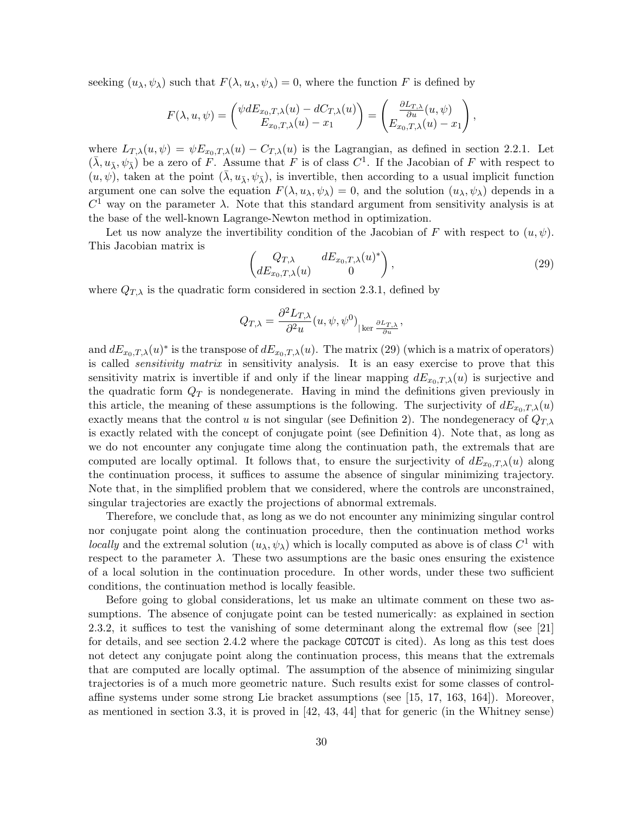seeking  $(u_\lambda, \psi_\lambda)$  such that  $F(\lambda, u_\lambda, \psi_\lambda) = 0$ , where the function F is defined by

$$
F(\lambda, u, \psi) = \begin{pmatrix} \psi dE_{x_0, T, \lambda}(u) - dC_{T, \lambda}(u) \\ E_{x_0, T, \lambda}(u) - x_1 \end{pmatrix} = \begin{pmatrix} \frac{\partial L_{T, \lambda}}{\partial u}(u, \psi) \\ E_{x_0, T, \lambda}(u) - x_1 \end{pmatrix},
$$

where  $L_{T,\lambda}(u, \psi) = \psi E_{x_0,T,\lambda}(u) - C_{T,\lambda}(u)$  is the Lagrangian, as defined in section 2.2.1. Let  $(\bar{\lambda}, u_{\bar{\lambda}}, \psi_{\bar{\lambda}})$  be a zero of F. Assume that F is of class  $C^1$ . If the Jacobian of F with respect to  $(u, \psi)$ , taken at the point  $(\bar{\lambda}, u_{\bar{\lambda}}, \psi_{\bar{\lambda}})$ , is invertible, then according to a usual implicit function argument one can solve the equation  $F(\lambda, u_\lambda, \psi_\lambda) = 0$ , and the solution  $(u_\lambda, \psi_\lambda)$  depends in a  $C<sup>1</sup>$  way on the parameter  $\lambda$ . Note that this standard argument from sensitivity analysis is at the base of the well-known Lagrange-Newton method in optimization.

Let us now analyze the invertibility condition of the Jacobian of F with respect to  $(u, \psi)$ . This Jacobian matrix is

$$
\begin{pmatrix} Q_{T,\lambda} & dE_{x_0,T,\lambda}(u)^* \\ dE_{x_0,T,\lambda}(u) & 0 \end{pmatrix},
$$
\n(29)

where  $Q_{T,\lambda}$  is the quadratic form considered in section 2.3.1, defined by

$$
Q_{T,\lambda} = \frac{\partial^2 L_{T,\lambda}}{\partial^2 u} (u, \psi, \psi^0)_{|\ker \frac{\partial L_{T,\lambda}}{\partial u}},
$$

and  $dE_{x_0,T,\lambda}(u)^*$  is the transpose of  $dE_{x_0,T,\lambda}(u)$ . The matrix (29) (which is a matrix of operators) is called sensitivity matrix in sensitivity analysis. It is an easy exercise to prove that this sensitivity matrix is invertible if and only if the linear mapping  $dE_{x_0,T,\lambda}(u)$  is surjective and the quadratic form  $Q_T$  is nondegenerate. Having in mind the definitions given previously in this article, the meaning of these assumptions is the following. The surjectivity of  $dE_{x_0,T,\lambda}(u)$ exactly means that the control u is not singular (see Definition 2). The nondegeneracy of  $Q_{T,\lambda}$ is exactly related with the concept of conjugate point (see Definition 4). Note that, as long as we do not encounter any conjugate time along the continuation path, the extremals that are computed are locally optimal. It follows that, to ensure the surjectivity of  $dE_{x_0,T,\lambda}(u)$  along the continuation process, it suffices to assume the absence of singular minimizing trajectory. Note that, in the simplified problem that we considered, where the controls are unconstrained, singular trajectories are exactly the projections of abnormal extremals.

Therefore, we conclude that, as long as we do not encounter any minimizing singular control nor conjugate point along the continuation procedure, then the continuation method works *locally* and the extremal solution  $(u_\lambda, \psi_\lambda)$  which is locally computed as above is of class  $C^1$  with respect to the parameter  $\lambda$ . These two assumptions are the basic ones ensuring the existence of a local solution in the continuation procedure. In other words, under these two sufficient conditions, the continuation method is locally feasible.

Before going to global considerations, let us make an ultimate comment on these two assumptions. The absence of conjugate point can be tested numerically: as explained in section 2.3.2, it suffices to test the vanishing of some determinant along the extremal flow (see [21] for details, and see section 2.4.2 where the package COTCOT is cited). As long as this test does not detect any conjugate point along the continuation process, this means that the extremals that are computed are locally optimal. The assumption of the absence of minimizing singular trajectories is of a much more geometric nature. Such results exist for some classes of controlaffine systems under some strong Lie bracket assumptions (see [15, 17, 163, 164]). Moreover, as mentioned in section 3.3, it is proved in  $[42, 43, 44]$  that for generic (in the Whitney sense)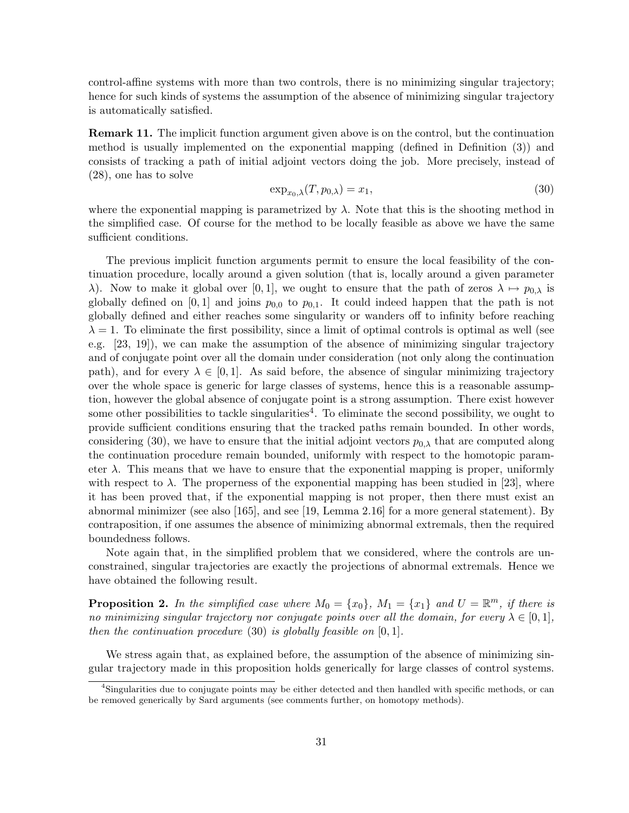control-affine systems with more than two controls, there is no minimizing singular trajectory; hence for such kinds of systems the assumption of the absence of minimizing singular trajectory is automatically satisfied.

Remark 11. The implicit function argument given above is on the control, but the continuation method is usually implemented on the exponential mapping (defined in Definition (3)) and consists of tracking a path of initial adjoint vectors doing the job. More precisely, instead of (28), one has to solve

$$
\exp_{x_0,\lambda}(T, p_{0,\lambda}) = x_1,\tag{30}
$$

where the exponential mapping is parametrized by  $\lambda$ . Note that this is the shooting method in the simplified case. Of course for the method to be locally feasible as above we have the same sufficient conditions.

The previous implicit function arguments permit to ensure the local feasibility of the continuation procedure, locally around a given solution (that is, locally around a given parameter λ). Now to make it global over [0, 1], we ought to ensure that the path of zeros  $\lambda \mapsto p_{0,\lambda}$  is globally defined on [0, 1] and joins  $p_{0,0}$  to  $p_{0,1}$ . It could indeed happen that the path is not globally defined and either reaches some singularity or wanders off to infinity before reaching  $\lambda = 1$ . To eliminate the first possibility, since a limit of optimal controls is optimal as well (see e.g. [23, 19]), we can make the assumption of the absence of minimizing singular trajectory and of conjugate point over all the domain under consideration (not only along the continuation path), and for every  $\lambda \in [0, 1]$ . As said before, the absence of singular minimizing trajectory over the whole space is generic for large classes of systems, hence this is a reasonable assumption, however the global absence of conjugate point is a strong assumption. There exist however some other possibilities to tackle singularities<sup>4</sup>. To eliminate the second possibility, we ought to provide sufficient conditions ensuring that the tracked paths remain bounded. In other words, considering (30), we have to ensure that the initial adjoint vectors  $p_{0,\lambda}$  that are computed along the continuation procedure remain bounded, uniformly with respect to the homotopic parameter  $\lambda$ . This means that we have to ensure that the exponential mapping is proper, uniformly with respect to  $\lambda$ . The properness of the exponential mapping has been studied in [23], where it has been proved that, if the exponential mapping is not proper, then there must exist an abnormal minimizer (see also [165], and see [19, Lemma 2.16] for a more general statement). By contraposition, if one assumes the absence of minimizing abnormal extremals, then the required boundedness follows.

Note again that, in the simplified problem that we considered, where the controls are unconstrained, singular trajectories are exactly the projections of abnormal extremals. Hence we have obtained the following result.

**Proposition 2.** In the simplified case where  $M_0 = \{x_0\}$ ,  $M_1 = \{x_1\}$  and  $U = \mathbb{R}^m$ , if there is no minimizing singular trajectory nor conjugate points over all the domain, for every  $\lambda \in [0,1]$ , then the continuation procedure  $(30)$  is globally feasible on  $[0, 1]$ .

We stress again that, as explained before, the assumption of the absence of minimizing singular trajectory made in this proposition holds generically for large classes of control systems.

<sup>&</sup>lt;sup>4</sup>Singularities due to conjugate points may be either detected and then handled with specific methods, or can be removed generically by Sard arguments (see comments further, on homotopy methods).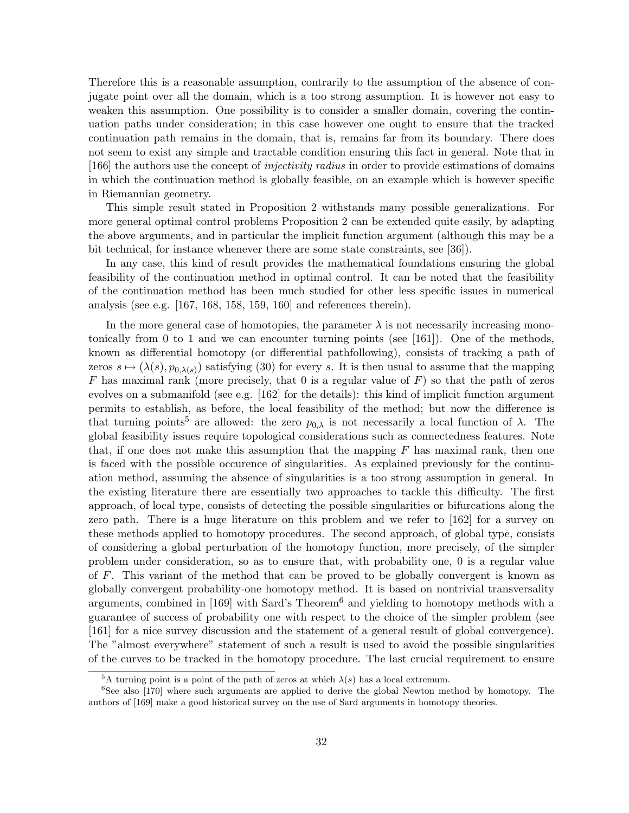Therefore this is a reasonable assumption, contrarily to the assumption of the absence of conjugate point over all the domain, which is a too strong assumption. It is however not easy to weaken this assumption. One possibility is to consider a smaller domain, covering the continuation paths under consideration; in this case however one ought to ensure that the tracked continuation path remains in the domain, that is, remains far from its boundary. There does not seem to exist any simple and tractable condition ensuring this fact in general. Note that in [166] the authors use the concept of injectivity radius in order to provide estimations of domains in which the continuation method is globally feasible, on an example which is however specific in Riemannian geometry.

This simple result stated in Proposition 2 withstands many possible generalizations. For more general optimal control problems Proposition 2 can be extended quite easily, by adapting the above arguments, and in particular the implicit function argument (although this may be a bit technical, for instance whenever there are some state constraints, see [36]).

In any case, this kind of result provides the mathematical foundations ensuring the global feasibility of the continuation method in optimal control. It can be noted that the feasibility of the continuation method has been much studied for other less specific issues in numerical analysis (see e.g. [167, 168, 158, 159, 160] and references therein).

In the more general case of homotopies, the parameter  $\lambda$  is not necessarily increasing monotonically from 0 to 1 and we can encounter turning points (see [161]). One of the methods, known as differential homotopy (or differential pathfollowing), consists of tracking a path of zeros  $s \mapsto (\lambda(s), p_{0,\lambda(s)})$  satisfying (30) for every s. It is then usual to assume that the mapping F has maximal rank (more precisely, that  $0$  is a regular value of  $F$ ) so that the path of zeros evolves on a submanifold (see e.g. [162] for the details): this kind of implicit function argument permits to establish, as before, the local feasibility of the method; but now the difference is that turning points<sup>5</sup> are allowed: the zero  $p_{0,\lambda}$  is not necessarily a local function of  $\lambda$ . The global feasibility issues require topological considerations such as connectedness features. Note that, if one does not make this assumption that the mapping  $F$  has maximal rank, then one is faced with the possible occurence of singularities. As explained previously for the continuation method, assuming the absence of singularities is a too strong assumption in general. In the existing literature there are essentially two approaches to tackle this difficulty. The first approach, of local type, consists of detecting the possible singularities or bifurcations along the zero path. There is a huge literature on this problem and we refer to [162] for a survey on these methods applied to homotopy procedures. The second approach, of global type, consists of considering a global perturbation of the homotopy function, more precisely, of the simpler problem under consideration, so as to ensure that, with probability one, 0 is a regular value of F. This variant of the method that can be proved to be globally convergent is known as globally convergent probability-one homotopy method. It is based on nontrivial transversality arguments, combined in [169] with Sard's Theorem<sup>6</sup> and yielding to homotopy methods with a guarantee of success of probability one with respect to the choice of the simpler problem (see [161] for a nice survey discussion and the statement of a general result of global convergence). The "almost everywhere" statement of such a result is used to avoid the possible singularities of the curves to be tracked in the homotopy procedure. The last crucial requirement to ensure

<sup>&</sup>lt;sup>5</sup>A turning point is a point of the path of zeros at which  $\lambda(s)$  has a local extremum.

<sup>&</sup>lt;sup>6</sup>See also [170] where such arguments are applied to derive the global Newton method by homotopy. The authors of [169] make a good historical survey on the use of Sard arguments in homotopy theories.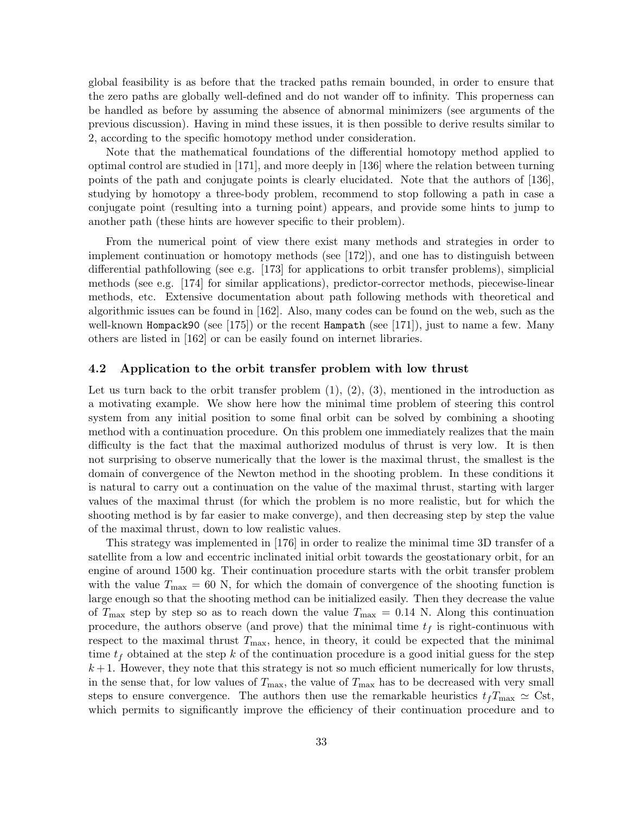global feasibility is as before that the tracked paths remain bounded, in order to ensure that the zero paths are globally well-defined and do not wander off to infinity. This properness can be handled as before by assuming the absence of abnormal minimizers (see arguments of the previous discussion). Having in mind these issues, it is then possible to derive results similar to 2, according to the specific homotopy method under consideration.

Note that the mathematical foundations of the differential homotopy method applied to optimal control are studied in [171], and more deeply in [136] where the relation between turning points of the path and conjugate points is clearly elucidated. Note that the authors of [136], studying by homotopy a three-body problem, recommend to stop following a path in case a conjugate point (resulting into a turning point) appears, and provide some hints to jump to another path (these hints are however specific to their problem).

From the numerical point of view there exist many methods and strategies in order to implement continuation or homotopy methods (see [172]), and one has to distinguish between differential pathfollowing (see e.g. [173] for applications to orbit transfer problems), simplicial methods (see e.g. [174] for similar applications), predictor-corrector methods, piecewise-linear methods, etc. Extensive documentation about path following methods with theoretical and algorithmic issues can be found in [162]. Also, many codes can be found on the web, such as the well-known Hompack90 (see [175]) or the recent Hampath (see [171]), just to name a few. Many others are listed in [162] or can be easily found on internet libraries.

## 4.2 Application to the orbit transfer problem with low thrust

Let us turn back to the orbit transfer problem  $(1), (2), (3),$  mentioned in the introduction as a motivating example. We show here how the minimal time problem of steering this control system from any initial position to some final orbit can be solved by combining a shooting method with a continuation procedure. On this problem one immediately realizes that the main difficulty is the fact that the maximal authorized modulus of thrust is very low. It is then not surprising to observe numerically that the lower is the maximal thrust, the smallest is the domain of convergence of the Newton method in the shooting problem. In these conditions it is natural to carry out a continuation on the value of the maximal thrust, starting with larger values of the maximal thrust (for which the problem is no more realistic, but for which the shooting method is by far easier to make converge), and then decreasing step by step the value of the maximal thrust, down to low realistic values.

This strategy was implemented in [176] in order to realize the minimal time 3D transfer of a satellite from a low and eccentric inclinated initial orbit towards the geostationary orbit, for an engine of around 1500 kg. Their continuation procedure starts with the orbit transfer problem with the value  $T_{\text{max}} = 60$  N, for which the domain of convergence of the shooting function is large enough so that the shooting method can be initialized easily. Then they decrease the value of  $T_{\text{max}}$  step by step so as to reach down the value  $T_{\text{max}} = 0.14$  N. Along this continuation procedure, the authors observe (and prove) that the minimal time  $t_f$  is right-continuous with respect to the maximal thrust  $T_{\text{max}}$ , hence, in theory, it could be expected that the minimal time  $t_f$  obtained at the step k of the continuation procedure is a good initial guess for the step  $k+1$ . However, they note that this strategy is not so much efficient numerically for low thrusts, in the sense that, for low values of  $T_{\text{max}}$ , the value of  $T_{\text{max}}$  has to be decreased with very small steps to ensure convergence. The authors then use the remarkable heuristics  $t_f T_{\text{max}} \simeq \text{Cst}$ , which permits to significantly improve the efficiency of their continuation procedure and to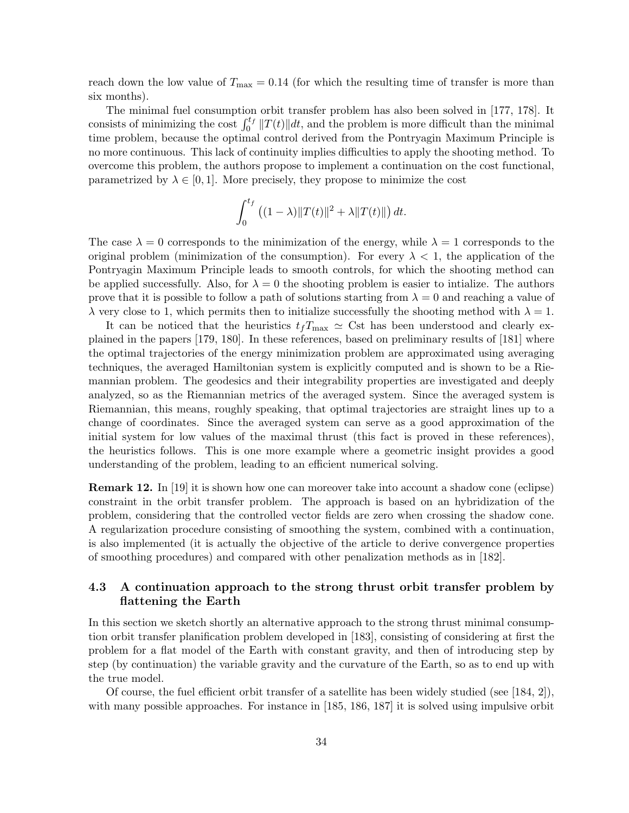reach down the low value of  $T_{\text{max}} = 0.14$  (for which the resulting time of transfer is more than six months).

The minimal fuel consumption orbit transfer problem has also been solved in [177, 178]. It consists of minimizing the cost  $\int_0^{t_f} ||T(t)||dt$ , and the problem is more difficult than the minimal time problem, because the optimal control derived from the Pontryagin Maximum Principle is no more continuous. This lack of continuity implies difficulties to apply the shooting method. To overcome this problem, the authors propose to implement a continuation on the cost functional, parametrized by  $\lambda \in [0, 1]$ . More precisely, they propose to minimize the cost

$$
\int_0^{t_f} ((1 - \lambda) ||T(t)||^2 + \lambda ||T(t)||) dt.
$$

The case  $\lambda = 0$  corresponds to the minimization of the energy, while  $\lambda = 1$  corresponds to the original problem (minimization of the consumption). For every  $\lambda < 1$ , the application of the Pontryagin Maximum Principle leads to smooth controls, for which the shooting method can be applied successfully. Also, for  $\lambda = 0$  the shooting problem is easier to intialize. The authors prove that it is possible to follow a path of solutions starting from  $\lambda = 0$  and reaching a value of  $\lambda$  very close to 1, which permits then to initialize successfully the shooting method with  $\lambda = 1$ .

It can be noticed that the heuristics  $t_f T_{\text{max}} \simeq \text{Cst}$  has been understood and clearly explained in the papers [179, 180]. In these references, based on preliminary results of [181] where the optimal trajectories of the energy minimization problem are approximated using averaging techniques, the averaged Hamiltonian system is explicitly computed and is shown to be a Riemannian problem. The geodesics and their integrability properties are investigated and deeply analyzed, so as the Riemannian metrics of the averaged system. Since the averaged system is Riemannian, this means, roughly speaking, that optimal trajectories are straight lines up to a change of coordinates. Since the averaged system can serve as a good approximation of the initial system for low values of the maximal thrust (this fact is proved in these references), the heuristics follows. This is one more example where a geometric insight provides a good understanding of the problem, leading to an efficient numerical solving.

Remark 12. In [19] it is shown how one can moreover take into account a shadow cone (eclipse) constraint in the orbit transfer problem. The approach is based on an hybridization of the problem, considering that the controlled vector fields are zero when crossing the shadow cone. A regularization procedure consisting of smoothing the system, combined with a continuation, is also implemented (it is actually the objective of the article to derive convergence properties of smoothing procedures) and compared with other penalization methods as in [182].

# 4.3 A continuation approach to the strong thrust orbit transfer problem by flattening the Earth

In this section we sketch shortly an alternative approach to the strong thrust minimal consumption orbit transfer planification problem developed in [183], consisting of considering at first the problem for a flat model of the Earth with constant gravity, and then of introducing step by step (by continuation) the variable gravity and the curvature of the Earth, so as to end up with the true model.

Of course, the fuel efficient orbit transfer of a satellite has been widely studied (see [184, 2]), with many possible approaches. For instance in [185, 186, 187] it is solved using impulsive orbit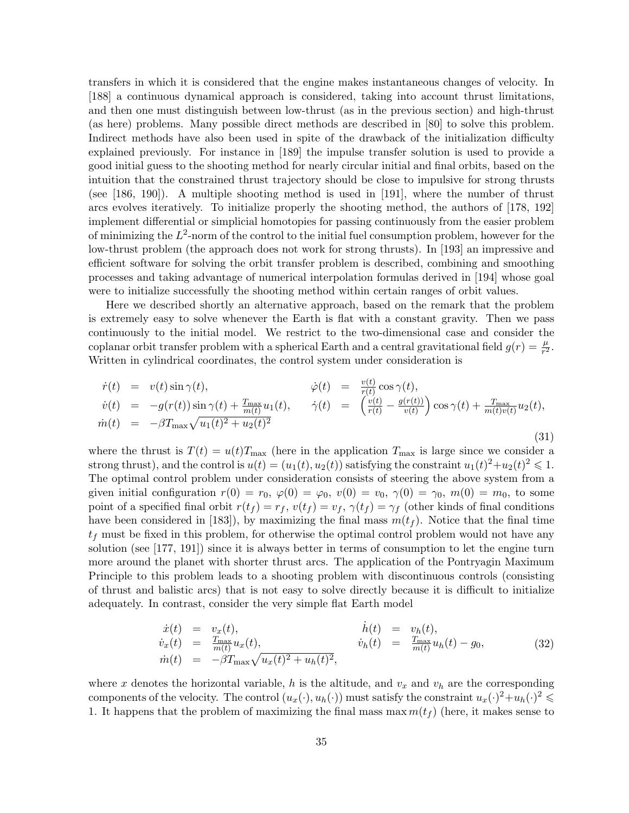transfers in which it is considered that the engine makes instantaneous changes of velocity. In [188] a continuous dynamical approach is considered, taking into account thrust limitations, and then one must distinguish between low-thrust (as in the previous section) and high-thrust (as here) problems. Many possible direct methods are described in [80] to solve this problem. Indirect methods have also been used in spite of the drawback of the initialization difficulty explained previously. For instance in [189] the impulse transfer solution is used to provide a good initial guess to the shooting method for nearly circular initial and final orbits, based on the intuition that the constrained thrust trajectory should be close to impulsive for strong thrusts (see [186, 190]). A multiple shooting method is used in [191], where the number of thrust arcs evolves iteratively. To initialize properly the shooting method, the authors of [178, 192] implement differential or simplicial homotopies for passing continuously from the easier problem of minimizing the  $L^2$ -norm of the control to the initial fuel consumption problem, however for the low-thrust problem (the approach does not work for strong thrusts). In [193] an impressive and efficient software for solving the orbit transfer problem is described, combining and smoothing processes and taking advantage of numerical interpolation formulas derived in [194] whose goal were to initialize successfully the shooting method within certain ranges of orbit values.

Here we described shortly an alternative approach, based on the remark that the problem is extremely easy to solve whenever the Earth is flat with a constant gravity. Then we pass continuously to the initial model. We restrict to the two-dimensional case and consider the coplanar orbit transfer problem with a spherical Earth and a central gravitational field  $g(r) = \frac{\mu}{r^2}$ . Written in cylindrical coordinates, the control system under consideration is

$$
\dot{r}(t) = v(t)\sin\gamma(t), \qquad \dot{\varphi}(t) = \frac{v(t)}{r(t)}\cos\gamma(t),
$$
  
\n
$$
\dot{v}(t) = -g(r(t))\sin\gamma(t) + \frac{T_{\text{max}}}{m(t)}u_1(t), \qquad \dot{\gamma}(t) = \left(\frac{v(t)}{r(t)} - \frac{g(r(t))}{v(t)}\right)\cos\gamma(t) + \frac{T_{\text{max}}}{m(t)v(t)}u_2(t),
$$
  
\n
$$
\dot{m}(t) = -\beta T_{\text{max}}\sqrt{u_1(t)^2 + u_2(t)^2}
$$
\n(31)

where the thrust is  $T(t) = u(t)T_{\text{max}}$  (here in the application  $T_{\text{max}}$  is large since we consider a strong thrust), and the control is  $u(t) = (u_1(t), u_2(t))$  satisfying the constraint  $u_1(t)^2 + u_2(t)^2 \leq 1$ . The optimal control problem under consideration consists of steering the above system from a given initial configuration  $r(0) = r_0$ ,  $\varphi(0) = \varphi_0$ ,  $v(0) = v_0$ ,  $\gamma(0) = \gamma_0$ ,  $m(0) = m_0$ , to some point of a specified final orbit  $r(t_f) = r_f$ ,  $v(t_f) = v_f$ ,  $\gamma(t_f) = \gamma_f$  (other kinds of final conditions have been considered in [183]), by maximizing the final mass  $m(t_f)$ . Notice that the final time  $t_f$  must be fixed in this problem, for otherwise the optimal control problem would not have any solution (see [177, 191]) since it is always better in terms of consumption to let the engine turn more around the planet with shorter thrust arcs. The application of the Pontryagin Maximum Principle to this problem leads to a shooting problem with discontinuous controls (consisting of thrust and balistic arcs) that is not easy to solve directly because it is difficult to initialize adequately. In contrast, consider the very simple flat Earth model

$$
\dot{x}(t) = v_x(t), \n\dot{v}_x(t) = \frac{T_{\text{max}}}{m(t)} u_x(t), \n\dot{m}(t) = -\beta T_{\text{max}} \sqrt{u_x(t)^2 + u_h(t)^2},
$$
\n
$$
\dot{v}_h(t) = \frac{T_{\text{max}}}{m(t)} u_h(t) - g_0,
$$
\n(32)

where x denotes the horizontal variable, h is the altitude, and  $v_x$  and  $v_h$  are the corresponding components of the velocity. The control  $(u_x(\cdot), u_h(\cdot))$  must satisfy the constraint  $u_x(\cdot)^2 + u_h(\cdot)^2 \leq$ 1. It happens that the problem of maximizing the final mass max  $m(t_f)$  (here, it makes sense to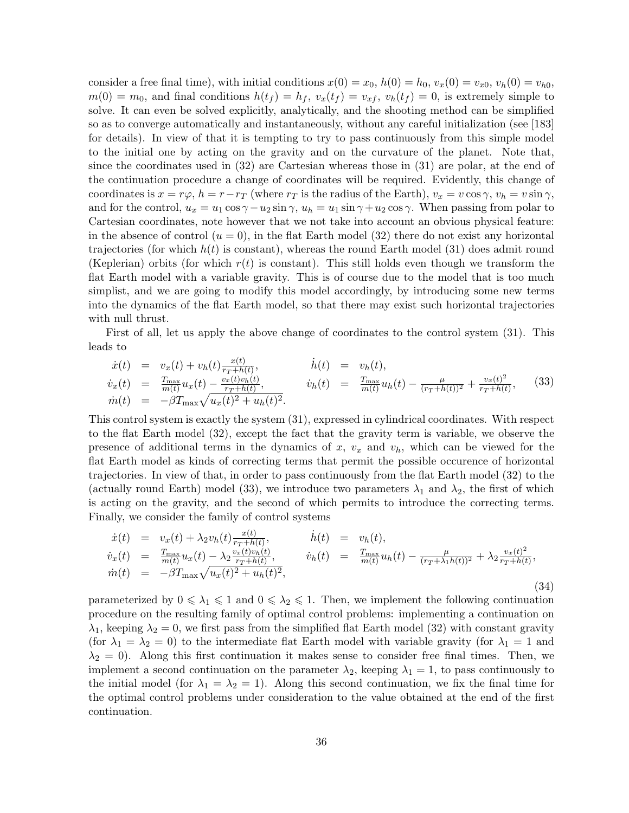consider a free final time), with initial conditions  $x(0) = x_0$ ,  $h(0) = h_0$ ,  $v_x(0) = v_{x0}$ ,  $v_h(0) = v_{h0}$ ,  $m(0) = m_0$ , and final conditions  $h(t_f) = h_f$ ,  $v_x(t_f) = v_{xf}$ ,  $v_h(t_f) = 0$ , is extremely simple to solve. It can even be solved explicitly, analytically, and the shooting method can be simplified so as to converge automatically and instantaneously, without any careful initialization (see [183] for details). In view of that it is tempting to try to pass continuously from this simple model to the initial one by acting on the gravity and on the curvature of the planet. Note that, since the coordinates used in (32) are Cartesian whereas those in (31) are polar, at the end of the continuation procedure a change of coordinates will be required. Evidently, this change of coordinates is  $x = r\varphi$ ,  $h = r - rT$  (where  $rT$  is the radius of the Earth),  $v_x = v \cos \gamma$ ,  $v_h = v \sin \gamma$ , and for the control,  $u_x = u_1 \cos \gamma - u_2 \sin \gamma$ ,  $u_h = u_1 \sin \gamma + u_2 \cos \gamma$ . When passing from polar to Cartesian coordinates, note however that we not take into account an obvious physical feature: in the absence of control  $(u = 0)$ , in the flat Earth model (32) there do not exist any horizontal trajectories (for which  $h(t)$  is constant), whereas the round Earth model (31) does admit round (Keplerian) orbits (for which  $r(t)$  is constant). This still holds even though we transform the flat Earth model with a variable gravity. This is of course due to the model that is too much simplist, and we are going to modify this model accordingly, by introducing some new terms into the dynamics of the flat Earth model, so that there may exist such horizontal trajectories with null thrust.

First of all, let us apply the above change of coordinates to the control system (31). This leads to

$$
\dot{x}(t) = v_x(t) + v_h(t) \frac{x(t)}{r_T + h(t)}, \qquad \dot{h}(t) = v_h(t), \n\dot{v}_x(t) = \frac{T_{\text{max}}}{m(t)} u_x(t) - \frac{v_x(t)v_h(t)}{r_T + h(t)}, \qquad \dot{v}_h(t) = \frac{T_{\text{max}}}{m(t)} u_h(t) - \frac{\mu}{(r_T + h(t))^2} + \frac{v_x(t)^2}{r_T + h(t)},
$$
\n(33)\n  
\n
$$
\dot{m}(t) = -\beta T_{\text{max}} \sqrt{u_x(t)^2 + u_h(t)^2}.
$$

This control system is exactly the system (31), expressed in cylindrical coordinates. With respect to the flat Earth model (32), except the fact that the gravity term is variable, we observe the presence of additional terms in the dynamics of x,  $v_x$  and  $v_h$ , which can be viewed for the flat Earth model as kinds of correcting terms that permit the possible occurence of horizontal trajectories. In view of that, in order to pass continuously from the flat Earth model (32) to the (actually round Earth) model (33), we introduce two parameters  $\lambda_1$  and  $\lambda_2$ , the first of which is acting on the gravity, and the second of which permits to introduce the correcting terms. Finally, we consider the family of control systems

$$
\dot{x}(t) = v_x(t) + \lambda_2 v_h(t) \frac{x(t)}{r_T + h(t)}, \qquad \dot{h}(t) = v_h(t), \n\dot{v}_x(t) = \frac{T_{\max}}{m(t)} u_x(t) - \lambda_2 \frac{v_x(t)v_h(t)}{r_T + h(t)}, \qquad \dot{v}_h(t) = \frac{T_{\max}}{m(t)} u_h(t) - \frac{\mu}{(r_T + \lambda_1 h(t))^2} + \lambda_2 \frac{v_x(t)^2}{r_T + h(t)}, \n\dot{m}(t) = -\beta T_{\max} \sqrt{u_x(t)^2 + u_h(t)^2},
$$
\n(34)

parameterized by  $0 \le \lambda_1 \le 1$  and  $0 \le \lambda_2 \le 1$ . Then, we implement the following continuation procedure on the resulting family of optimal control problems: implementing a continuation on  $\lambda_1$ , keeping  $\lambda_2 = 0$ , we first pass from the simplified flat Earth model (32) with constant gravity (for  $\lambda_1 = \lambda_2 = 0$ ) to the intermediate flat Earth model with variable gravity (for  $\lambda_1 = 1$  and  $\lambda_2 = 0$ . Along this first continuation it makes sense to consider free final times. Then, we implement a second continuation on the parameter  $\lambda_2$ , keeping  $\lambda_1 = 1$ , to pass continuously to the initial model (for  $\lambda_1 = \lambda_2 = 1$ ). Along this second continuation, we fix the final time for the optimal control problems under consideration to the value obtained at the end of the first continuation.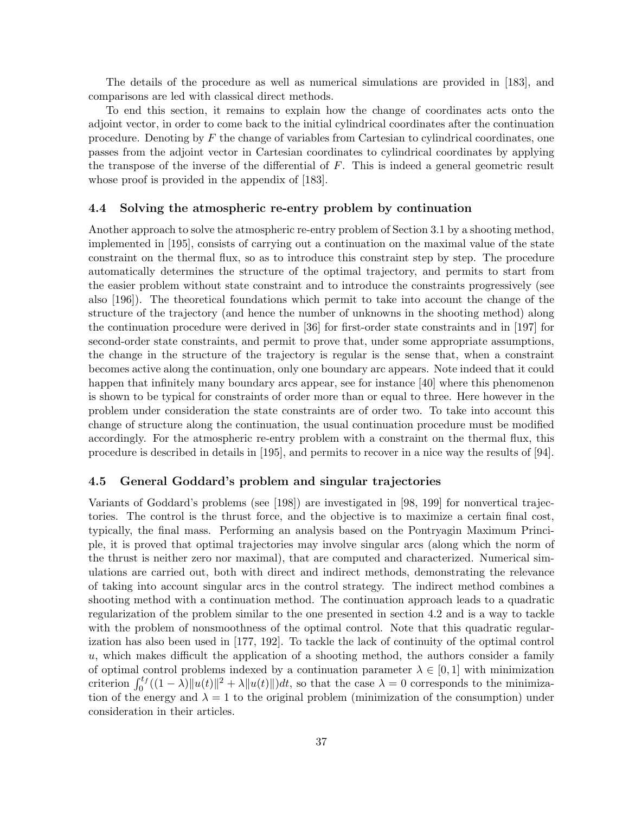The details of the procedure as well as numerical simulations are provided in [183], and comparisons are led with classical direct methods.

To end this section, it remains to explain how the change of coordinates acts onto the adjoint vector, in order to come back to the initial cylindrical coordinates after the continuation procedure. Denoting by  $F$  the change of variables from Cartesian to cylindrical coordinates, one passes from the adjoint vector in Cartesian coordinates to cylindrical coordinates by applying the transpose of the inverse of the differential of  $F$ . This is indeed a general geometric result whose proof is provided in the appendix of [183].

### 4.4 Solving the atmospheric re-entry problem by continuation

Another approach to solve the atmospheric re-entry problem of Section 3.1 by a shooting method, implemented in [195], consists of carrying out a continuation on the maximal value of the state constraint on the thermal flux, so as to introduce this constraint step by step. The procedure automatically determines the structure of the optimal trajectory, and permits to start from the easier problem without state constraint and to introduce the constraints progressively (see also [196]). The theoretical foundations which permit to take into account the change of the structure of the trajectory (and hence the number of unknowns in the shooting method) along the continuation procedure were derived in [36] for first-order state constraints and in [197] for second-order state constraints, and permit to prove that, under some appropriate assumptions, the change in the structure of the trajectory is regular is the sense that, when a constraint becomes active along the continuation, only one boundary arc appears. Note indeed that it could happen that infinitely many boundary arcs appear, see for instance [40] where this phenomenon is shown to be typical for constraints of order more than or equal to three. Here however in the problem under consideration the state constraints are of order two. To take into account this change of structure along the continuation, the usual continuation procedure must be modified accordingly. For the atmospheric re-entry problem with a constraint on the thermal flux, this procedure is described in details in [195], and permits to recover in a nice way the results of [94].

#### 4.5 General Goddard's problem and singular trajectories

Variants of Goddard's problems (see [198]) are investigated in [98, 199] for nonvertical trajectories. The control is the thrust force, and the objective is to maximize a certain final cost, typically, the final mass. Performing an analysis based on the Pontryagin Maximum Principle, it is proved that optimal trajectories may involve singular arcs (along which the norm of the thrust is neither zero nor maximal), that are computed and characterized. Numerical simulations are carried out, both with direct and indirect methods, demonstrating the relevance of taking into account singular arcs in the control strategy. The indirect method combines a shooting method with a continuation method. The continuation approach leads to a quadratic regularization of the problem similar to the one presented in section 4.2 and is a way to tackle with the problem of nonsmoothness of the optimal control. Note that this quadratic regularization has also been used in [177, 192]. To tackle the lack of continuity of the optimal control  $u$ , which makes difficult the application of a shooting method, the authors consider a family of optimal control problems indexed by a continuation parameter  $\lambda \in [0,1]$  with minimization criterion  $\int_0^{t}((1 - \lambda) ||u(t)||^2 + \lambda ||u(t)||)dt$ , so that the case  $\lambda = 0$  corresponds to the minimization of the energy and  $\lambda = 1$  to the original problem (minimization of the consumption) under consideration in their articles.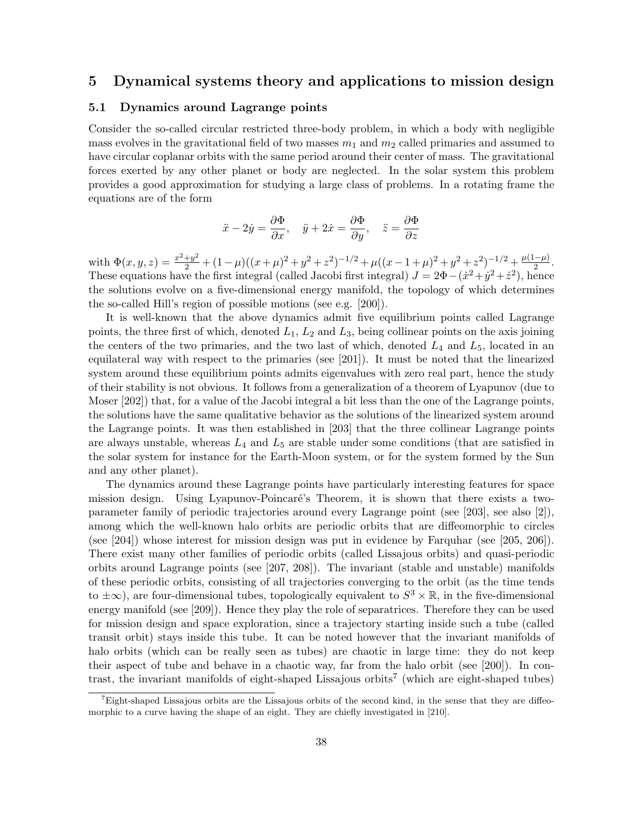# 5 Dynamical systems theory and applications to mission design

### 5.1 Dynamics around Lagrange points

Consider the so-called circular restricted three-body problem, in which a body with negligible mass evolves in the gravitational field of two masses  $m_1$  and  $m_2$  called primaries and assumed to have circular coplanar orbits with the same period around their center of mass. The gravitational forces exerted by any other planet or body are neglected. In the solar system this problem provides a good approximation for studying a large class of problems. In a rotating frame the equations are of the form

$$
\ddot{x} - 2\dot{y} = \frac{\partial \Phi}{\partial x}, \quad \ddot{y} + 2\dot{x} = \frac{\partial \Phi}{\partial y}, \quad \ddot{z} = \frac{\partial \Phi}{\partial z}
$$

with  $\Phi(x, y, z) = \frac{x^2 + y^2}{2} + (1 - \mu)((x + \mu)^2 + y^2 + z^2)^{-1/2} + \mu((x - 1 + \mu)^2 + y^2 + z^2)^{-1/2} + \frac{\mu(1 - \mu)}{2}$  $\frac{-\mu_j}{2}$ . These equations have the first integral (called Jacobi first integral)  $J = 2\Phi - (\dot{x}^2 + \dot{y}^2 + \dot{z}^2)$ , hence the solutions evolve on a five-dimensional energy manifold, the topology of which determines the so-called Hill's region of possible motions (see e.g. [200]).

It is well-known that the above dynamics admit five equilibrium points called Lagrange points, the three first of which, denoted  $L_1$ ,  $L_2$  and  $L_3$ , being collinear points on the axis joining the centers of the two primaries, and the two last of which, denoted  $L_4$  and  $L_5$ , located in an equilateral way with respect to the primaries (see [201]). It must be noted that the linearized system around these equilibrium points admits eigenvalues with zero real part, hence the study of their stability is not obvious. It follows from a generalization of a theorem of Lyapunov (due to Moser [202]) that, for a value of the Jacobi integral a bit less than the one of the Lagrange points, the solutions have the same qualitative behavior as the solutions of the linearized system around the Lagrange points. It was then established in [203] that the three collinear Lagrange points are always unstable, whereas  $L_4$  and  $L_5$  are stable under some conditions (that are satisfied in the solar system for instance for the Earth-Moon system, or for the system formed by the Sun and any other planet).

The dynamics around these Lagrange points have particularly interesting features for space mission design. Using Lyapunov-Poincaré's Theorem, it is shown that there exists a twoparameter family of periodic trajectories around every Lagrange point (see [203], see also [2]), among which the well-known halo orbits are periodic orbits that are diffeomorphic to circles (see [204]) whose interest for mission design was put in evidence by Farquhar (see [205, 206]). There exist many other families of periodic orbits (called Lissajous orbits) and quasi-periodic orbits around Lagrange points (see [207, 208]). The invariant (stable and unstable) manifolds of these periodic orbits, consisting of all trajectories converging to the orbit (as the time tends to  $\pm \infty$ ), are four-dimensional tubes, topologically equivalent to  $S^3 \times \mathbb{R}$ , in the five-dimensional energy manifold (see [209]). Hence they play the role of separatrices. Therefore they can be used for mission design and space exploration, since a trajectory starting inside such a tube (called transit orbit) stays inside this tube. It can be noted however that the invariant manifolds of halo orbits (which can be really seen as tubes) are chaotic in large time: they do not keep their aspect of tube and behave in a chaotic way, far from the halo orbit (see [200]). In contrast, the invariant manifolds of eight-shaped Lissajous orbits<sup>7</sup> (which are eight-shaped tubes)

<sup>&</sup>lt;sup>7</sup>Eight-shaped Lissajous orbits are the Lissajous orbits of the second kind, in the sense that they are diffeomorphic to a curve having the shape of an eight. They are chiefly investigated in [210].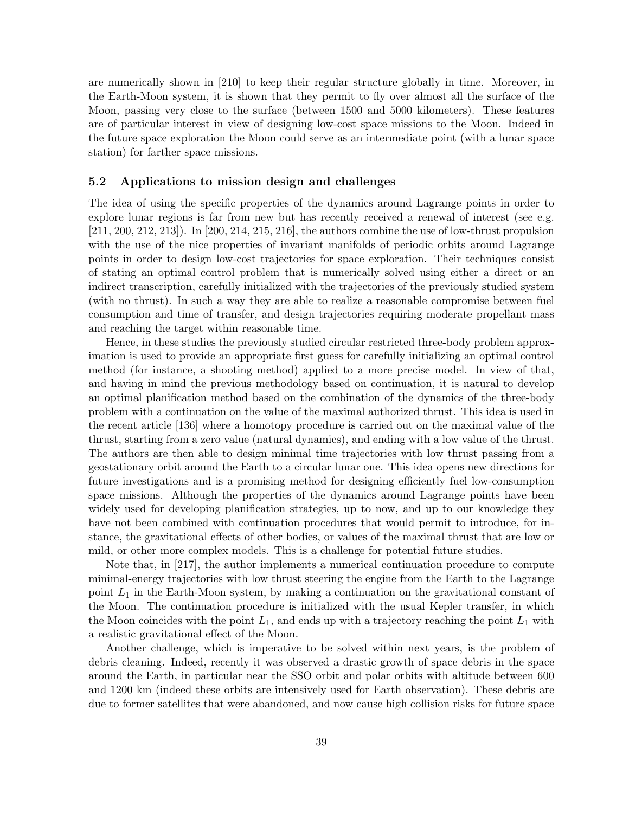are numerically shown in [210] to keep their regular structure globally in time. Moreover, in the Earth-Moon system, it is shown that they permit to fly over almost all the surface of the Moon, passing very close to the surface (between 1500 and 5000 kilometers). These features are of particular interest in view of designing low-cost space missions to the Moon. Indeed in the future space exploration the Moon could serve as an intermediate point (with a lunar space station) for farther space missions.

#### 5.2 Applications to mission design and challenges

The idea of using the specific properties of the dynamics around Lagrange points in order to explore lunar regions is far from new but has recently received a renewal of interest (see e.g. [211, 200, 212, 213]). In [200, 214, 215, 216], the authors combine the use of low-thrust propulsion with the use of the nice properties of invariant manifolds of periodic orbits around Lagrange points in order to design low-cost trajectories for space exploration. Their techniques consist of stating an optimal control problem that is numerically solved using either a direct or an indirect transcription, carefully initialized with the trajectories of the previously studied system (with no thrust). In such a way they are able to realize a reasonable compromise between fuel consumption and time of transfer, and design trajectories requiring moderate propellant mass and reaching the target within reasonable time.

Hence, in these studies the previously studied circular restricted three-body problem approximation is used to provide an appropriate first guess for carefully initializing an optimal control method (for instance, a shooting method) applied to a more precise model. In view of that, and having in mind the previous methodology based on continuation, it is natural to develop an optimal planification method based on the combination of the dynamics of the three-body problem with a continuation on the value of the maximal authorized thrust. This idea is used in the recent article [136] where a homotopy procedure is carried out on the maximal value of the thrust, starting from a zero value (natural dynamics), and ending with a low value of the thrust. The authors are then able to design minimal time trajectories with low thrust passing from a geostationary orbit around the Earth to a circular lunar one. This idea opens new directions for future investigations and is a promising method for designing efficiently fuel low-consumption space missions. Although the properties of the dynamics around Lagrange points have been widely used for developing planification strategies, up to now, and up to our knowledge they have not been combined with continuation procedures that would permit to introduce, for instance, the gravitational effects of other bodies, or values of the maximal thrust that are low or mild, or other more complex models. This is a challenge for potential future studies.

Note that, in [217], the author implements a numerical continuation procedure to compute minimal-energy trajectories with low thrust steering the engine from the Earth to the Lagrange point  $L_1$  in the Earth-Moon system, by making a continuation on the gravitational constant of the Moon. The continuation procedure is initialized with the usual Kepler transfer, in which the Moon coincides with the point  $L_1$ , and ends up with a trajectory reaching the point  $L_1$  with a realistic gravitational effect of the Moon.

Another challenge, which is imperative to be solved within next years, is the problem of debris cleaning. Indeed, recently it was observed a drastic growth of space debris in the space around the Earth, in particular near the SSO orbit and polar orbits with altitude between 600 and 1200 km (indeed these orbits are intensively used for Earth observation). These debris are due to former satellites that were abandoned, and now cause high collision risks for future space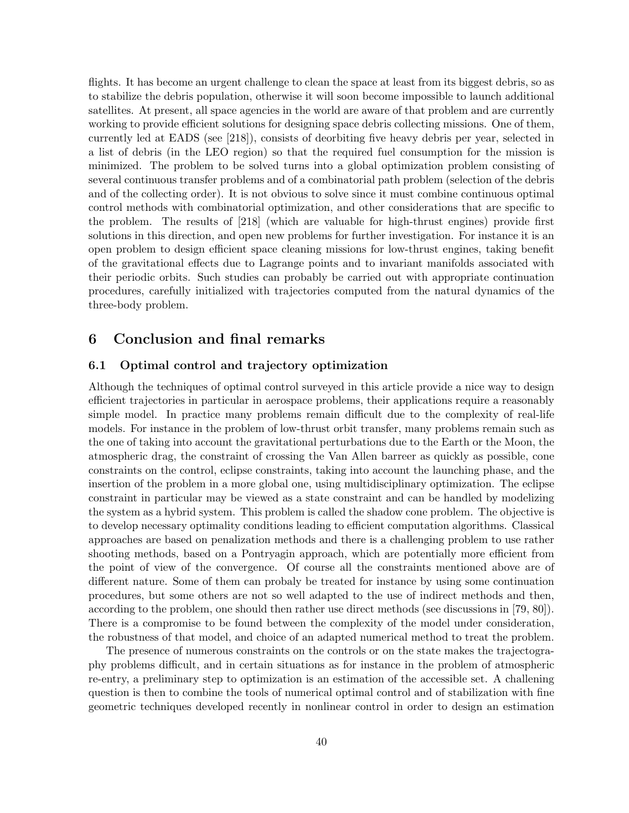flights. It has become an urgent challenge to clean the space at least from its biggest debris, so as to stabilize the debris population, otherwise it will soon become impossible to launch additional satellites. At present, all space agencies in the world are aware of that problem and are currently working to provide efficient solutions for designing space debris collecting missions. One of them, currently led at EADS (see [218]), consists of deorbiting five heavy debris per year, selected in a list of debris (in the LEO region) so that the required fuel consumption for the mission is minimized. The problem to be solved turns into a global optimization problem consisting of several continuous transfer problems and of a combinatorial path problem (selection of the debris and of the collecting order). It is not obvious to solve since it must combine continuous optimal control methods with combinatorial optimization, and other considerations that are specific to the problem. The results of [218] (which are valuable for high-thrust engines) provide first solutions in this direction, and open new problems for further investigation. For instance it is an open problem to design efficient space cleaning missions for low-thrust engines, taking benefit of the gravitational effects due to Lagrange points and to invariant manifolds associated with their periodic orbits. Such studies can probably be carried out with appropriate continuation procedures, carefully initialized with trajectories computed from the natural dynamics of the three-body problem.

# 6 Conclusion and final remarks

# 6.1 Optimal control and trajectory optimization

Although the techniques of optimal control surveyed in this article provide a nice way to design efficient trajectories in particular in aerospace problems, their applications require a reasonably simple model. In practice many problems remain difficult due to the complexity of real-life models. For instance in the problem of low-thrust orbit transfer, many problems remain such as the one of taking into account the gravitational perturbations due to the Earth or the Moon, the atmospheric drag, the constraint of crossing the Van Allen barreer as quickly as possible, cone constraints on the control, eclipse constraints, taking into account the launching phase, and the insertion of the problem in a more global one, using multidisciplinary optimization. The eclipse constraint in particular may be viewed as a state constraint and can be handled by modelizing the system as a hybrid system. This problem is called the shadow cone problem. The objective is to develop necessary optimality conditions leading to efficient computation algorithms. Classical approaches are based on penalization methods and there is a challenging problem to use rather shooting methods, based on a Pontryagin approach, which are potentially more efficient from the point of view of the convergence. Of course all the constraints mentioned above are of different nature. Some of them can probaly be treated for instance by using some continuation procedures, but some others are not so well adapted to the use of indirect methods and then, according to the problem, one should then rather use direct methods (see discussions in [79, 80]). There is a compromise to be found between the complexity of the model under consideration, the robustness of that model, and choice of an adapted numerical method to treat the problem.

The presence of numerous constraints on the controls or on the state makes the trajectography problems difficult, and in certain situations as for instance in the problem of atmospheric re-entry, a preliminary step to optimization is an estimation of the accessible set. A challening question is then to combine the tools of numerical optimal control and of stabilization with fine geometric techniques developed recently in nonlinear control in order to design an estimation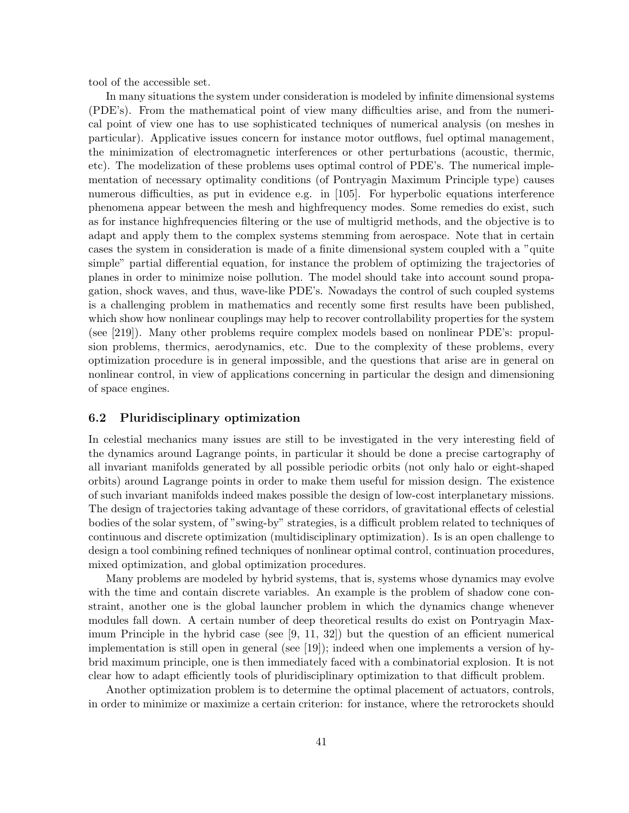tool of the accessible set.

In many situations the system under consideration is modeled by infinite dimensional systems (PDE's). From the mathematical point of view many difficulties arise, and from the numerical point of view one has to use sophisticated techniques of numerical analysis (on meshes in particular). Applicative issues concern for instance motor outflows, fuel optimal management, the minimization of electromagnetic interferences or other perturbations (acoustic, thermic, etc). The modelization of these problems uses optimal control of PDE's. The numerical implementation of necessary optimality conditions (of Pontryagin Maximum Principle type) causes numerous difficulties, as put in evidence e.g. in [105]. For hyperbolic equations interference phenomena appear between the mesh and highfrequency modes. Some remedies do exist, such as for instance highfrequencies filtering or the use of multigrid methods, and the objective is to adapt and apply them to the complex systems stemming from aerospace. Note that in certain cases the system in consideration is made of a finite dimensional system coupled with a "quite simple" partial differential equation, for instance the problem of optimizing the trajectories of planes in order to minimize noise pollution. The model should take into account sound propagation, shock waves, and thus, wave-like PDE's. Nowadays the control of such coupled systems is a challenging problem in mathematics and recently some first results have been published, which show how nonlinear couplings may help to recover controllability properties for the system (see [219]). Many other problems require complex models based on nonlinear PDE's: propulsion problems, thermics, aerodynamics, etc. Due to the complexity of these problems, every optimization procedure is in general impossible, and the questions that arise are in general on nonlinear control, in view of applications concerning in particular the design and dimensioning of space engines.

# 6.2 Pluridisciplinary optimization

In celestial mechanics many issues are still to be investigated in the very interesting field of the dynamics around Lagrange points, in particular it should be done a precise cartography of all invariant manifolds generated by all possible periodic orbits (not only halo or eight-shaped orbits) around Lagrange points in order to make them useful for mission design. The existence of such invariant manifolds indeed makes possible the design of low-cost interplanetary missions. The design of trajectories taking advantage of these corridors, of gravitational effects of celestial bodies of the solar system, of "swing-by" strategies, is a difficult problem related to techniques of continuous and discrete optimization (multidisciplinary optimization). Is is an open challenge to design a tool combining refined techniques of nonlinear optimal control, continuation procedures, mixed optimization, and global optimization procedures.

Many problems are modeled by hybrid systems, that is, systems whose dynamics may evolve with the time and contain discrete variables. An example is the problem of shadow cone constraint, another one is the global launcher problem in which the dynamics change whenever modules fall down. A certain number of deep theoretical results do exist on Pontryagin Maximum Principle in the hybrid case (see [9, 11, 32]) but the question of an efficient numerical implementation is still open in general (see [19]); indeed when one implements a version of hybrid maximum principle, one is then immediately faced with a combinatorial explosion. It is not clear how to adapt efficiently tools of pluridisciplinary optimization to that difficult problem.

Another optimization problem is to determine the optimal placement of actuators, controls, in order to minimize or maximize a certain criterion: for instance, where the retrorockets should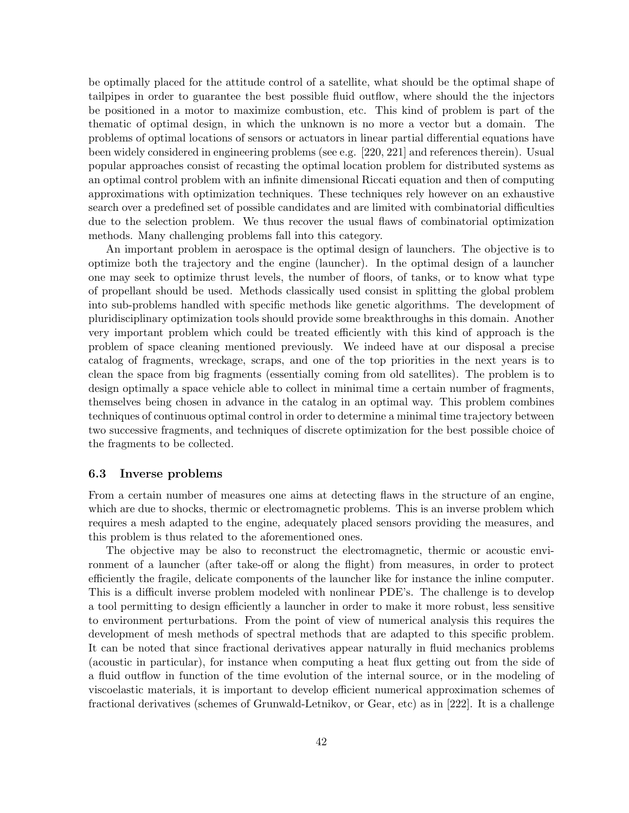be optimally placed for the attitude control of a satellite, what should be the optimal shape of tailpipes in order to guarantee the best possible fluid outflow, where should the the injectors be positioned in a motor to maximize combustion, etc. This kind of problem is part of the thematic of optimal design, in which the unknown is no more a vector but a domain. The problems of optimal locations of sensors or actuators in linear partial differential equations have been widely considered in engineering problems (see e.g. [220, 221] and references therein). Usual popular approaches consist of recasting the optimal location problem for distributed systems as an optimal control problem with an infinite dimensional Riccati equation and then of computing approximations with optimization techniques. These techniques rely however on an exhaustive search over a predefined set of possible candidates and are limited with combinatorial difficulties due to the selection problem. We thus recover the usual flaws of combinatorial optimization methods. Many challenging problems fall into this category.

An important problem in aerospace is the optimal design of launchers. The objective is to optimize both the trajectory and the engine (launcher). In the optimal design of a launcher one may seek to optimize thrust levels, the number of floors, of tanks, or to know what type of propellant should be used. Methods classically used consist in splitting the global problem into sub-problems handled with specific methods like genetic algorithms. The development of pluridisciplinary optimization tools should provide some breakthroughs in this domain. Another very important problem which could be treated efficiently with this kind of approach is the problem of space cleaning mentioned previously. We indeed have at our disposal a precise catalog of fragments, wreckage, scraps, and one of the top priorities in the next years is to clean the space from big fragments (essentially coming from old satellites). The problem is to design optimally a space vehicle able to collect in minimal time a certain number of fragments, themselves being chosen in advance in the catalog in an optimal way. This problem combines techniques of continuous optimal control in order to determine a minimal time trajectory between two successive fragments, and techniques of discrete optimization for the best possible choice of the fragments to be collected.

### 6.3 Inverse problems

From a certain number of measures one aims at detecting flaws in the structure of an engine, which are due to shocks, thermic or electromagnetic problems. This is an inverse problem which requires a mesh adapted to the engine, adequately placed sensors providing the measures, and this problem is thus related to the aforementioned ones.

The objective may be also to reconstruct the electromagnetic, thermic or acoustic environment of a launcher (after take-off or along the flight) from measures, in order to protect efficiently the fragile, delicate components of the launcher like for instance the inline computer. This is a difficult inverse problem modeled with nonlinear PDE's. The challenge is to develop a tool permitting to design efficiently a launcher in order to make it more robust, less sensitive to environment perturbations. From the point of view of numerical analysis this requires the development of mesh methods of spectral methods that are adapted to this specific problem. It can be noted that since fractional derivatives appear naturally in fluid mechanics problems (acoustic in particular), for instance when computing a heat flux getting out from the side of a fluid outflow in function of the time evolution of the internal source, or in the modeling of viscoelastic materials, it is important to develop efficient numerical approximation schemes of fractional derivatives (schemes of Grunwald-Letnikov, or Gear, etc) as in [222]. It is a challenge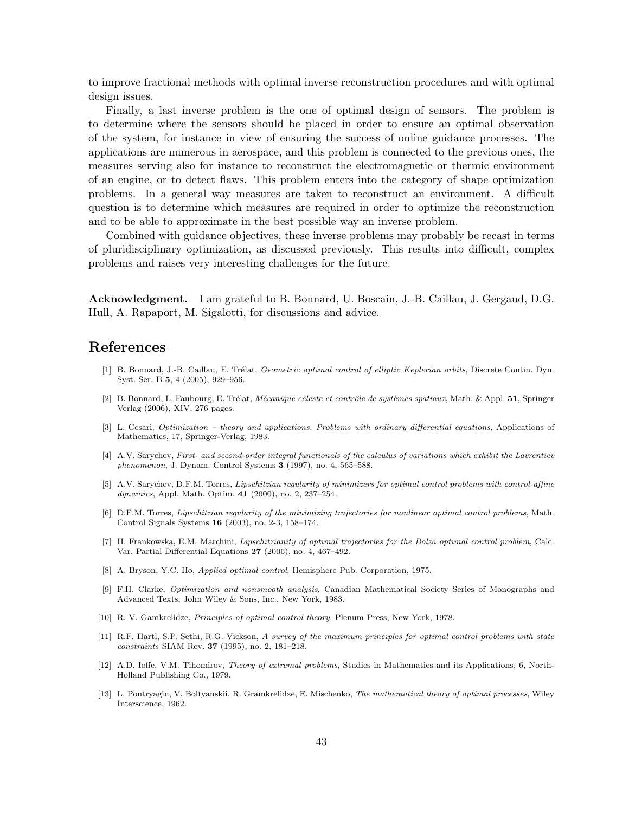to improve fractional methods with optimal inverse reconstruction procedures and with optimal design issues.

Finally, a last inverse problem is the one of optimal design of sensors. The problem is to determine where the sensors should be placed in order to ensure an optimal observation of the system, for instance in view of ensuring the success of online guidance processes. The applications are numerous in aerospace, and this problem is connected to the previous ones, the measures serving also for instance to reconstruct the electromagnetic or thermic environment of an engine, or to detect flaws. This problem enters into the category of shape optimization problems. In a general way measures are taken to reconstruct an environment. A difficult question is to determine which measures are required in order to optimize the reconstruction and to be able to approximate in the best possible way an inverse problem.

Combined with guidance objectives, these inverse problems may probably be recast in terms of pluridisciplinary optimization, as discussed previously. This results into difficult, complex problems and raises very interesting challenges for the future.

Acknowledgment. I am grateful to B. Bonnard, U. Boscain, J.-B. Caillau, J. Gergaud, D.G. Hull, A. Rapaport, M. Sigalotti, for discussions and advice.

# References

- [1] B. Bonnard, J.-B. Caillau, E. Trélat, Geometric optimal control of elliptic Keplerian orbits, Discrete Contin. Dyn. Syst. Ser. B 5, 4 (2005), 929–956.
- [2] B. Bonnard, L. Faubourg, E. Trélat, Mécanique céleste et contrôle de systèmes spatiaux, Math. & Appl. 51, Springer Verlag (2006), XIV, 276 pages.
- [3] L. Cesari, Optimization theory and applications. Problems with ordinary differential equations, Applications of Mathematics, 17, Springer-Verlag, 1983.
- [4] A.V. Sarychev, First- and second-order integral functionals of the calculus of variations which exhibit the Lavrentiev phenomenon, J. Dynam. Control Systems 3 (1997), no. 4, 565–588.
- [5] A.V. Sarychev, D.F.M. Torres, Lipschitzian regularity of minimizers for optimal control problems with control-affine dynamics, Appl. Math. Optim. 41 (2000), no. 2, 237–254.
- [6] D.F.M. Torres, Lipschitzian regularity of the minimizing trajectories for nonlinear optimal control problems, Math. Control Signals Systems 16 (2003), no. 2-3, 158–174.
- [7] H. Frankowska, E.M. Marchini, Lipschitzianity of optimal trajectories for the Bolza optimal control problem, Calc. Var. Partial Differential Equations 27 (2006), no. 4, 467–492.
- [8] A. Bryson, Y.C. Ho, Applied optimal control, Hemisphere Pub. Corporation, 1975.
- [9] F.H. Clarke, Optimization and nonsmooth analysis, Canadian Mathematical Society Series of Monographs and Advanced Texts, John Wiley & Sons, Inc., New York, 1983.
- [10] R. V. Gamkrelidze, Principles of optimal control theory, Plenum Press, New York, 1978.
- [11] R.F. Hartl, S.P. Sethi, R.G. Vickson, A survey of the maximum principles for optimal control problems with state constraints SIAM Rev. 37 (1995), no. 2, 181–218.
- [12] A.D. Ioffe, V.M. Tihomirov, Theory of extremal problems, Studies in Mathematics and its Applications, 6, North-Holland Publishing Co., 1979.
- [13] L. Pontryagin, V. Boltyanskii, R. Gramkrelidze, E. Mischenko, The mathematical theory of optimal processes, Wiley Interscience, 1962.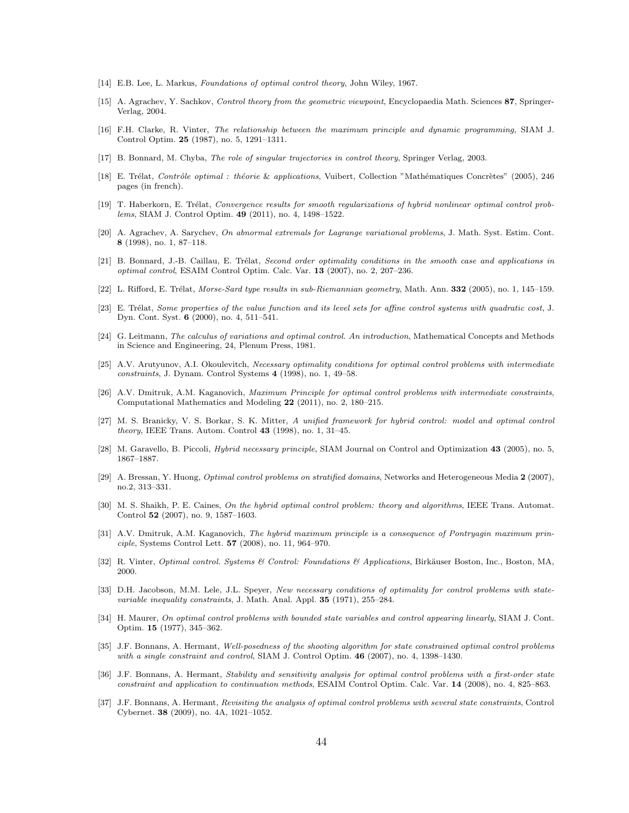- [14] E.B. Lee, L. Markus, Foundations of optimal control theory, John Wiley, 1967.
- [15] A. Agrachev, Y. Sachkov, Control theory from the geometric viewpoint, Encyclopaedia Math. Sciences 87, Springer-Verlag, 2004.
- [16] F.H. Clarke, R. Vinter, The relationship between the maximum principle and dynamic programming, SIAM J. Control Optim. 25 (1987), no. 5, 1291–1311.
- [17] B. Bonnard, M. Chyba, The role of singular trajectories in control theory, Springer Verlag, 2003.
- [18] E. Trélat, Contrôle optimal : théorie & applications, Vuibert, Collection "Mathématiques Concrètes" (2005), 246 pages (in french).
- [19] T. Haberkorn, E. Trélat, Convergence results for smooth regularizations of hybrid nonlinear optimal control problems, SIAM J. Control Optim. 49 (2011), no. 4, 1498–1522.
- [20] A. Agrachev, A. Sarychev, On abnormal extremals for Lagrange variational problems, J. Math. Syst. Estim. Cont. 8 (1998), no. 1, 87–118.
- [21] B. Bonnard, J.-B. Caillau, E. Trélat, Second order optimality conditions in the smooth case and applications in optimal control, ESAIM Control Optim. Calc. Var. 13 (2007), no. 2, 207–236.
- [22] L. Rifford, E. Trélat, Morse-Sard type results in sub-Riemannian geometry, Math. Ann. 332 (2005), no. 1, 145–159.
- [23] E. Trélat, Some properties of the value function and its level sets for affine control systems with quadratic cost, J. Dyn. Cont. Syst. 6 (2000), no. 4, 511–541.
- [24] G. Leitmann, The calculus of variations and optimal control. An introduction, Mathematical Concepts and Methods in Science and Engineering, 24, Plenum Press, 1981.
- [25] A.V. Arutyunov, A.I. Okoulevitch, Necessary optimality conditions for optimal control problems with intermediate constraints, J. Dynam. Control Systems 4 (1998), no. 1, 49–58.
- [26] A.V. Dmitruk, A.M. Kaganovich, Maximum Principle for optimal control problems with intermediate constraints, Computational Mathematics and Modeling 22 (2011), no. 2, 180–215.
- [27] M. S. Branicky, V. S. Borkar, S. K. Mitter, A unified framework for hybrid control: model and optimal control theory, IEEE Trans. Autom. Control 43 (1998), no. 1, 31–45.
- [28] M. Garavello, B. Piccoli, Hybrid necessary principle, SIAM Journal on Control and Optimization 43 (2005), no. 5, 1867–1887.
- [29] A. Bressan, Y. Huong, Optimal control problems on stratified domains, Networks and Heterogeneous Media 2 (2007), no.2, 313–331.
- [30] M. S. Shaikh, P. E. Caines, On the hybrid optimal control problem: theory and algorithms, IEEE Trans. Automat. Control 52 (2007), no. 9, 1587–1603.
- [31] A.V. Dmitruk, A.M. Kaganovich, The hybrid maximum principle is a consequence of Pontryagin maximum principle, Systems Control Lett. 57 (2008), no. 11, 964–970.
- [32] R. Vinter, Optimal control. Systems & Control: Foundations & Applications, Birk¨auser Boston, Inc., Boston, MA, 2000.
- [33] D.H. Jacobson, M.M. Lele, J.L. Speyer, New necessary conditions of optimality for control problems with statevariable inequality constraints, J. Math. Anal. Appl. 35 (1971), 255–284.
- [34] H. Maurer, On optimal control problems with bounded state variables and control appearing linearly, SIAM J. Cont. Optim. 15 (1977), 345–362.
- [35] J.F. Bonnans, A. Hermant, Well-posedness of the shooting algorithm for state constrained optimal control problems with a single constraint and control, SIAM J. Control Optim. 46 (2007), no. 4, 1398–1430.
- [36] J.F. Bonnans, A. Hermant, Stability and sensitivity analysis for optimal control problems with a first-order state constraint and application to continuation methods, ESAIM Control Optim. Calc. Var. 14 (2008), no. 4, 825–863.
- [37] J.F. Bonnans, A. Hermant, Revisiting the analysis of optimal control problems with several state constraints, Control Cybernet. 38 (2009), no. 4A, 1021–1052.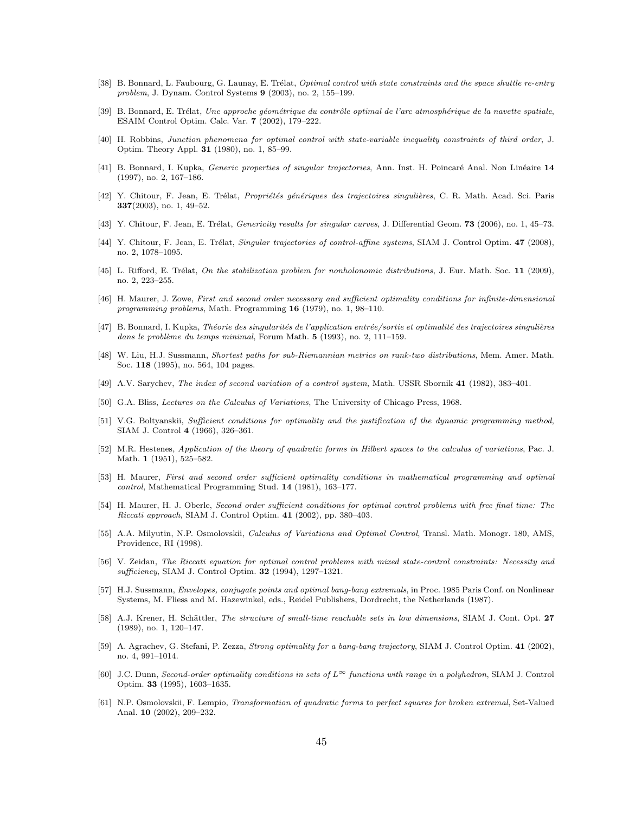- [38] B. Bonnard, L. Faubourg, G. Launay, E. Trélat, Optimal control with state constraints and the space shuttle re-entry problem, J. Dynam. Control Systems 9 (2003), no. 2, 155–199.
- [39] B. Bonnard, E. Trélat, Une approche géométrique du contrôle optimal de l'arc atmosphérique de la navette spatiale, ESAIM Control Optim. Calc. Var. 7 (2002), 179–222.
- [40] H. Robbins, Junction phenomena for optimal control with state-variable inequality constraints of third order, J. Optim. Theory Appl. 31 (1980), no. 1, 85–99.
- [41] B. Bonnard, I. Kupka, Generic properties of singular trajectories, Ann. Inst. H. Poincaré Anal. Non Linéaire 14 (1997), no. 2, 167–186.
- [42] Y. Chitour, F. Jean, E. Trélat, Propriétés génériques des trajectoires singulières, C. R. Math. Acad. Sci. Paris 337(2003), no. 1, 49–52.
- [43] Y. Chitour, F. Jean, E. Trélat, Genericity results for singular curves, J. Differential Geom. 73 (2006), no. 1, 45–73.
- [44] Y. Chitour, F. Jean, E. Trélat, Singular trajectories of control-affine systems, SIAM J. Control Optim. 47 (2008), no. 2, 1078–1095.
- [45] L. Rifford, E. Trélat, On the stabilization problem for nonholonomic distributions, J. Eur. Math. Soc. 11 (2009), no. 2, 223–255.
- [46] H. Maurer, J. Zowe, First and second order necessary and sufficient optimality conditions for infinite-dimensional programming problems, Math. Programming 16 (1979), no. 1, 98–110.
- [47] B. Bonnard, I. Kupka, Théorie des singularités de l'application entrée/sortie et optimalité des trajectoires singulières dans le problème du temps minimal, Forum Math.  $5$  (1993), no. 2, 111–159.
- [48] W. Liu, H.J. Sussmann, Shortest paths for sub-Riemannian metrics on rank-two distributions, Mem. Amer. Math. Soc. 118 (1995), no. 564, 104 pages.
- [49] A.V. Sarychev, The index of second variation of a control system, Math. USSR Sbornik 41 (1982), 383–401.
- [50] G.A. Bliss, *Lectures on the Calculus of Variations*, The University of Chicago Press, 1968.
- [51] V.G. Boltyanskii, Sufficient conditions for optimality and the justification of the dynamic programming method, SIAM J. Control 4 (1966), 326–361.
- [52] M.R. Hestenes, Application of the theory of quadratic forms in Hilbert spaces to the calculus of variations, Pac. J. Math. 1 (1951), 525–582.
- [53] H. Maurer, First and second order sufficient optimality conditions in mathematical programming and optimal control, Mathematical Programming Stud. 14 (1981), 163–177.
- [54] H. Maurer, H. J. Oberle, Second order sufficient conditions for optimal control problems with free final time: The Riccati approach, SIAM J. Control Optim. 41 (2002), pp. 380–403.
- [55] A.A. Milyutin, N.P. Osmolovskii, Calculus of Variations and Optimal Control, Transl. Math. Monogr. 180, AMS, Providence, RI (1998).
- [56] V. Zeidan, The Riccati equation for optimal control problems with mixed state-control constraints: Necessity and sufficiency, SIAM J. Control Optim. 32 (1994), 1297–1321.
- [57] H.J. Sussmann, *Envelopes, conjugate points and optimal bang-bang extremals*, in Proc. 1985 Paris Conf. on Nonlinear Systems, M. Fliess and M. Hazewinkel, eds., Reidel Publishers, Dordrecht, the Netherlands (1987).
- [58] A.J. Krener, H. Schättler, The structure of small-time reachable sets in low dimensions, SIAM J. Cont. Opt. 27 (1989), no. 1, 120–147.
- [59] A. Agrachev, G. Stefani, P. Zezza, Strong optimality for a bang-bang trajectory, SIAM J. Control Optim. 41 (2002), no. 4, 991–1014.
- [60] J.C. Dunn, Second-order optimality conditions in sets of  $L^{\infty}$  functions with range in a polyhedron, SIAM J. Control Optim. 33 (1995), 1603–1635.
- [61] N.P. Osmolovskii, F. Lempio, Transformation of quadratic forms to perfect squares for broken extremal, Set-Valued Anal. 10 (2002), 209–232.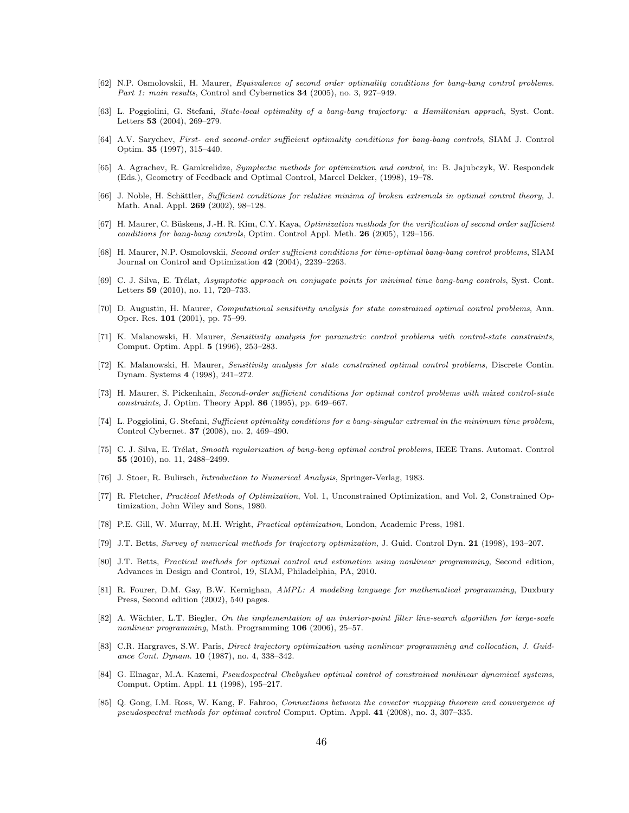- [62] N.P. Osmolovskii, H. Maurer, Equivalence of second order optimality conditions for bang-bang control problems. Part 1: main results, Control and Cybernetics 34 (2005), no. 3, 927–949.
- [63] L. Poggiolini, G. Stefani, State-local optimality of a bang-bang trajectory: a Hamiltonian apprach, Syst. Cont. Letters 53 (2004), 269–279.
- [64] A.V. Sarychev, First- and second-order sufficient optimality conditions for bang-bang controls, SIAM J. Control Optim. 35 (1997), 315–440.
- [65] A. Agrachev, R. Gamkrelidze, Symplectic methods for optimization and control, in: B. Jajubczyk, W. Respondek (Eds.), Geometry of Feedback and Optimal Control, Marcel Dekker, (1998), 19–78.
- [66] J. Noble, H. Schättler, Sufficient conditions for relative minima of broken extremals in optimal control theory, J. Math. Anal. Appl. 269 (2002), 98–128.
- [67] H. Maurer, C. Büskens, J.-H. R. Kim, C.Y. Kaya, Optimization methods for the verification of second order sufficient conditions for bang-bang controls, Optim. Control Appl. Meth. 26 (2005), 129–156.
- [68] H. Maurer, N.P. Osmolovskii, Second order sufficient conditions for time-optimal bang-bang control problems, SIAM Journal on Control and Optimization 42 (2004), 2239–2263.
- [69] C. J. Silva, E. Trélat, Asymptotic approach on conjugate points for minimal time bang-bang controls, Syst. Cont. Letters 59 (2010), no. 11, 720–733.
- [70] D. Augustin, H. Maurer, Computational sensitivity analysis for state constrained optimal control problems, Ann. Oper. Res. 101 (2001), pp. 75–99.
- [71] K. Malanowski, H. Maurer, Sensitivity analysis for parametric control problems with control-state constraints, Comput. Optim. Appl. 5 (1996), 253–283.
- [72] K. Malanowski, H. Maurer, Sensitivity analysis for state constrained optimal control problems, Discrete Contin. Dynam. Systems 4 (1998), 241–272.
- [73] H. Maurer, S. Pickenhain, Second-order sufficient conditions for optimal control problems with mixed control-state constraints, J. Optim. Theory Appl. 86 (1995), pp. 649–667.
- [74] L. Poggiolini, G. Stefani, Sufficient optimality conditions for a bang-singular extremal in the minimum time problem, Control Cybernet. 37 (2008), no. 2, 469–490.
- [75] C. J. Silva, E. Trélat, Smooth regularization of bang-bang optimal control problems, IEEE Trans. Automat. Control 55 (2010), no. 11, 2488–2499.
- [76] J. Stoer, R. Bulirsch, Introduction to Numerical Analysis, Springer-Verlag, 1983.
- [77] R. Fletcher, *Practical Methods of Optimization*, Vol. 1, Unconstrained Optimization, and Vol. 2, Constrained Optimization, John Wiley and Sons, 1980.
- [78] P.E. Gill, W. Murray, M.H. Wright, Practical optimization, London, Academic Press, 1981.
- [79] J.T. Betts, Survey of numerical methods for trajectory optimization, J. Guid. Control Dyn. 21 (1998), 193–207.
- [80] J.T. Betts, Practical methods for optimal control and estimation using nonlinear programming, Second edition, Advances in Design and Control, 19, SIAM, Philadelphia, PA, 2010.
- [81] R. Fourer, D.M. Gay, B.W. Kernighan, AMPL: A modeling language for mathematical programming, Duxbury Press, Second edition (2002), 540 pages.
- [82] A. Wächter, L.T. Biegler, On the implementation of an interior-point filter line-search algorithm for large-scale nonlinear programming, Math. Programming 106 (2006), 25–57.
- [83] C.R. Hargraves, S.W. Paris, Direct trajectory optimization using nonlinear programming and collocation, J. Guidance Cont. Dynam. 10 (1987), no. 4, 338–342.
- [84] G. Elnagar, M.A. Kazemi, Pseudospectral Chebyshev optimal control of constrained nonlinear dynamical systems, Comput. Optim. Appl. 11 (1998), 195–217.
- [85] Q. Gong, I.M. Ross, W. Kang, F. Fahroo, Connections between the covector mapping theorem and convergence of pseudospectral methods for optimal control Comput. Optim. Appl. 41 (2008), no. 3, 307–335.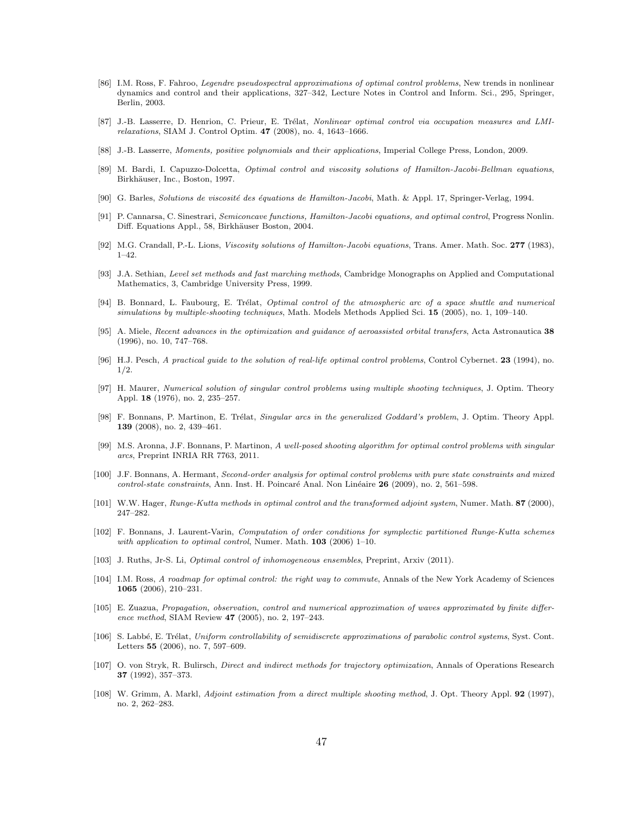- [86] I.M. Ross, F. Fahroo, Legendre pseudospectral approximations of optimal control problems, New trends in nonlinear dynamics and control and their applications, 327–342, Lecture Notes in Control and Inform. Sci., 295, Springer, Berlin, 2003.
- [87] J.-B. Lasserre, D. Henrion, C. Prieur, E. Trélat, Nonlinear optimal control via occupation measures and LMIrelaxations, SIAM J. Control Optim. 47 (2008), no. 4, 1643–1666.
- [88] J.-B. Lasserre, Moments, positive polynomials and their applications, Imperial College Press, London, 2009.
- [89] M. Bardi, I. Capuzzo-Dolcetta, Optimal control and viscosity solutions of Hamilton-Jacobi-Bellman equations, Birkhäuser, Inc., Boston, 1997.
- [90] G. Barles, Solutions de viscosité des équations de Hamilton-Jacobi, Math. & Appl. 17, Springer-Verlag, 1994.
- [91] P. Cannarsa, C. Sinestrari, Semiconcave functions, Hamilton-Jacobi equations, and optimal control, Progress Nonlin. Diff. Equations Appl., 58, Birkhäuser Boston, 2004.
- [92] M.G. Crandall, P.-L. Lions, Viscosity solutions of Hamilton-Jacobi equations, Trans. Amer. Math. Soc. 277 (1983), 1–42.
- [93] J.A. Sethian, Level set methods and fast marching methods, Cambridge Monographs on Applied and Computational Mathematics, 3, Cambridge University Press, 1999.
- [94] B. Bonnard, L. Faubourg, E. Trélat, Optimal control of the atmospheric arc of a space shuttle and numerical simulations by multiple-shooting techniques, Math. Models Methods Applied Sci. 15 (2005), no. 1, 109–140.
- [95] A. Miele, Recent advances in the optimization and quidance of aeroassisted orbital transfers, Acta Astronautica 38 (1996), no. 10, 747–768.
- [96] H.J. Pesch, A practical guide to the solution of real-life optimal control problems, Control Cybernet. 23 (1994), no. 1/2.
- [97] H. Maurer, Numerical solution of singular control problems using multiple shooting techniques, J. Optim. Theory Appl. 18 (1976), no. 2, 235–257.
- [98] F. Bonnans, P. Martinon, E. Trélat, Singular arcs in the generalized Goddard's problem, J. Optim. Theory Appl. 139 (2008), no. 2, 439–461.
- [99] M.S. Aronna, J.F. Bonnans, P. Martinon, A well-posed shooting algorithm for optimal control problems with singular arcs, Preprint INRIA RR 7763, 2011.
- [100] J.F. Bonnans, A. Hermant, Second-order analysis for optimal control problems with pure state constraints and mixed  $control-state\ constraints, Ann. Inst. H. Poincaré Anal. Non Linéaire 26 (2009), no. 2, 561–598.$
- [101] W.W. Hager, Runge-Kutta methods in optimal control and the transformed adjoint system, Numer. Math. 87 (2000), 247–282.
- [102] F. Bonnans, J. Laurent-Varin, Computation of order conditions for symplectic partitioned Runge-Kutta schemes with application to optimal control, Numer. Math. 103 (2006) 1-10.
- [103] J. Ruths, Jr-S. Li, Optimal control of inhomogeneous ensembles, Preprint, Arxiv (2011).
- [104] I.M. Ross, A roadmap for optimal control: the right way to commute, Annals of the New York Academy of Sciences 1065 (2006), 210–231.
- [105] E. Zuazua, Propagation, observation, control and numerical approximation of waves approximated by finite difference method, SIAM Review 47 (2005), no. 2, 197–243.
- [106] S. Labbé, E. Trélat, Uniform controllability of semidiscrete approximations of parabolic control systems, Syst. Cont. Letters 55 (2006), no. 7, 597–609.
- [107] O. von Stryk, R. Bulirsch, Direct and indirect methods for trajectory optimization, Annals of Operations Research 37 (1992), 357–373.
- [108] W. Grimm, A. Markl, Adjoint estimation from a direct multiple shooting method, J. Opt. Theory Appl. 92 (1997), no. 2, 262–283.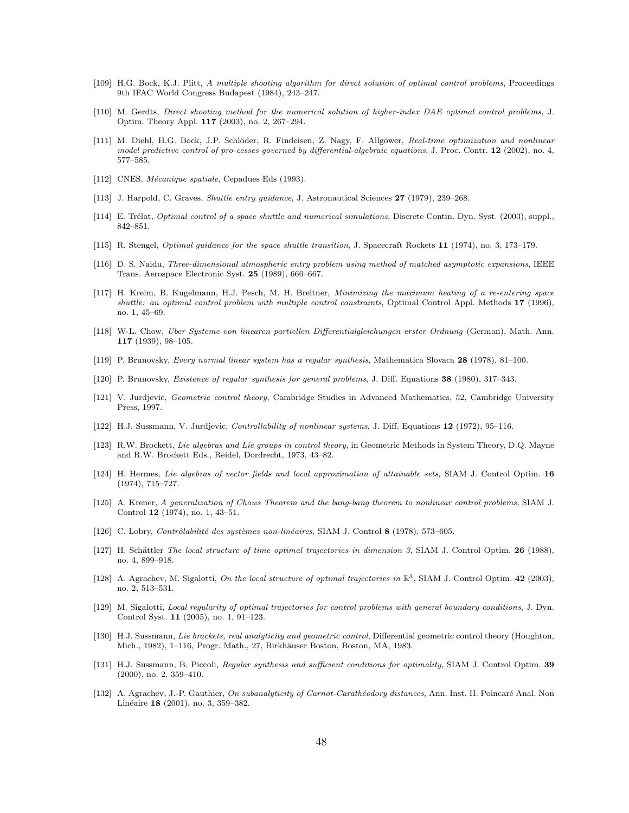- [109] H.G. Bock, K.J. Plitt, A multiple shooting algorithm for direct solution of optimal control problems, Proceedings 9th IFAC World Congress Budapest (1984), 243–247.
- [110] M. Gerdts, Direct shooting method for the numerical solution of higher-index DAE optimal control problems, J. Optim. Theory Appl. 117 (2003), no. 2, 267–294.
- [111] M. Diehl, H.G. Bock, J.P. Schlöder, R. Findeisen, Z. Nagy, F. Allgöwer, Real-time optimization and nonlinear model predictive control of pro-cesses governed by differential-algebraic equations, J. Proc. Contr. 12 (2002), no. 4, 577–585.
- [112] CNES, *Mécanique spatiale*, Cepadues Eds (1993).
- [113] J. Harpold, C. Graves, Shuttle entry guidance, J. Astronautical Sciences 27 (1979), 239–268.
- [114] E. Trélat, *Optimal control of a space shuttle and numerical simulations*, Discrete Contin. Dyn. Syst. (2003), suppl., 842–851.
- [115] R. Stengel, Optimal guidance for the space shuttle transition, J. Spacecraft Rockets 11 (1974), no. 3, 173–179.
- [116] D. S. Naidu, Three-dimensional atmospheric entry problem using method of matched asymptotic expansions, IEEE Trans. Aerospace Electronic Syst. 25 (1989), 660–667.
- [117] H. Kreim, B. Kugelmann, H.J. Pesch, M. H. Breitner, Minimizing the maximum heating of a re-entering space shuttle: an optimal control problem with multiple control constraints, Optimal Control Appl. Methods 17 (1996), no. 1, 45–69.
- [118] W-L. Chow, Uber Systeme von linearen partiellen Differentialgleichungen erster Ordnung (German), Math. Ann. 117 (1939), 98–105.
- [119] P. Brunovsky, Every normal linear system has a regular synthesis, Mathematica Slovaca 28 (1978), 81–100.
- [120] P. Brunovsky, Existence of regular synthesis for general problems, J. Diff. Equations 38 (1980), 317–343.
- [121] V. Jurdjevic, Geometric control theory, Cambridge Studies in Advanced Mathematics, 52, Cambridge University Press, 1997.
- [122] H.J. Sussmann, V. Jurdjevic, Controllability of nonlinear systems, J. Diff. Equations 12 (1972), 95–116.
- [123] R.W. Brockett, Lie algebras and Lie groups in control theory, in Geometric Methods in System Theory, D.Q. Mayne and R.W. Brockett Eds., Reidel, Dordrecht, 1973, 43–82.
- [124] H. Hermes, Lie algebras of vector fields and local approximation of attainable sets, SIAM J. Control Optim. 16 (1974), 715–727.
- [125] A. Krener, A generalization of Chows Theorem and the bang-bang theorem to nonlinear control problems, SIAM J. Control 12 (1974), no. 1, 43–51.
- [126] C. Lobry, Contrôlabilité des systèmes non-linéaires, SIAM J. Control 8 (1978), 573–605.
- [127] H. Schättler The local structure of time optimal trajectories in dimension 3, SIAM J. Control Optim.  $26$  (1988), no. 4, 899–918.
- [128] A. Agrachev, M. Sigalotti, On the local structure of optimal trajectories in  $\mathbb{R}^3$ , SIAM J. Control Optim. 42 (2003), no. 2, 513–531.
- [129] M. Sigalotti, Local regularity of optimal trajectories for control problems with general boundary conditions, J. Dyn. Control Syst. 11 (2005), no. 1, 91–123.
- [130] H.J. Sussmann, Lie brackets, real analyticity and geometric control, Differential geometric control theory (Houghton, Mich., 1982), 1–116, Progr. Math., 27, Birkhäuser Boston, Boston, MA, 1983.
- [131] H.J. Sussmann, B. Piccoli, Regular synthesis and sufficient conditions for optimality, SIAM J. Control Optim. 39 (2000), no. 2, 359–410.
- [132] A. Agrachev, J.-P. Gauthier, On subanalyticity of Carnot-Carathéodory distances, Ann. Inst. H. Poincaré Anal. Non Linéaire 18 (2001), no. 3, 359–382.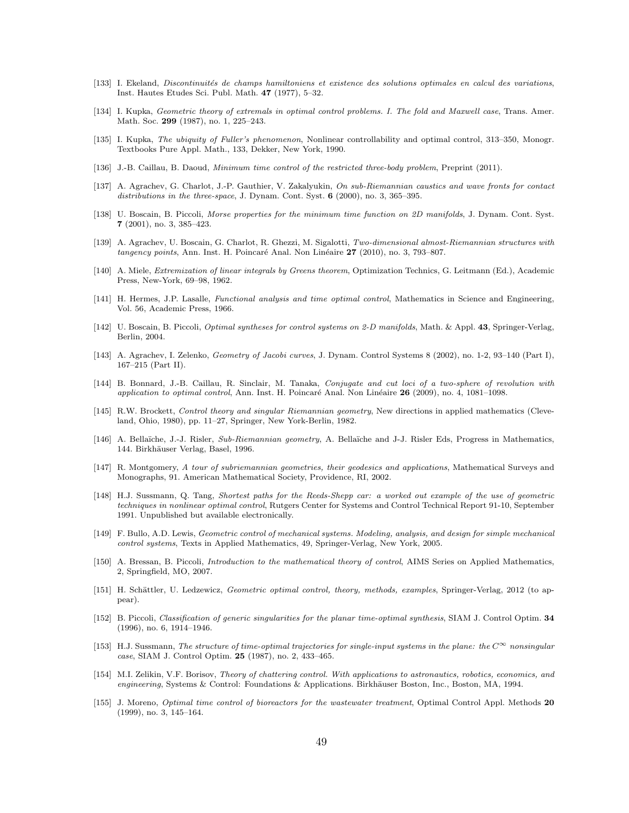- [133] I. Ekeland, Discontinuités de champs hamiltoniens et existence des solutions optimales en calcul des variations, Inst. Hautes Etudes Sci. Publ. Math. 47 (1977), 5–32.
- [134] I. Kupka, Geometric theory of extremals in optimal control problems. I. The fold and Maxwell case, Trans. Amer. Math. Soc. **299** (1987), no. 1, 225–243.
- [135] I. Kupka, The ubiquity of Fuller's phenomenon, Nonlinear controllability and optimal control, 313–350, Monogr. Textbooks Pure Appl. Math., 133, Dekker, New York, 1990.
- [136] J.-B. Caillau, B. Daoud, Minimum time control of the restricted three-body problem, Preprint (2011).
- [137] A. Agrachev, G. Charlot, J.-P. Gauthier, V. Zakalyukin, On sub-Riemannian caustics and wave fronts for contact distributions in the three-space, J. Dynam. Cont. Syst. 6 (2000), no. 3, 365-395.
- [138] U. Boscain, B. Piccoli, Morse properties for the minimum time function on 2D manifolds, J. Dynam. Cont. Syst. 7 (2001), no. 3, 385–423.
- [139] A. Agrachev, U. Boscain, G. Charlot, R. Ghezzi, M. Sigalotti, Two-dimensional almost-Riemannian structures with  $tangency points$ , Ann. Inst. H. Poincaré Anal. Non Linéaire  $27$  (2010), no. 3, 793–807.
- [140] A. Miele, Extremization of linear integrals by Greens theorem, Optimization Technics, G. Leitmann (Ed.), Academic Press, New-York, 69–98, 1962.
- [141] H. Hermes, J.P. Lasalle, Functional analysis and time optimal control, Mathematics in Science and Engineering, Vol. 56, Academic Press, 1966.
- [142] U. Boscain, B. Piccoli, Optimal syntheses for control systems on 2-D manifolds, Math. & Appl. 43, Springer-Verlag, Berlin, 2004.
- [143] A. Agrachev, I. Zelenko, Geometry of Jacobi curves, J. Dynam. Control Systems 8 (2002), no. 1-2, 93–140 (Part I), 167–215 (Part II).
- [144] B. Bonnard, J.-B. Caillau, R. Sinclair, M. Tanaka, Conjugate and cut loci of a two-sphere of revolution with application to optimal control, Ann. Inst. H. Poincaré Anal. Non Linéaire  $26$  (2009), no. 4, 1081–1098.
- [145] R.W. Brockett, Control theory and singular Riemannian geometry, New directions in applied mathematics (Cleveland, Ohio, 1980), pp. 11–27, Springer, New York-Berlin, 1982.
- [146] A. Bellaïche, J.-J. Risler, Sub-Riemannian geometry, A. Bellaïche and J-J. Risler Eds, Progress in Mathematics, 144. Birkhäuser Verlag, Basel, 1996.
- [147] R. Montgomery, A tour of subriemannian geometries, their geodesics and applications, Mathematical Surveys and Monographs, 91. American Mathematical Society, Providence, RI, 2002.
- [148] H.J. Sussmann, Q. Tang, Shortest paths for the Reeds-Shepp car: a worked out example of the use of geometric techniques in nonlinear optimal control, Rutgers Center for Systems and Control Technical Report 91-10, September 1991. Unpublished but available electronically.
- [149] F. Bullo, A.D. Lewis, Geometric control of mechanical systems. Modeling, analysis, and design for simple mechanical control systems, Texts in Applied Mathematics, 49, Springer-Verlag, New York, 2005.
- [150] A. Bressan, B. Piccoli, Introduction to the mathematical theory of control, AIMS Series on Applied Mathematics, 2, Springfield, MO, 2007.
- [151] H. Schättler, U. Ledzewicz, Geometric optimal control, theory, methods, examples, Springer-Verlag, 2012 (to appear).
- [152] B. Piccoli, Classification of generic singularities for the planar time-optimal synthesis, SIAM J. Control Optim. 34 (1996), no. 6, 1914–1946.
- [153] H.J. Sussmann, The structure of time-optimal trajectories for single-input systems in the plane: the  $C^{\infty}$  nonsingular case, SIAM J. Control Optim. 25 (1987), no. 2, 433–465.
- [154] M.I. Zelikin, V.F. Borisov, Theory of chattering control. With applications to astronautics, robotics, economics, and engineering, Systems & Control: Foundations & Applications. Birkhäuser Boston, Inc., Boston, MA, 1994.
- [155] J. Moreno, Optimal time control of bioreactors for the wastewater treatment, Optimal Control Appl. Methods 20 (1999), no. 3, 145–164.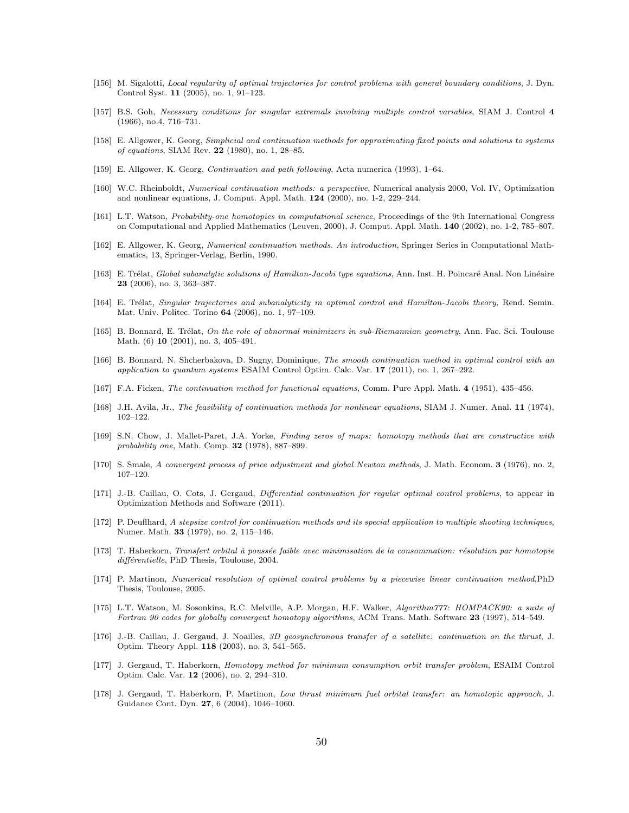- [156] M. Sigalotti, Local regularity of optimal trajectories for control problems with general boundary conditions, J. Dyn. Control Syst. 11 (2005), no. 1, 91–123.
- [157] B.S. Goh, Necessary conditions for singular extremals involving multiple control variables, SIAM J. Control 4 (1966), no.4, 716–731.
- [158] E. Allgower, K. Georg, Simplicial and continuation methods for approximating fixed points and solutions to systems of equations, SIAM Rev. 22 (1980), no. 1, 28–85.
- [159] E. Allgower, K. Georg, Continuation and path following, Acta numerica (1993), 1–64.
- [160] W.C. Rheinboldt, Numerical continuation methods: a perspective, Numerical analysis 2000, Vol. IV, Optimization and nonlinear equations, J. Comput. Appl. Math. 124 (2000), no. 1-2, 229–244.
- [161] L.T. Watson, Probability-one homotopies in computational science, Proceedings of the 9th International Congress on Computational and Applied Mathematics (Leuven, 2000), J. Comput. Appl. Math. 140 (2002), no. 1-2, 785–807.
- [162] E. Allgower, K. Georg, Numerical continuation methods. An introduction, Springer Series in Computational Mathematics, 13, Springer-Verlag, Berlin, 1990.
- [163] E. Trélat, Global subanalytic solutions of Hamilton-Jacobi type equations, Ann. Inst. H. Poincaré Anal. Non Linéaire 23 (2006), no. 3, 363–387.
- [164] E. Trélat, Singular trajectories and subanalyticity in optimal control and Hamilton-Jacobi theory, Rend. Semin. Mat. Univ. Politec. Torino 64 (2006), no. 1, 97–109.
- [165] B. Bonnard, E. Trélat, On the role of abnormal minimizers in sub-Riemannian geometry, Ann. Fac. Sci. Toulouse Math. (6) **10** (2001), no. 3, 405-491.
- [166] B. Bonnard, N. Shcherbakova, D. Sugny, Dominique, The smooth continuation method in optimal control with an application to quantum systems ESAIM Control Optim. Calc. Var. 17 (2011), no. 1, 267–292.
- [167] F.A. Ficken, The continuation method for functional equations, Comm. Pure Appl. Math. 4 (1951), 435–456.
- [168] J.H. Avila, Jr., The feasibility of continuation methods for nonlinear equations, SIAM J. Numer. Anal. 11 (1974), 102–122.
- [169] S.N. Chow, J. Mallet-Paret, J.A. Yorke, Finding zeros of maps: homotopy methods that are constructive with probability one, Math. Comp. 32 (1978), 887–899.
- [170] S. Smale, A convergent process of price adjustment and global Newton methods, J. Math. Econom. 3 (1976), no. 2, 107–120.
- [171] J.-B. Caillau, O. Cots, J. Gergaud, Differential continuation for regular optimal control problems, to appear in Optimization Methods and Software (2011).
- [172] P. Deuflhard, A stepsize control for continuation methods and its special application to multiple shooting techniques, Numer. Math. 33 (1979), no. 2, 115–146.
- [173] T. Haberkorn, Transfert orbital à poussée faible avec minimisation de la consommation: résolution par homotopie différentielle, PhD Thesis, Toulouse, 2004.
- [174] P. Martinon, Numerical resolution of optimal control problems by a piecewise linear continuation method,PhD Thesis, Toulouse, 2005.
- [175] L.T. Watson, M. Sosonkina, R.C. Melville, A.P. Morgan, H.F. Walker, Algorithm777: HOMPACK90: a suite of Fortran 90 codes for globally convergent homotopy algorithms, ACM Trans. Math. Software 23 (1997), 514–549.
- [176] J.-B. Caillau, J. Gergaud, J. Noailles, 3D geosynchronous transfer of a satellite: continuation on the thrust, J. Optim. Theory Appl. 118 (2003), no. 3, 541–565.
- [177] J. Gergaud, T. Haberkorn, Homotopy method for minimum consumption orbit transfer problem, ESAIM Control Optim. Calc. Var. 12 (2006), no. 2, 294–310.
- [178] J. Gergaud, T. Haberkorn, P. Martinon, Low thrust minimum fuel orbital transfer: an homotopic approach, J. Guidance Cont. Dyn. 27, 6 (2004), 1046–1060.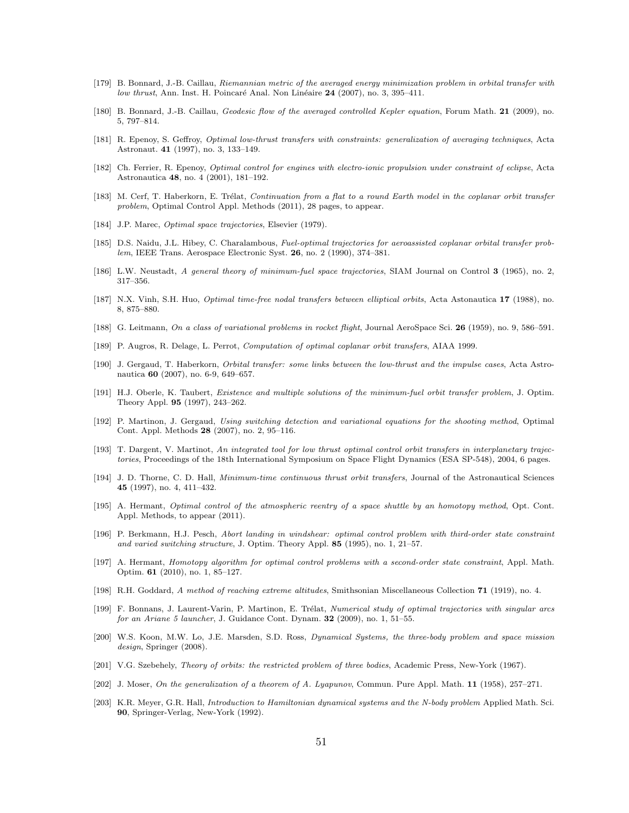- [179] B. Bonnard, J.-B. Caillau, Riemannian metric of the averaged energy minimization problem in orbital transfer with low thrust, Ann. Inst. H. Poincaré Anal. Non Linéaire  $24$  (2007), no. 3, 395–411.
- [180] B. Bonnard, J.-B. Caillau, Geodesic flow of the averaged controlled Kepler equation, Forum Math. 21 (2009), no. 5, 797–814.
- [181] R. Epenoy, S. Geffroy, Optimal low-thrust transfers with constraints: generalization of averaging techniques, Acta Astronaut. 41 (1997), no. 3, 133–149.
- [182] Ch. Ferrier, R. Epenoy, Optimal control for engines with electro-ionic propulsion under constraint of eclipse, Acta Astronautica 48, no. 4 (2001), 181–192.
- [183] M. Cerf, T. Haberkorn, E. Trélat, Continuation from a flat to a round Earth model in the coplanar orbit transfer problem, Optimal Control Appl. Methods (2011), 28 pages, to appear.
- [184] J.P. Marec, *Optimal space trajectories*, Elsevier (1979).
- [185] D.S. Naidu, J.L. Hibey, C. Charalambous, Fuel-optimal trajectories for aeroassisted coplanar orbital transfer problem, IEEE Trans. Aerospace Electronic Syst. 26, no. 2 (1990), 374–381.
- [186] L.W. Neustadt, A general theory of minimum-fuel space trajectories, SIAM Journal on Control 3 (1965), no. 2, 317–356.
- [187] N.X. Vinh, S.H. Huo, Optimal time-free nodal transfers between elliptical orbits, Acta Astonautica 17 (1988), no. 8, 875–880.
- [188] G. Leitmann, On a class of variational problems in rocket flight, Journal AeroSpace Sci. 26 (1959), no. 9, 586–591.
- [189] P. Augros, R. Delage, L. Perrot, Computation of optimal coplanar orbit transfers, AIAA 1999.
- [190] J. Gergaud, T. Haberkorn, Orbital transfer: some links between the low-thrust and the impulse cases, Acta Astronautica 60 (2007), no. 6-9, 649–657.
- [191] H.J. Oberle, K. Taubert, Existence and multiple solutions of the minimum-fuel orbit transfer problem, J. Optim. Theory Appl. 95 (1997), 243–262.
- [192] P. Martinon, J. Gergaud, Using switching detection and variational equations for the shooting method, Optimal Cont. Appl. Methods 28 (2007), no. 2, 95–116.
- [193] T. Dargent, V. Martinot, An integrated tool for low thrust optimal control orbit transfers in interplanetary trajectories, Proceedings of the 18th International Symposium on Space Flight Dynamics (ESA SP-548), 2004, 6 pages.
- [194] J. D. Thorne, C. D. Hall, Minimum-time continuous thrust orbit transfers, Journal of the Astronautical Sciences 45 (1997), no. 4, 411–432.
- [195] A. Hermant, Optimal control of the atmospheric reentry of a space shuttle by an homotopy method, Opt. Cont. Appl. Methods, to appear (2011).
- [196] P. Berkmann, H.J. Pesch, Abort landing in windshear: optimal control problem with third-order state constraint and varied switching structure, J. Optim. Theory Appl. 85 (1995), no. 1, 21–57.
- [197] A. Hermant, Homotopy algorithm for optimal control problems with a second-order state constraint, Appl. Math. Optim. 61 (2010), no. 1, 85–127.
- [198] R.H. Goddard, A method of reaching extreme altitudes, Smithsonian Miscellaneous Collection 71 (1919), no. 4.
- [199] F. Bonnans, J. Laurent-Varin, P. Martinon, E. Trélat, Numerical study of optimal trajectories with singular arcs for an Ariane 5 launcher, J. Guidance Cont. Dynam.  $32$  (2009), no. 1, 51-55.
- [200] W.S. Koon, M.W. Lo, J.E. Marsden, S.D. Ross, Dynamical Systems, the three-body problem and space mission design, Springer (2008).
- [201] V.G. Szebehely, Theory of orbits: the restricted problem of three bodies, Academic Press, New-York (1967).
- [202] J. Moser, On the generalization of a theorem of A. Lyapunov, Commun. Pure Appl. Math. 11 (1958), 257–271.
- [203] K.R. Meyer, G.R. Hall, Introduction to Hamiltonian dynamical systems and the N-body problem Applied Math. Sci. 90, Springer-Verlag, New-York (1992).